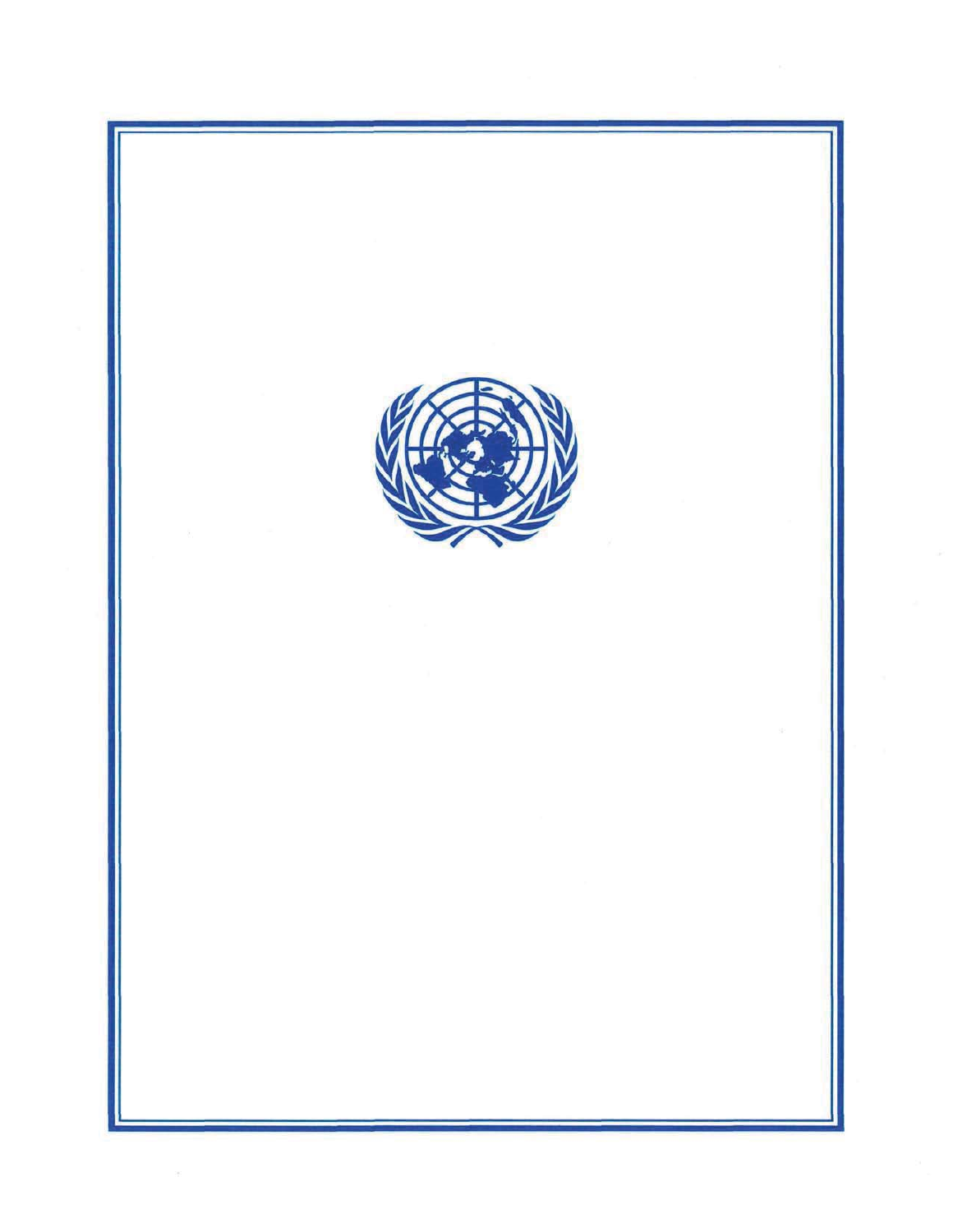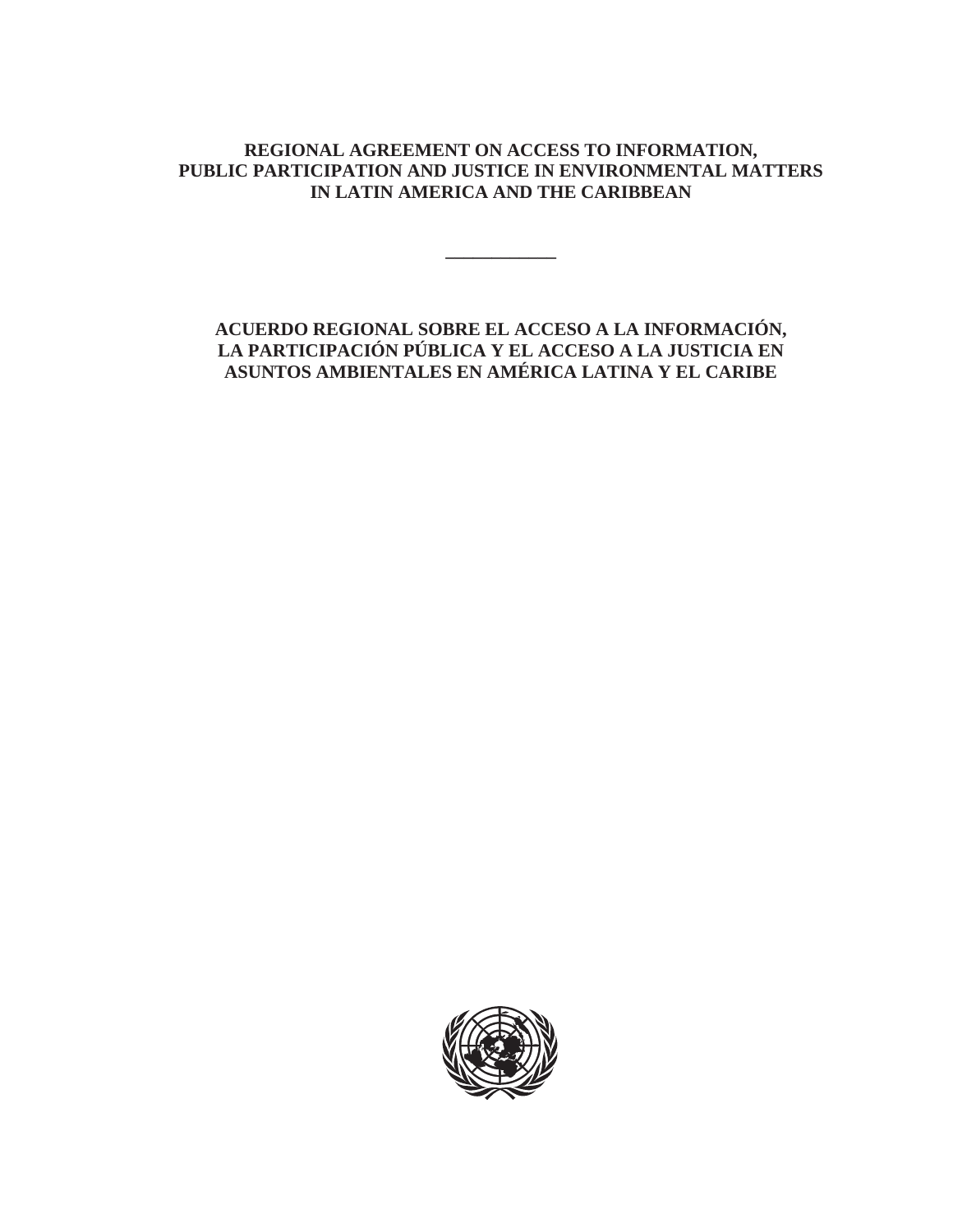# **REGIONAL AGREEMENT ON ACCESS TO INFORMATION, PUBLIC PARTICIPATION AND JUSTICE IN ENVIRONMENTAL MATTERS IN LATIN AMERICA AND THE CARIBBEAN**

**\_\_\_\_\_\_\_\_\_\_\_\_** 

# **ACUERDO REGIONAL SOBRE EL ACCESO A LA INFORMACIÓN, LA PARTICIPACIÓN PÚBLICA Y EL ACCESO A LA JUSTICIA EN ASUNTOS AMBIENTALES EN AMÉRICA LATINA Y EL CARIBE**

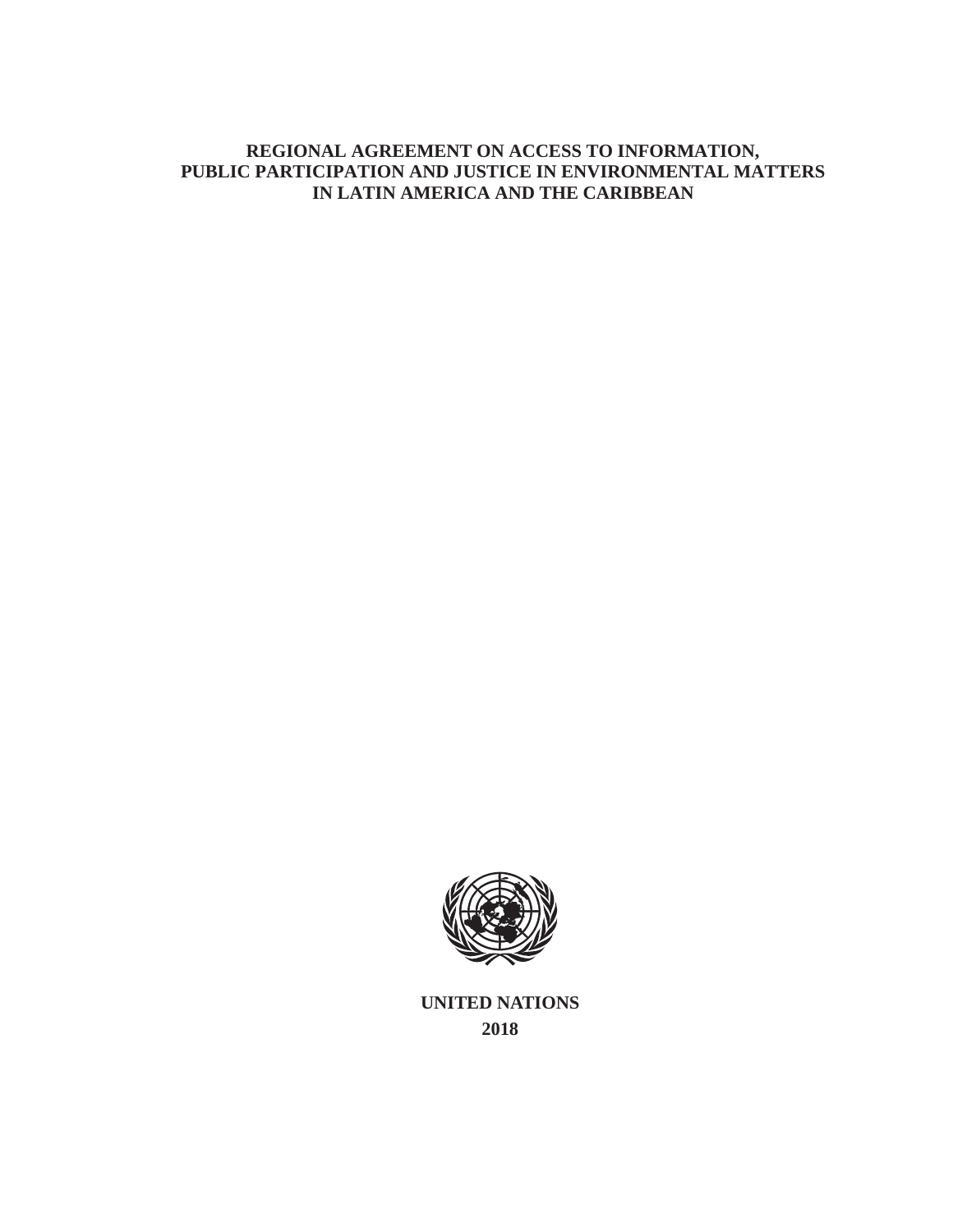# **REGIONAL AGREEMENT ON ACCESS TO INFORMATION, PUBLIC PARTICIPATION AND JUSTICE IN ENVIRONMENTAL MATTERS IN LATIN AMERICA AND THE CARIBBEAN**



**UNITED NATIONS 2018**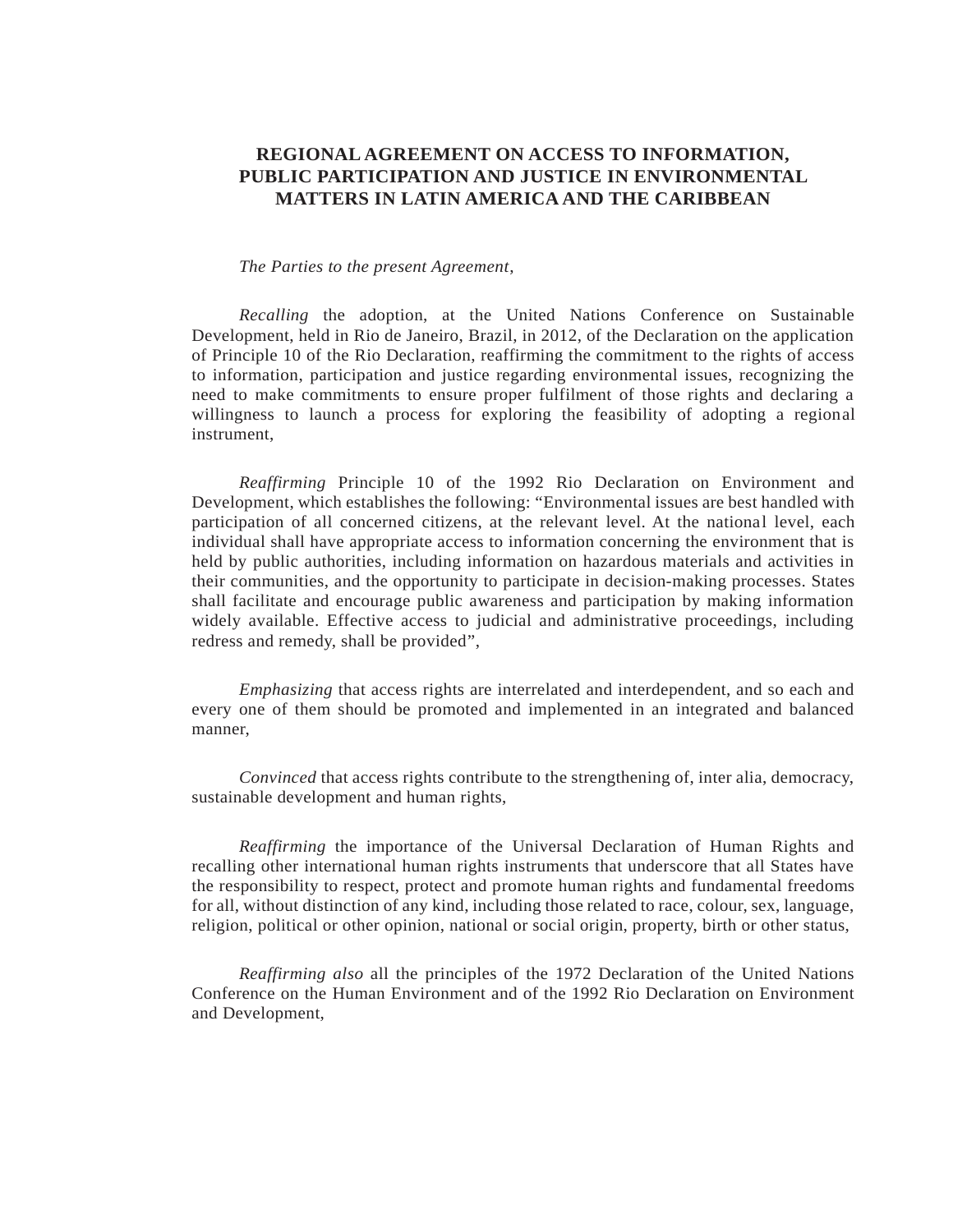# **REGIONAL AGREEMENT ON ACCESS TO INFORMATION, PUBLIC PARTICIPATION AND JUSTICE IN ENVIRONMENTAL MATTERS IN LATIN AMERICA AND THE CARIBBEAN**

#### *The Parties to the present Agreement*,

*Recalling* the adoption, at the United Nations Conference on Sustainable Development, held in Rio de Janeiro, Brazil, in 2012, of the Declaration on the application of Principle 10 of the Rio Declaration, reaffirming the commitment to the rights of access to information, participation and justice regarding environmental issues, recognizing the need to make commitments to ensure proper fulfilment of those rights and declaring a willingness to launch a process for exploring the feasibility of adopting a regional instrument,

*Reaffirming* Principle 10 of the 1992 Rio Declaration on Environment and Development, which establishes the following: "Environmental issues are best handled with participation of all concerned citizens, at the relevant level. At the national level, each individual shall have appropriate access to information concerning the environment that is held by public authorities, including information on hazardous materials and activities in their communities, and the opportunity to participate in decision-making processes. States shall facilitate and encourage public awareness and participation by making information widely available. Effective access to judicial and administrative proceedings, including redress and remedy, shall be provided",

*Emphasizing* that access rights are interrelated and interdependent, and so each and every one of them should be promoted and implemented in an integrated and balanced manner,

*Convinced* that access rights contribute to the strengthening of, inter alia, democracy, sustainable development and human rights,

*Reaffirming* the importance of the Universal Declaration of Human Rights and recalling other international human rights instruments that underscore that all States have the responsibility to respect, protect and promote human rights and fundamental freedoms for all, without distinction of any kind, including those related to race, colour, sex, language, religion, political or other opinion, national or social origin, property, birth or other status,

*Reaffirming also* all the principles of the 1972 Declaration of the United Nations Conference on the Human Environment and of the 1992 Rio Declaration on Environment and Development,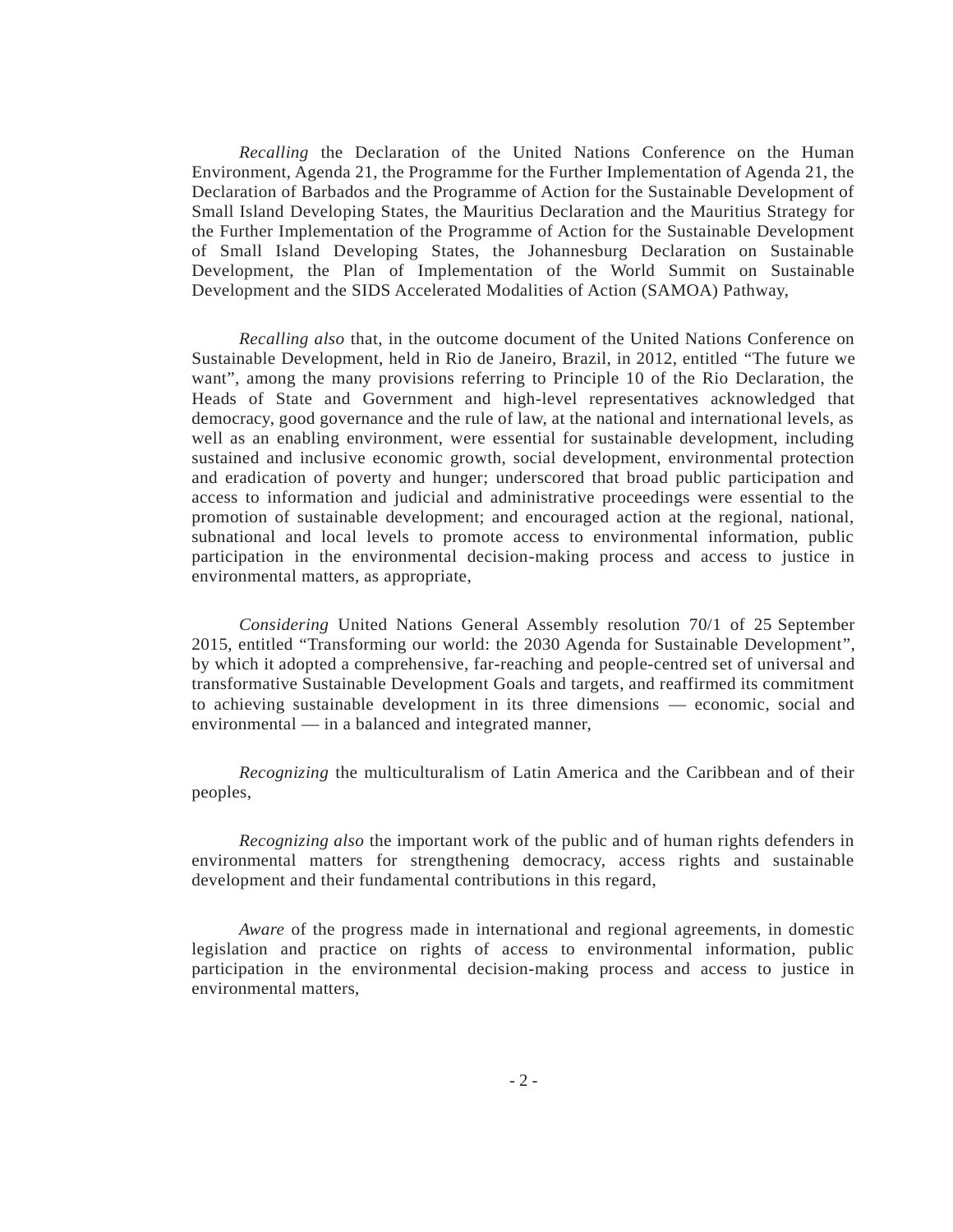*Recalling* the Declaration of the United Nations Conference on the Human Environment, Agenda 21, the Programme for the Further Implementation of Agenda 21, the Declaration of Barbados and the Programme of Action for the Sustainable Development of Small Island Developing States, the Mauritius Declaration and the Mauritius Strategy for the Further Implementation of the Programme of Action for the Sustainable Development of Small Island Developing States, the Johannesburg Declaration on Sustainable Development, the Plan of Implementation of the World Summit on Sustainable Development and the SIDS Accelerated Modalities of Action (SAMOA) Pathway,

*Recalling also* that, in the outcome document of the United Nations Conference on Sustainable Development, held in Rio de Janeiro, Brazil, in 2012, entitled "The future we want", among the many provisions referring to Principle 10 of the Rio Declaration, the Heads of State and Government and high-level representatives acknowledged that democracy, good governance and the rule of law, at the national and international levels, as well as an enabling environment, were essential for sustainable development, including sustained and inclusive economic growth, social development, environmental protection and eradication of poverty and hunger; underscored that broad public participation and access to information and judicial and administrative proceedings were essential to the promotion of sustainable development; and encouraged action at the regional, national, subnational and local levels to promote access to environmental information, public participation in the environmental decision-making process and access to justice in environmental matters, as appropriate,

*Considering* United Nations General Assembly resolution 70/1 of 25 September 2015, entitled "Transforming our world: the 2030 Agenda for Sustainable Development", by which it adopted a comprehensive, far-reaching and people-centred set of universal and transformative Sustainable Development Goals and targets, and reaffirmed its commitment to achieving sustainable development in its three dimensions — economic, social and environmental — in a balanced and integrated manner,

*Recognizing* the multiculturalism of Latin America and the Caribbean and of their peoples,

*Recognizing also* the important work of the public and of human rights defenders in environmental matters for strengthening democracy, access rights and sustainable development and their fundamental contributions in this regard,

*Aware* of the progress made in international and regional agreements, in domestic legislation and practice on rights of access to environmental information, public participation in the environmental decision-making process and access to justice in environmental matters,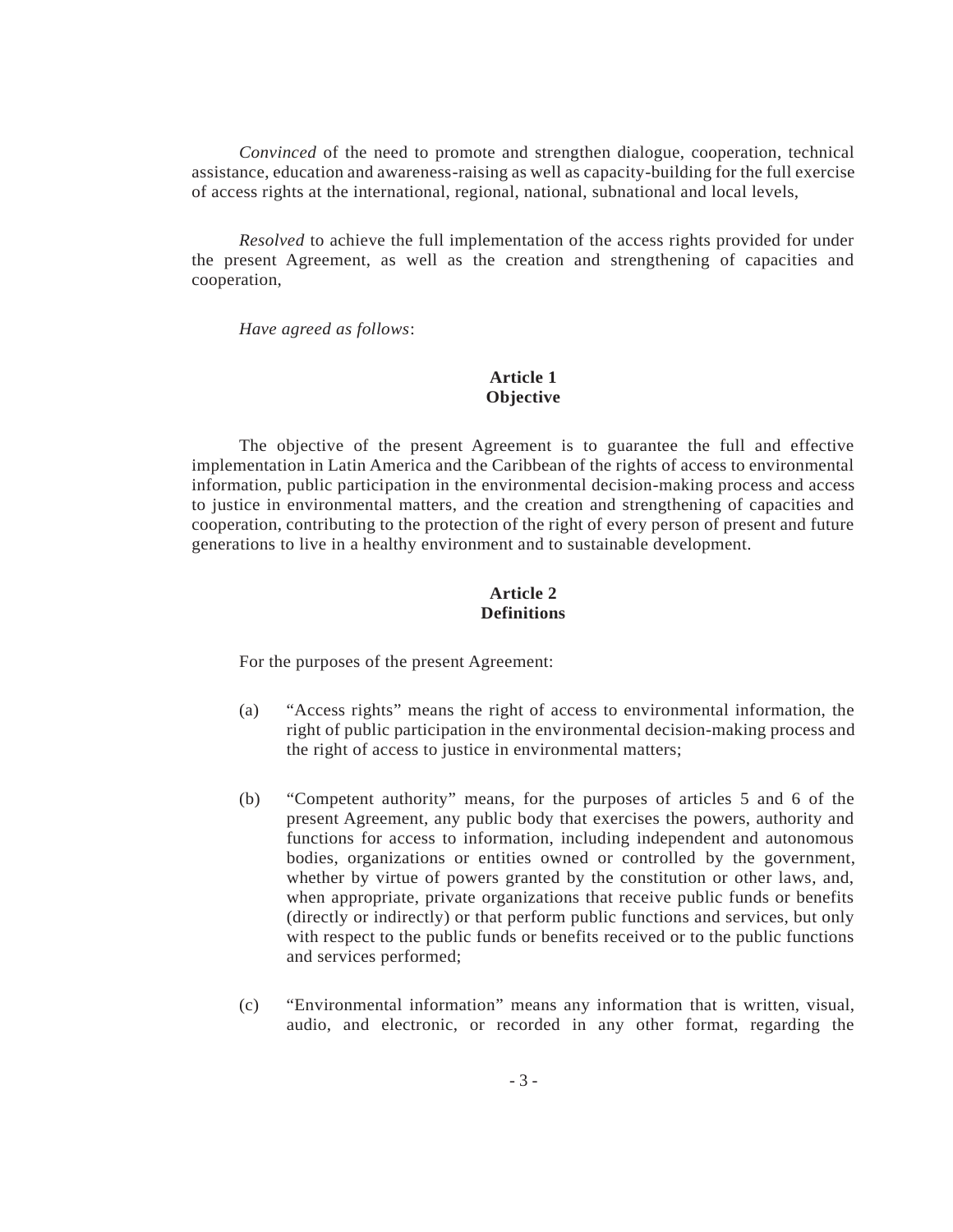*Convinced* of the need to promote and strengthen dialogue, cooperation, technical assistance, education and awareness-raising as well as capacity-building for the full exercise of access rights at the international, regional, national, subnational and local levels,

*Resolved* to achieve the full implementation of the access rights provided for under the present Agreement, as well as the creation and strengthening of capacities and cooperation,

*Have agreed as follows*:

## **Article 1 Objective**

The objective of the present Agreement is to guarantee the full and effective implementation in Latin America and the Caribbean of the rights of access to environmental information, public participation in the environmental decision-making process and access to justice in environmental matters, and the creation and strengthening of capacities and cooperation, contributing to the protection of the right of every person of present and future generations to live in a healthy environment and to sustainable development.

### **Article 2 Definitions**

For the purposes of the present Agreement:

- (a) "Access rights" means the right of access to environmental information, the right of public participation in the environmental decision-making process and the right of access to justice in environmental matters;
- (b) "Competent authority" means, for the purposes of articles 5 and 6 of the present Agreement, any public body that exercises the powers, authority and functions for access to information, including independent and autonomous bodies, organizations or entities owned or controlled by the government, whether by virtue of powers granted by the constitution or other laws, and, when appropriate, private organizations that receive public funds or benefits (directly or indirectly) or that perform public functions and services, but only with respect to the public funds or benefits received or to the public functions and services performed;
- (c) "Environmental information" means any information that is written, visual, audio, and electronic, or recorded in any other format, regarding the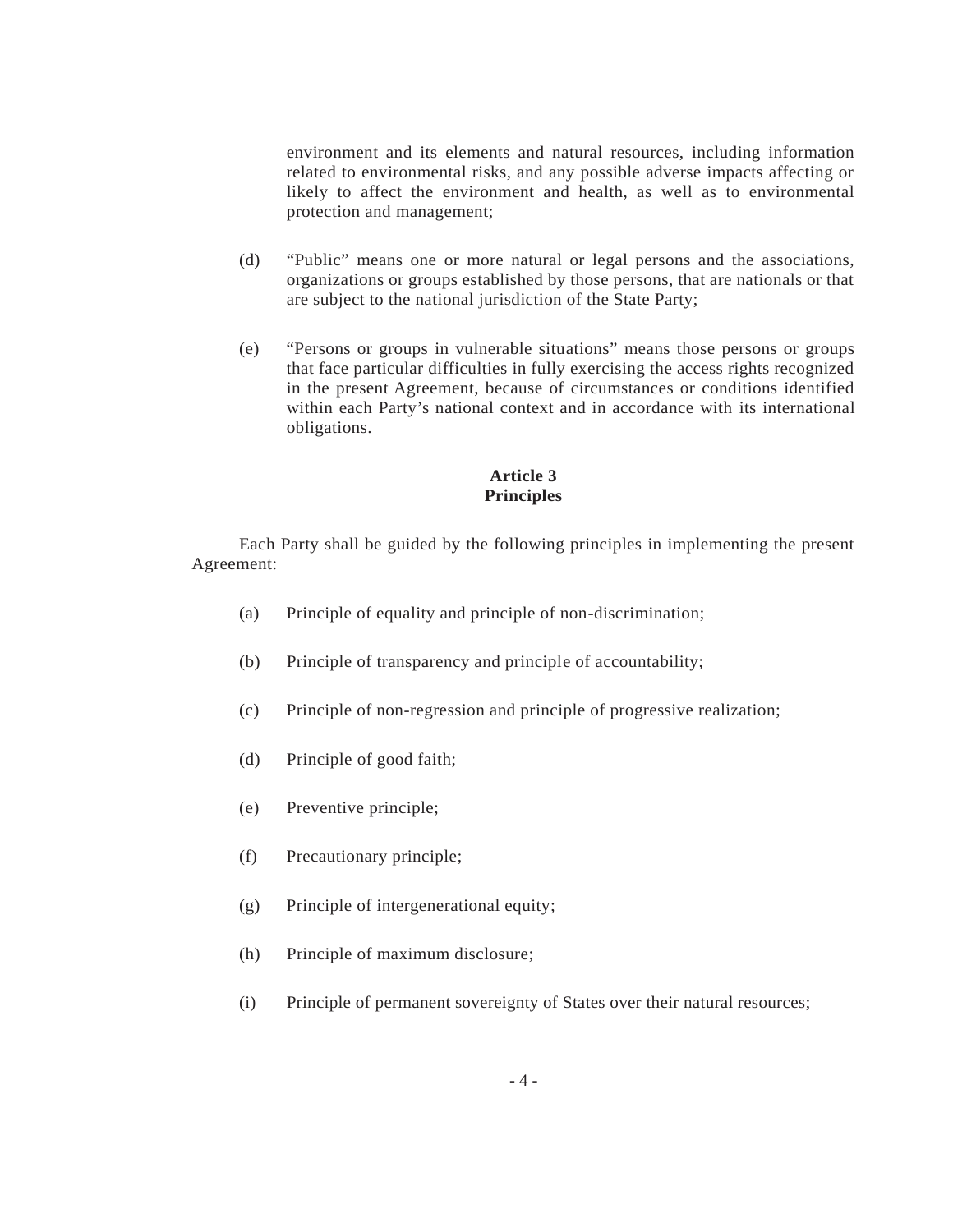environment and its elements and natural resources, including information related to environmental risks, and any possible adverse impacts affecting or likely to affect the environment and health, as well as to environmental protection and management;

- (d) "Public" means one or more natural or legal persons and the associations, organizations or groups established by those persons, that are nationals or that are subject to the national jurisdiction of the State Party;
- (e) "Persons or groups in vulnerable situations" means those persons or groups that face particular difficulties in fully exercising the access rights recognized in the present Agreement, because of circumstances or conditions identified within each Party's national context and in accordance with its international obligations.

### **Article 3 Principles**

Each Party shall be guided by the following principles in implementing the present Agreement:

- (a) Principle of equality and principle of non-discrimination;
- (b) Principle of transparency and principle of accountability;
- (c) Principle of non-regression and principle of progressive realization;
- (d) Principle of good faith;
- (e) Preventive principle;
- (f) Precautionary principle;
- (g) Principle of intergenerational equity;
- (h) Principle of maximum disclosure;
- (i) Principle of permanent sovereignty of States over their natural resources;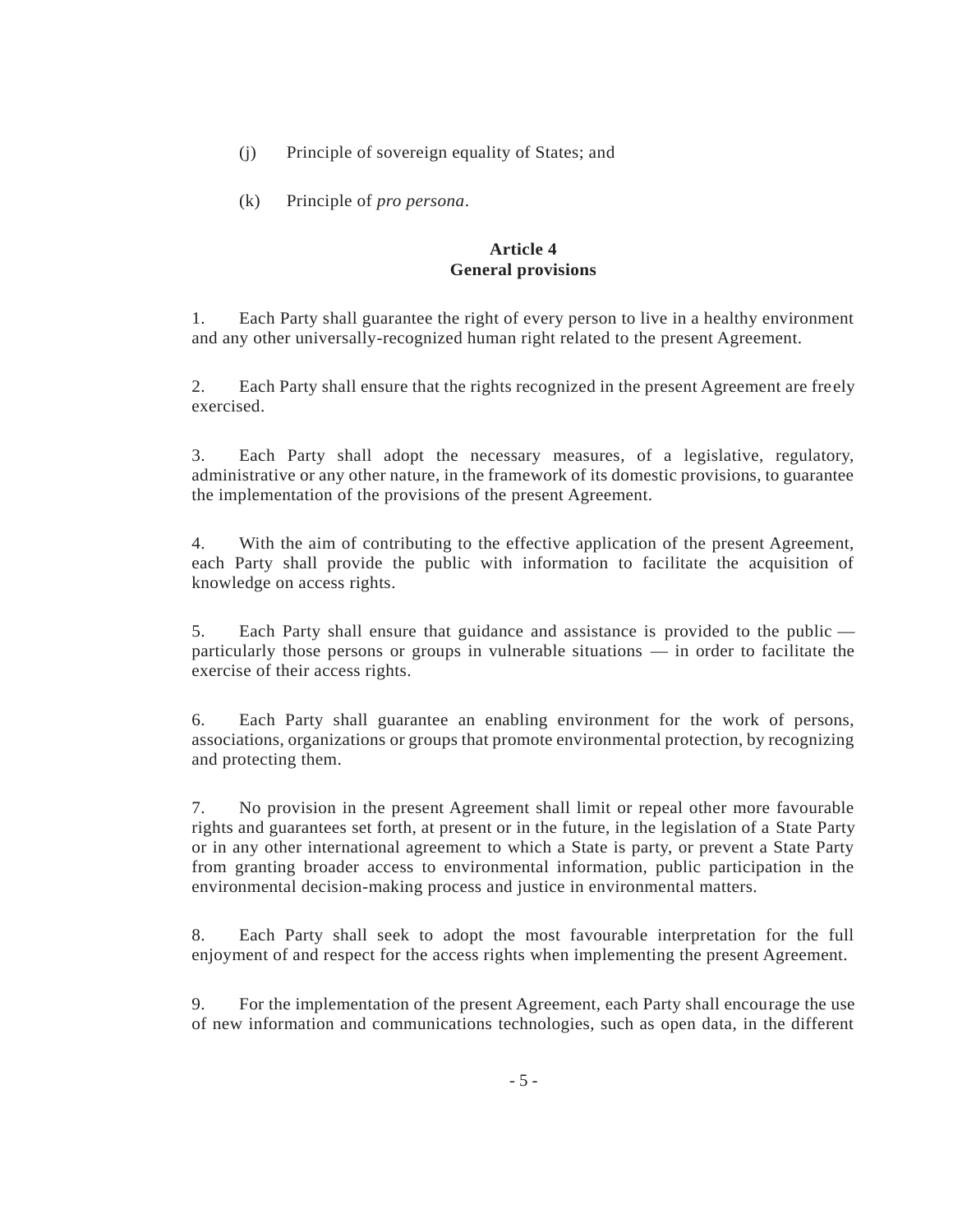- (j) Principle of sovereign equality of States; and
- (k) Principle of *pro persona*.

## **Article 4 General provisions**

1. Each Party shall guarantee the right of every person to live in a healthy environment and any other universally-recognized human right related to the present Agreement.

2. Each Party shall ensure that the rights recognized in the present Agreement are freely exercised.

3. Each Party shall adopt the necessary measures, of a legislative, regulatory, administrative or any other nature, in the framework of its domestic provisions, to guarantee the implementation of the provisions of the present Agreement.

4. With the aim of contributing to the effective application of the present Agreement, each Party shall provide the public with information to facilitate the acquisition of knowledge on access rights.

5. Each Party shall ensure that guidance and assistance is provided to the public particularly those persons or groups in vulnerable situations — in order to facilitate the exercise of their access rights.

6. Each Party shall guarantee an enabling environment for the work of persons, associations, organizations or groups that promote environmental protection, by recognizing and protecting them.

7. No provision in the present Agreement shall limit or repeal other more favourable rights and guarantees set forth, at present or in the future, in the legislation of a State Party or in any other international agreement to which a State is party, or prevent a State Party from granting broader access to environmental information, public participation in the environmental decision-making process and justice in environmental matters.

8. Each Party shall seek to adopt the most favourable interpretation for the full enjoyment of and respect for the access rights when implementing the present Agreement.

9. For the implementation of the present Agreement, each Party shall encourage the use of new information and communications technologies, such as open data, in the different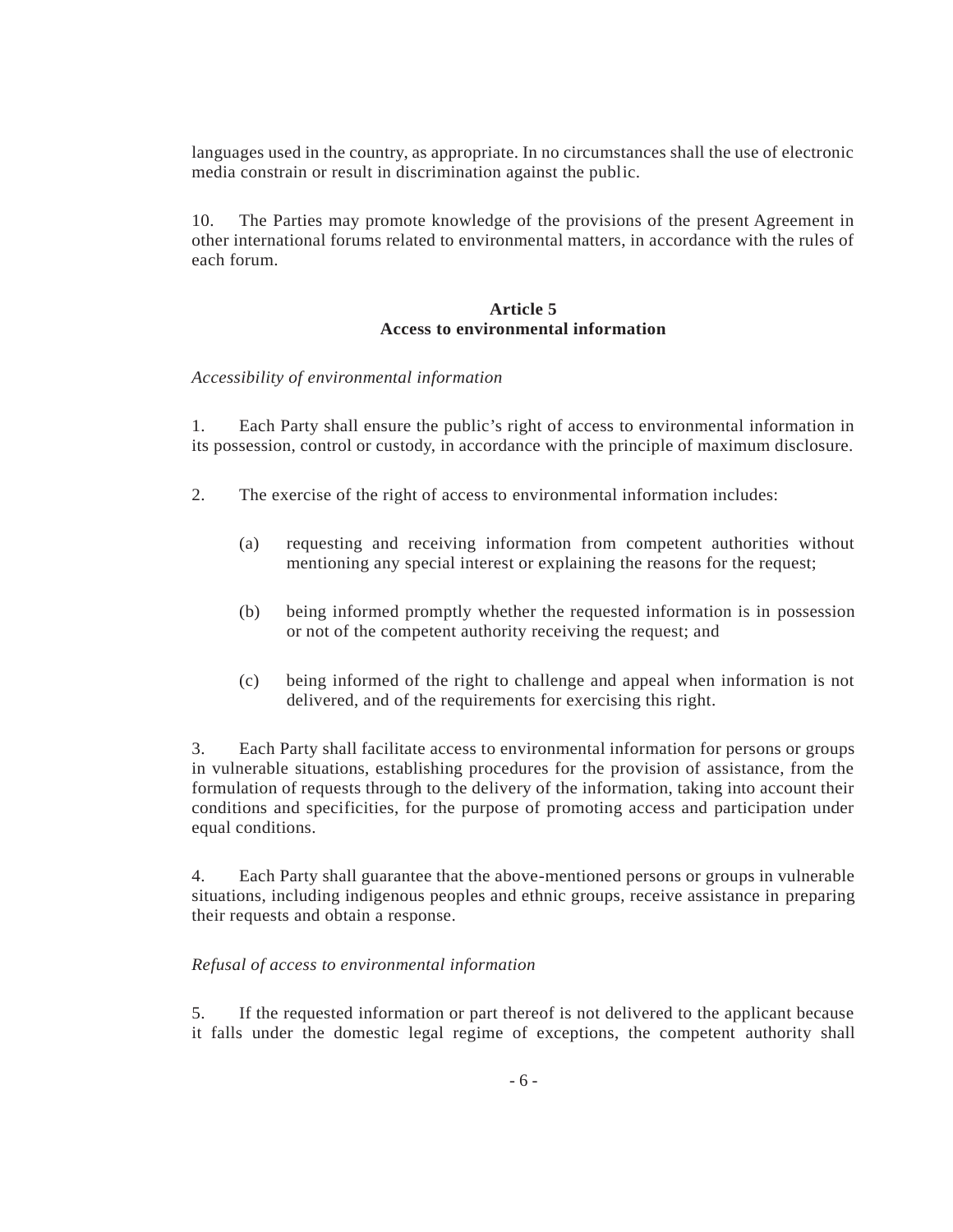languages used in the country, as appropriate. In no circumstances shall the use of electronic media constrain or result in discrimination against the public.

10. The Parties may promote knowledge of the provisions of the present Agreement in other international forums related to environmental matters, in accordance with the rules of each forum.

## **Article 5 Access to environmental information**

### *Accessibility of environmental information*

1. Each Party shall ensure the public's right of access to environmental information in its possession, control or custody, in accordance with the principle of maximum disclosure.

- 2. The exercise of the right of access to environmental information includes:
	- (a) requesting and receiving information from competent authorities without mentioning any special interest or explaining the reasons for the request;
	- (b) being informed promptly whether the requested information is in possession or not of the competent authority receiving the request; and
	- (c) being informed of the right to challenge and appeal when information is not delivered, and of the requirements for exercising this right.

3. Each Party shall facilitate access to environmental information for persons or groups in vulnerable situations, establishing procedures for the provision of assistance, from the formulation of requests through to the delivery of the information, taking into account their conditions and specificities, for the purpose of promoting access and participation under equal conditions.

4. Each Party shall guarantee that the above-mentioned persons or groups in vulnerable situations, including indigenous peoples and ethnic groups, receive assistance in preparing their requests and obtain a response.

### *Refusal of access to environmental information*

5. If the requested information or part thereof is not delivered to the applicant because it falls under the domestic legal regime of exceptions, the competent authority shall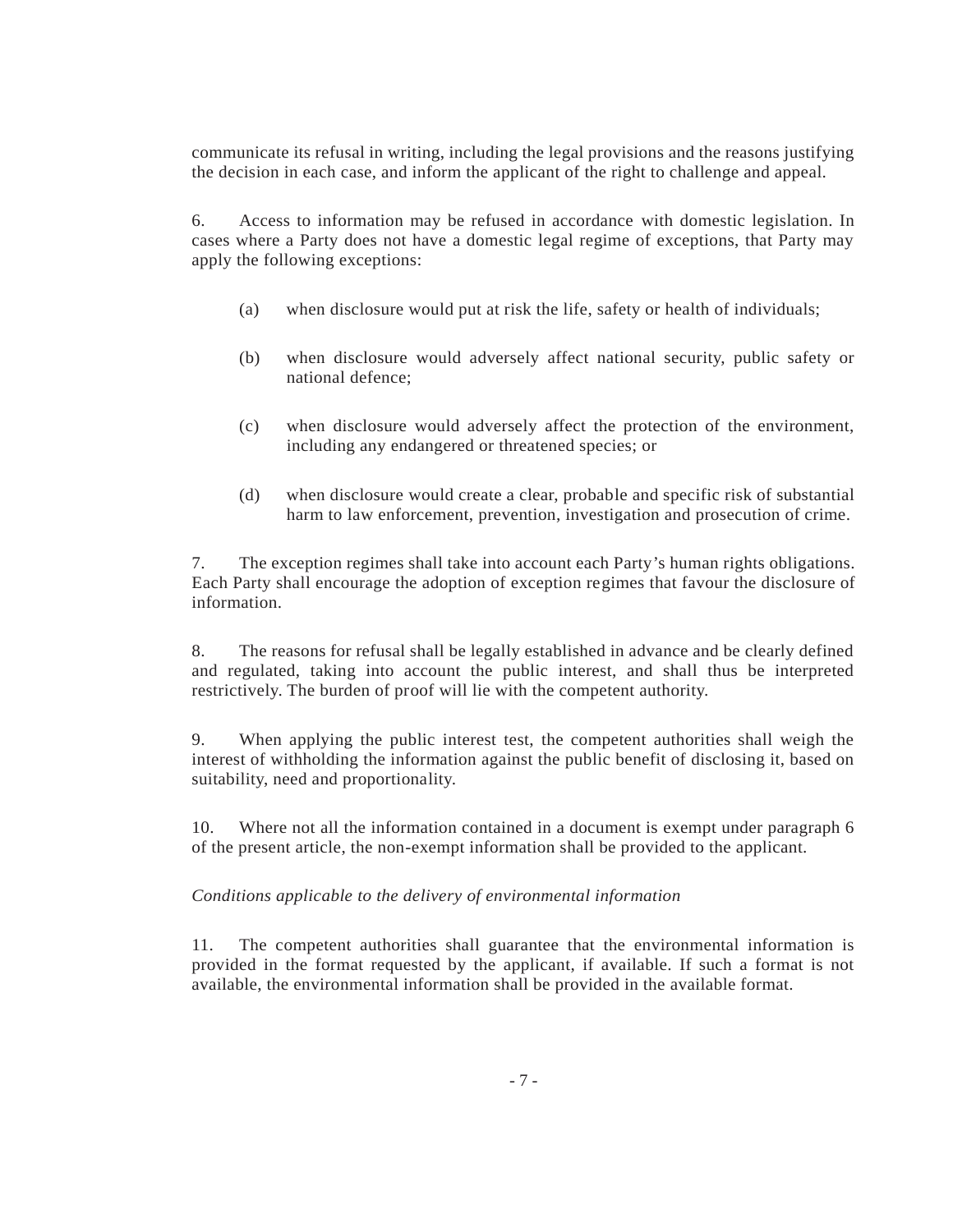communicate its refusal in writing, including the legal provisions and the reasons justifying the decision in each case, and inform the applicant of the right to challenge and appeal.

6. Access to information may be refused in accordance with domestic legislation. In cases where a Party does not have a domestic legal regime of exceptions, that Party may apply the following exceptions:

- (a) when disclosure would put at risk the life, safety or health of individuals;
- (b) when disclosure would adversely affect national security, public safety or national defence;
- (c) when disclosure would adversely affect the protection of the environment, including any endangered or threatened species; or
- (d) when disclosure would create a clear, probable and specific risk of substantial harm to law enforcement, prevention, investigation and prosecution of crime.

7. The exception regimes shall take into account each Party's human rights obligations. Each Party shall encourage the adoption of exception regimes that favour the disclosure of information.

8. The reasons for refusal shall be legally established in advance and be clearly defined and regulated, taking into account the public interest, and shall thus be interpreted restrictively. The burden of proof will lie with the competent authority.

9. When applying the public interest test, the competent authorities shall weigh the interest of withholding the information against the public benefit of disclosing it, based on suitability, need and proportionality.

10. Where not all the information contained in a document is exempt under paragraph 6 of the present article, the non-exempt information shall be provided to the applicant.

### *Conditions applicable to the delivery of environmental information*

11. The competent authorities shall guarantee that the environmental information is provided in the format requested by the applicant, if available. If such a format is not available, the environmental information shall be provided in the available format.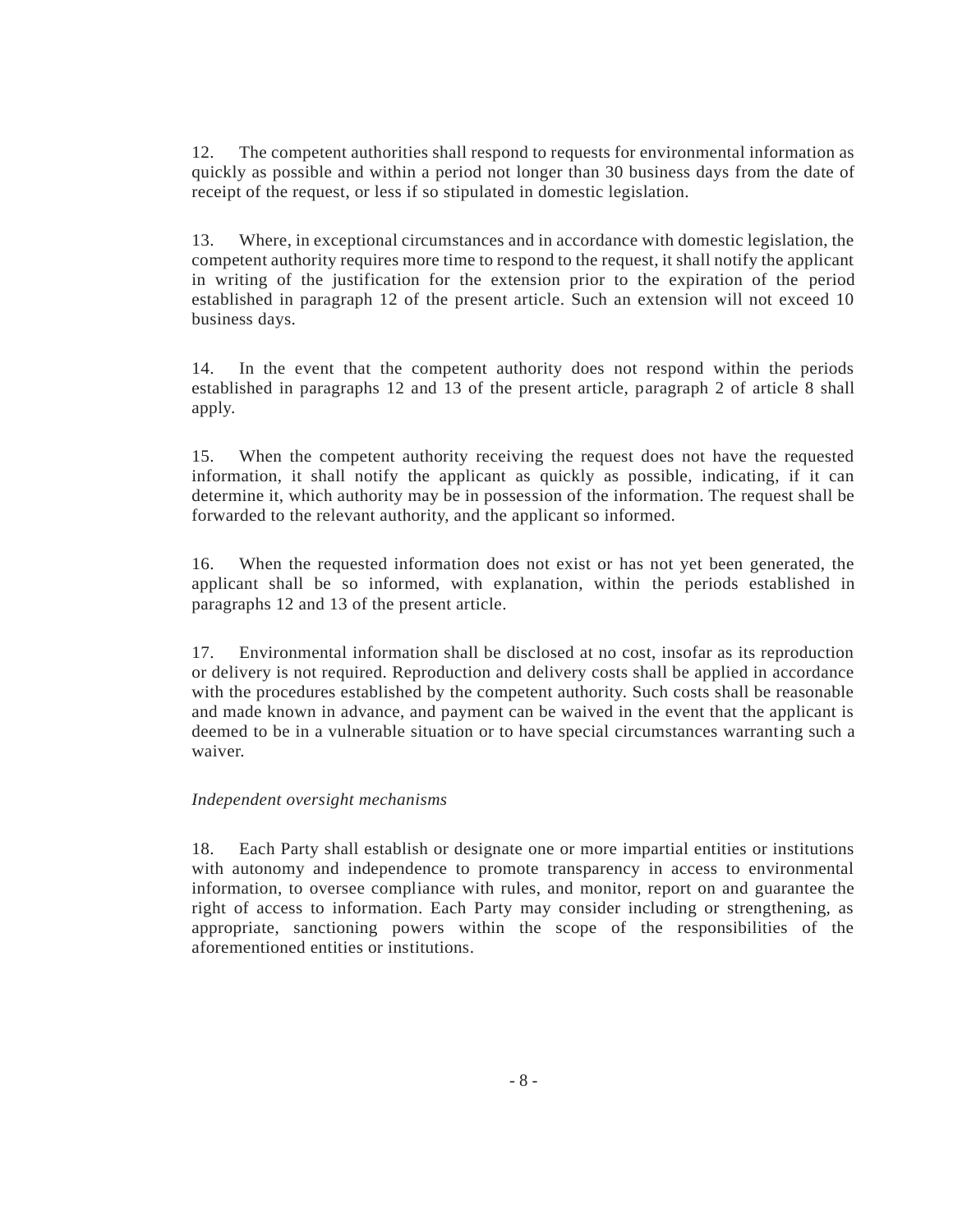12. The competent authorities shall respond to requests for environmental information as quickly as possible and within a period not longer than 30 business days from the date of receipt of the request, or less if so stipulated in domestic legislation.

13. Where, in exceptional circumstances and in accordance with domestic legislation, the competent authority requires more time to respond to the request, it shall notify the applicant in writing of the justification for the extension prior to the expiration of the period established in paragraph 12 of the present article. Such an extension will not exceed 10 business days.

14. In the event that the competent authority does not respond within the periods established in paragraphs 12 and 13 of the present article, paragraph 2 of article 8 shall apply.

15. When the competent authority receiving the request does not have the requested information, it shall notify the applicant as quickly as possible, indicating, if it can determine it, which authority may be in possession of the information. The request shall be forwarded to the relevant authority, and the applicant so informed.

16. When the requested information does not exist or has not yet been generated, the applicant shall be so informed, with explanation, within the periods established in paragraphs 12 and 13 of the present article.

17. Environmental information shall be disclosed at no cost, insofar as its reproduction or delivery is not required. Reproduction and delivery costs shall be applied in accordance with the procedures established by the competent authority. Such costs shall be reasonable and made known in advance, and payment can be waived in the event that the applicant is deemed to be in a vulnerable situation or to have special circumstances warranting such a waiver.

## *Independent oversight mechanisms*

18. Each Party shall establish or designate one or more impartial entities or institutions with autonomy and independence to promote transparency in access to environmental information, to oversee compliance with rules, and monitor, report on and guarantee the right of access to information. Each Party may consider including or strengthening, as appropriate, sanctioning powers within the scope of the responsibilities of the aforementioned entities or institutions.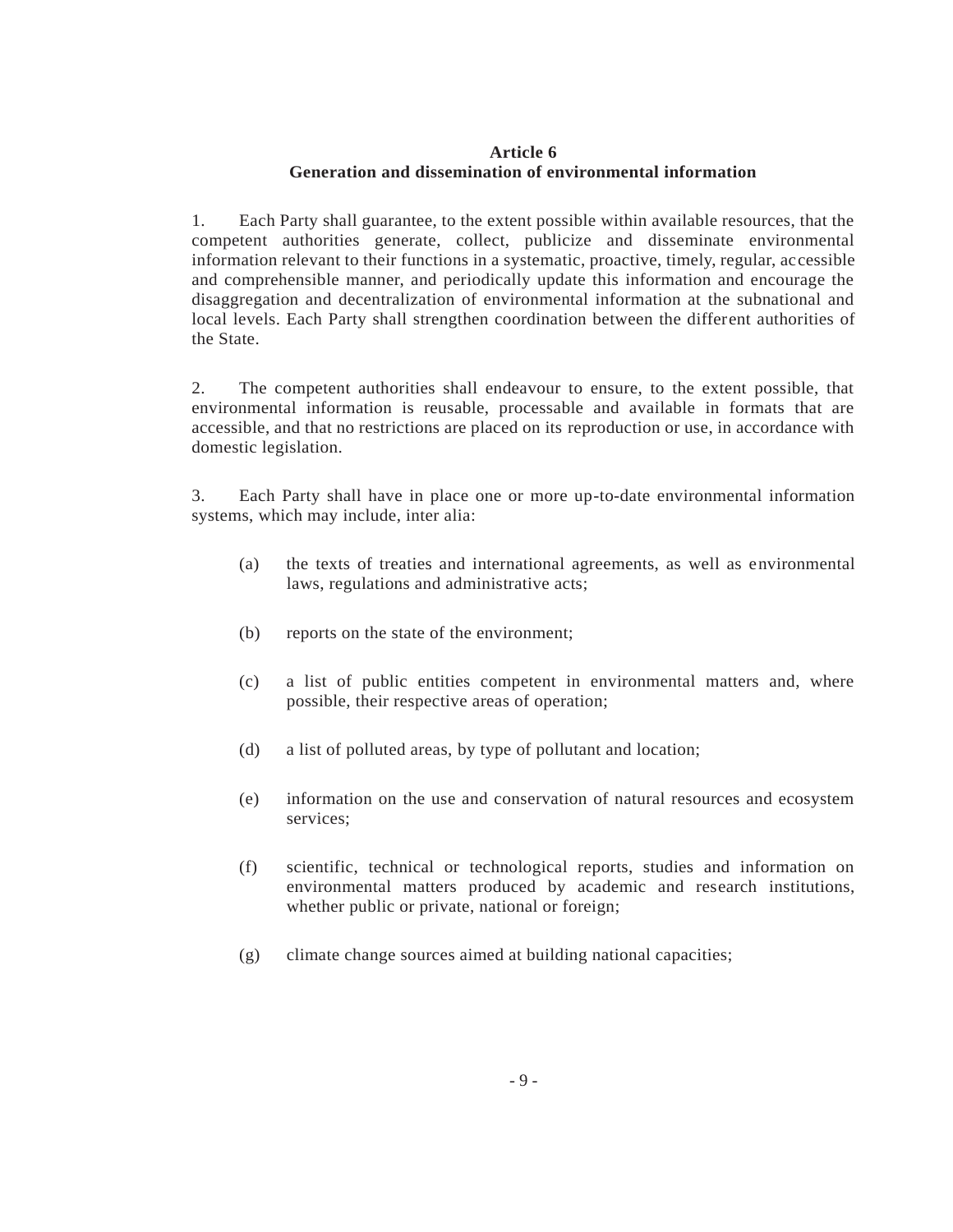# **Article 6 Generation and dissemination of environmental information**

1. Each Party shall guarantee, to the extent possible within available resources, that the competent authorities generate, collect, publicize and disseminate environmental information relevant to their functions in a systematic, proactive, timely, regular, accessible and comprehensible manner, and periodically update this information and encourage the disaggregation and decentralization of environmental information at the subnational and local levels. Each Party shall strengthen coordination between the different authorities of the State.

2. The competent authorities shall endeavour to ensure, to the extent possible, that environmental information is reusable, processable and available in formats that are accessible, and that no restrictions are placed on its reproduction or use, in accordance with domestic legislation.

3. Each Party shall have in place one or more up-to-date environmental information systems, which may include, inter alia:

- (a) the texts of treaties and international agreements, as well as environmental laws, regulations and administrative acts;
- (b) reports on the state of the environment;
- (c) a list of public entities competent in environmental matters and, where possible, their respective areas of operation;
- (d) a list of polluted areas, by type of pollutant and location;
- (e) information on the use and conservation of natural resources and ecosystem services;
- (f) scientific, technical or technological reports, studies and information on environmental matters produced by academic and research institutions, whether public or private, national or foreign;
- (g) climate change sources aimed at building national capacities;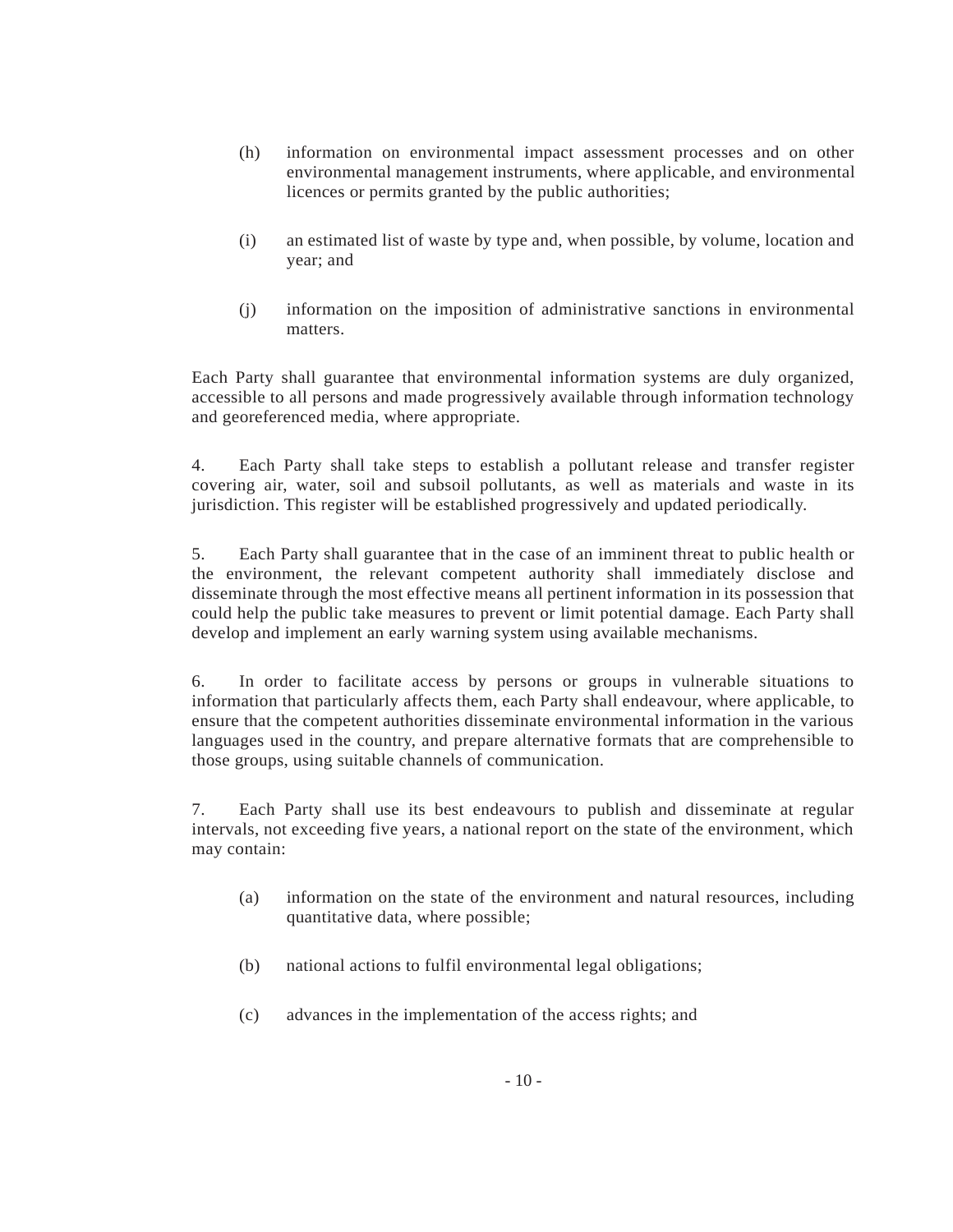- (h) information on environmental impact assessment processes and on other environmental management instruments, where applicable, and environmental licences or permits granted by the public authorities;
- (i) an estimated list of waste by type and, when possible, by volume, location and year; and
- (j) information on the imposition of administrative sanctions in environmental matters.

Each Party shall guarantee that environmental information systems are duly organized, accessible to all persons and made progressively available through information technology and georeferenced media, where appropriate.

4. Each Party shall take steps to establish a pollutant release and transfer register covering air, water, soil and subsoil pollutants, as well as materials and waste in its jurisdiction. This register will be established progressively and updated periodically.

5. Each Party shall guarantee that in the case of an imminent threat to public health or the environment, the relevant competent authority shall immediately disclose and disseminate through the most effective means all pertinent information in its possession that could help the public take measures to prevent or limit potential damage. Each Party shall develop and implement an early warning system using available mechanisms.

6. In order to facilitate access by persons or groups in vulnerable situations to information that particularly affects them, each Party shall endeavour, where applicable, to ensure that the competent authorities disseminate environmental information in the various languages used in the country, and prepare alternative formats that are comprehensible to those groups, using suitable channels of communication.

7. Each Party shall use its best endeavours to publish and disseminate at regular intervals, not exceeding five years, a national report on the state of the environment, which may contain:

- (a) information on the state of the environment and natural resources, including quantitative data, where possible;
- (b) national actions to fulfil environmental legal obligations;
- (c) advances in the implementation of the access rights; and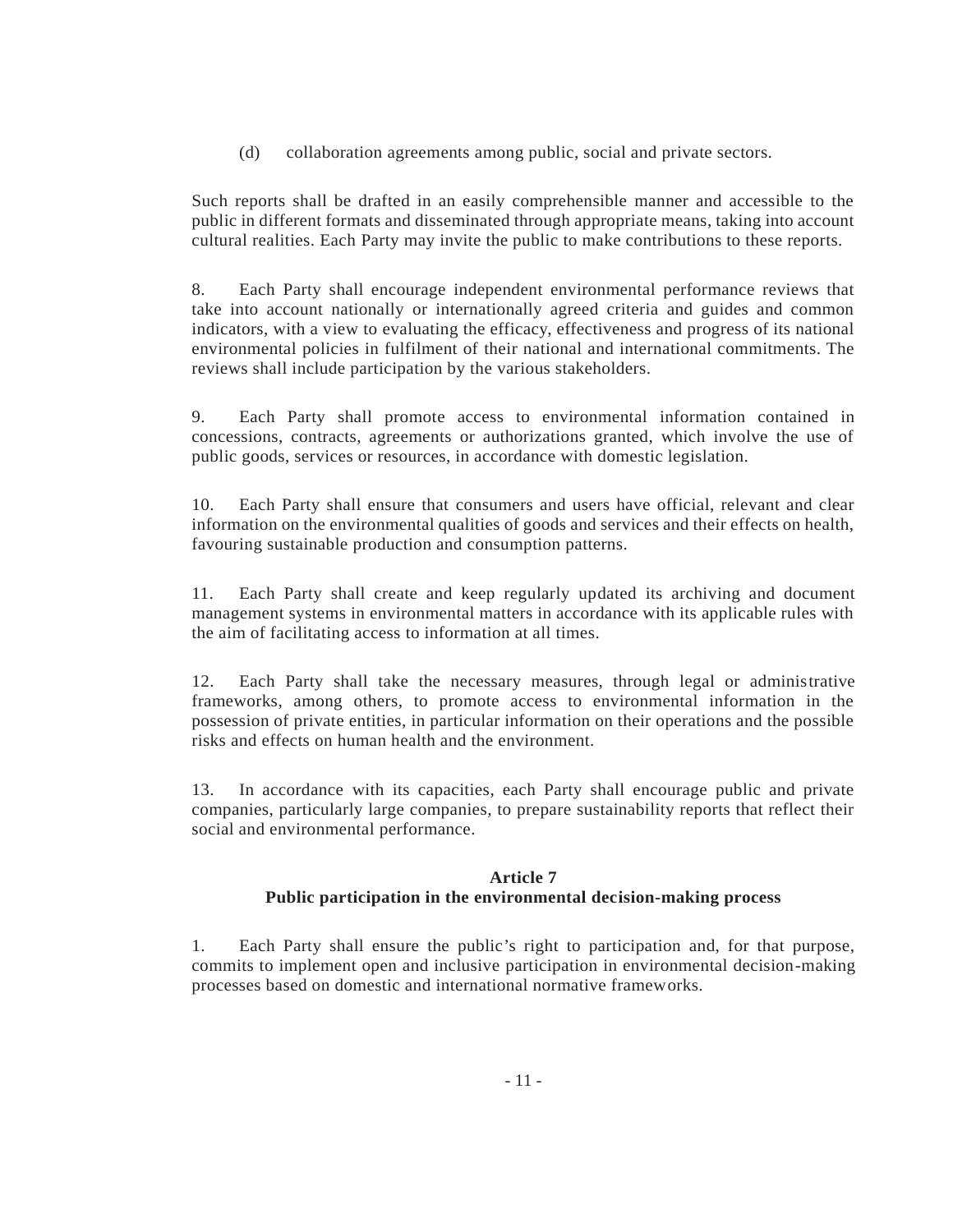(d) collaboration agreements among public, social and private sectors.

Such reports shall be drafted in an easily comprehensible manner and accessible to the public in different formats and disseminated through appropriate means, taking into account cultural realities. Each Party may invite the public to make contributions to these reports.

8. Each Party shall encourage independent environmental performance reviews that take into account nationally or internationally agreed criteria and guides and common indicators, with a view to evaluating the efficacy, effectiveness and progress of its national environmental policies in fulfilment of their national and international commitments. The reviews shall include participation by the various stakeholders.

9. Each Party shall promote access to environmental information contained in concessions, contracts, agreements or authorizations granted, which involve the use of public goods, services or resources, in accordance with domestic legislation.

10. Each Party shall ensure that consumers and users have official, relevant and clear information on the environmental qualities of goods and services and their effects on health, favouring sustainable production and consumption patterns.

11. Each Party shall create and keep regularly updated its archiving and document management systems in environmental matters in accordance with its applicable rules with the aim of facilitating access to information at all times.

12. Each Party shall take the necessary measures, through legal or administrative frameworks, among others, to promote access to environmental information in the possession of private entities, in particular information on their operations and the possible risks and effects on human health and the environment.

13. In accordance with its capacities, each Party shall encourage public and private companies, particularly large companies, to prepare sustainability reports that reflect their social and environmental performance.

# **Article 7 Public participation in the environmental decision-making process**

1. Each Party shall ensure the public's right to participation and, for that purpose, commits to implement open and inclusive participation in environmental decision-making processes based on domestic and international normative frameworks.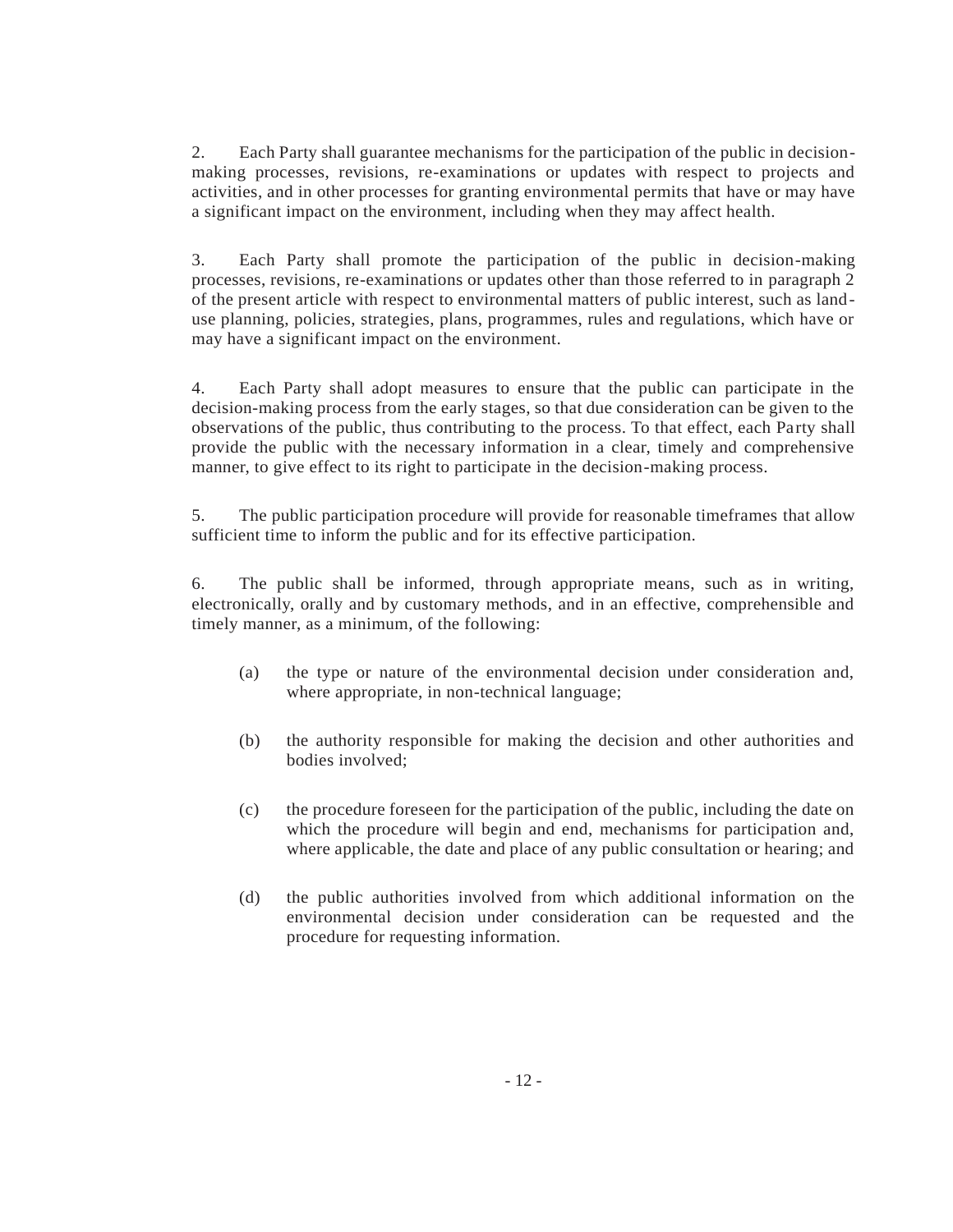2. Each Party shall guarantee mechanisms for the participation of the public in decisionmaking processes, revisions, re-examinations or updates with respect to projects and activities, and in other processes for granting environmental permits that have or may have a significant impact on the environment, including when they may affect health.

3. Each Party shall promote the participation of the public in decision-making processes, revisions, re-examinations or updates other than those referred to in paragraph 2 of the present article with respect to environmental matters of public interest, such as landuse planning, policies, strategies, plans, programmes, rules and regulations, which have or may have a significant impact on the environment.

4. Each Party shall adopt measures to ensure that the public can participate in the decision-making process from the early stages, so that due consideration can be given to the observations of the public, thus contributing to the process. To that effect, each Party shall provide the public with the necessary information in a clear, timely and comprehensive manner, to give effect to its right to participate in the decision-making process.

5. The public participation procedure will provide for reasonable timeframes that allow sufficient time to inform the public and for its effective participation.

6. The public shall be informed, through appropriate means, such as in writing, electronically, orally and by customary methods, and in an effective, comprehensible and timely manner, as a minimum, of the following:

- (a) the type or nature of the environmental decision under consideration and, where appropriate, in non-technical language;
- (b) the authority responsible for making the decision and other authorities and bodies involved;
- (c) the procedure foreseen for the participation of the public, including the date on which the procedure will begin and end, mechanisms for participation and, where applicable, the date and place of any public consultation or hearing; and
- (d) the public authorities involved from which additional information on the environmental decision under consideration can be requested and the procedure for requesting information.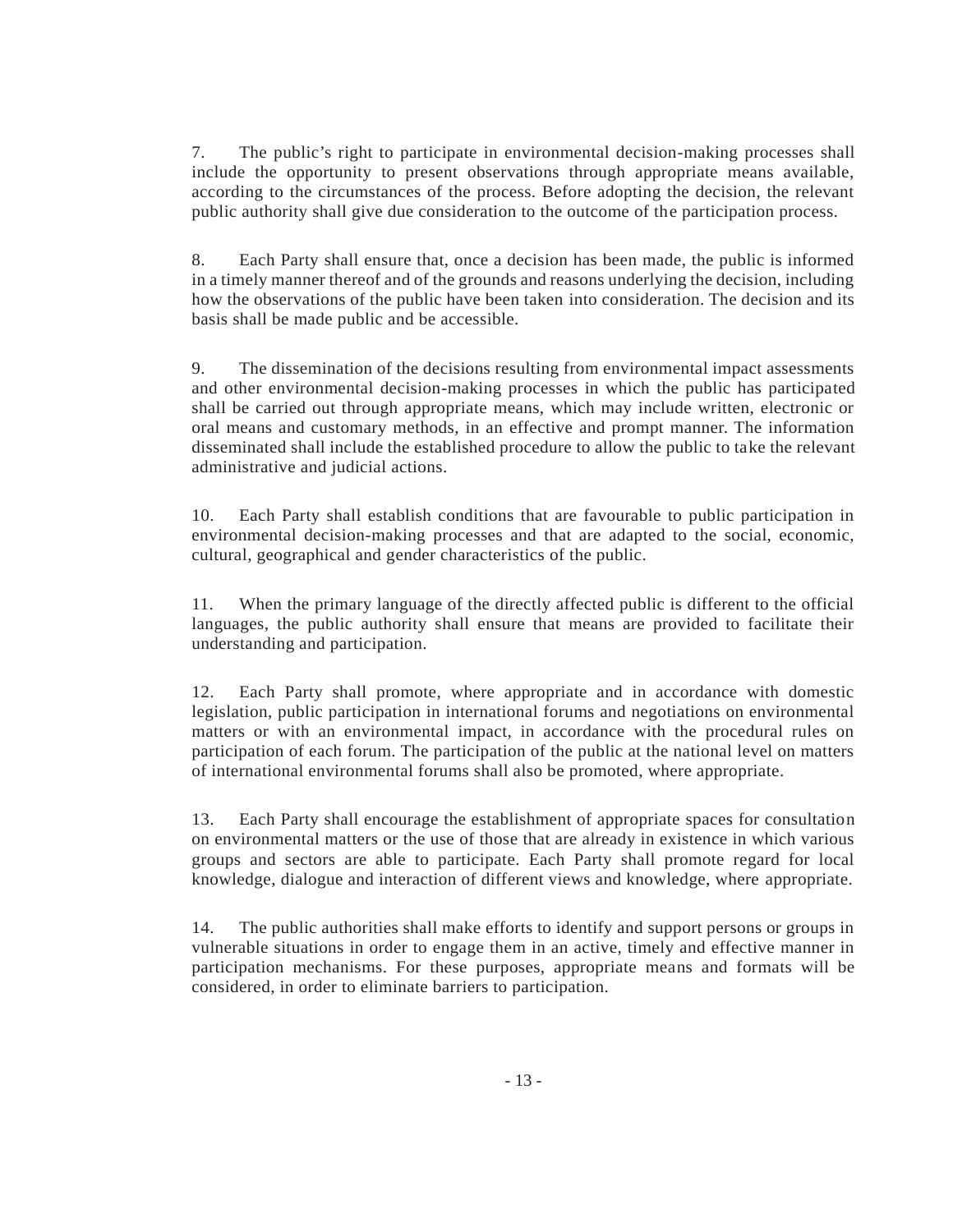7. The public's right to participate in environmental decision-making processes shall include the opportunity to present observations through appropriate means available, according to the circumstances of the process. Before adopting the decision, the relevant public authority shall give due consideration to the outcome of the participation process.

8. Each Party shall ensure that, once a decision has been made, the public is informed in a timely manner thereof and of the grounds and reasons underlying the decision, including how the observations of the public have been taken into consideration. The decision and its basis shall be made public and be accessible.

9. The dissemination of the decisions resulting from environmental impact assessments and other environmental decision-making processes in which the public has participated shall be carried out through appropriate means, which may include written, electronic or oral means and customary methods, in an effective and prompt manner. The information disseminated shall include the established procedure to allow the public to take the relevant administrative and judicial actions.

10. Each Party shall establish conditions that are favourable to public participation in environmental decision-making processes and that are adapted to the social, economic, cultural, geographical and gender characteristics of the public.

11. When the primary language of the directly affected public is different to the official languages, the public authority shall ensure that means are provided to facilitate their understanding and participation.

12. Each Party shall promote, where appropriate and in accordance with domestic legislation, public participation in international forums and negotiations on environmental matters or with an environmental impact, in accordance with the procedural rules on participation of each forum. The participation of the public at the national level on matters of international environmental forums shall also be promoted, where appropriate.

13. Each Party shall encourage the establishment of appropriate spaces for consultation on environmental matters or the use of those that are already in existence in which various groups and sectors are able to participate. Each Party shall promote regard for local knowledge, dialogue and interaction of different views and knowledge, where appropriate.

14. The public authorities shall make efforts to identify and support persons or groups in vulnerable situations in order to engage them in an active, timely and effective manner in participation mechanisms. For these purposes, appropriate means and formats will be considered, in order to eliminate barriers to participation.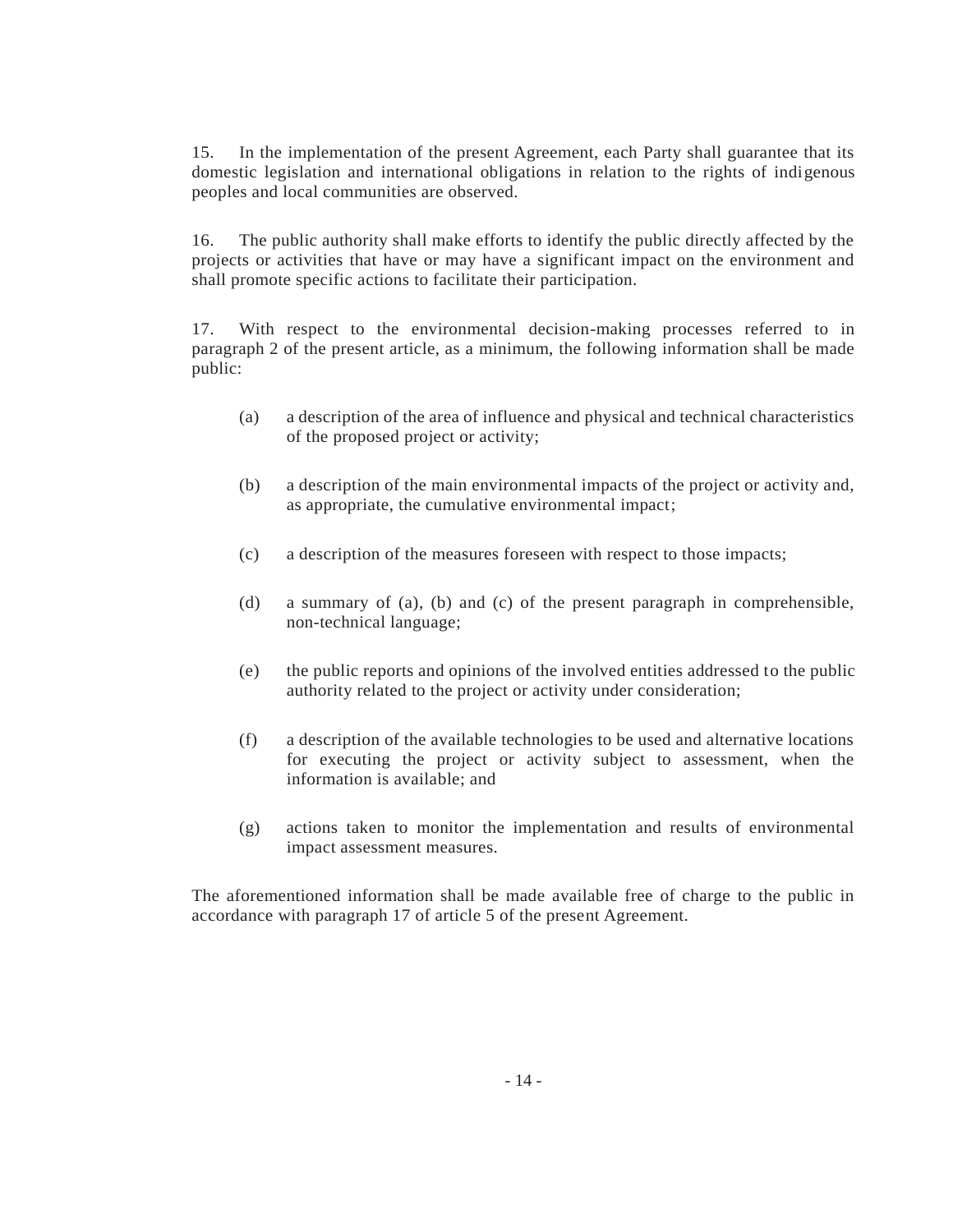15. In the implementation of the present Agreement, each Party shall guarantee that its domestic legislation and international obligations in relation to the rights of indigenous peoples and local communities are observed.

16. The public authority shall make efforts to identify the public directly affected by the projects or activities that have or may have a significant impact on the environment and shall promote specific actions to facilitate their participation.

17. With respect to the environmental decision-making processes referred to in paragraph 2 of the present article, as a minimum, the following information shall be made public:

- (a) a description of the area of influence and physical and technical characteristics of the proposed project or activity;
- (b) a description of the main environmental impacts of the project or activity and, as appropriate, the cumulative environmental impact;
- (c) a description of the measures foreseen with respect to those impacts;
- (d) a summary of (a), (b) and (c) of the present paragraph in comprehensible, non-technical language;
- (e) the public reports and opinions of the involved entities addressed to the public authority related to the project or activity under consideration;
- (f) a description of the available technologies to be used and alternative locations for executing the project or activity subject to assessment, when the information is available; and
- (g) actions taken to monitor the implementation and results of environmental impact assessment measures.

The aforementioned information shall be made available free of charge to the public in accordance with paragraph 17 of article 5 of the present Agreement.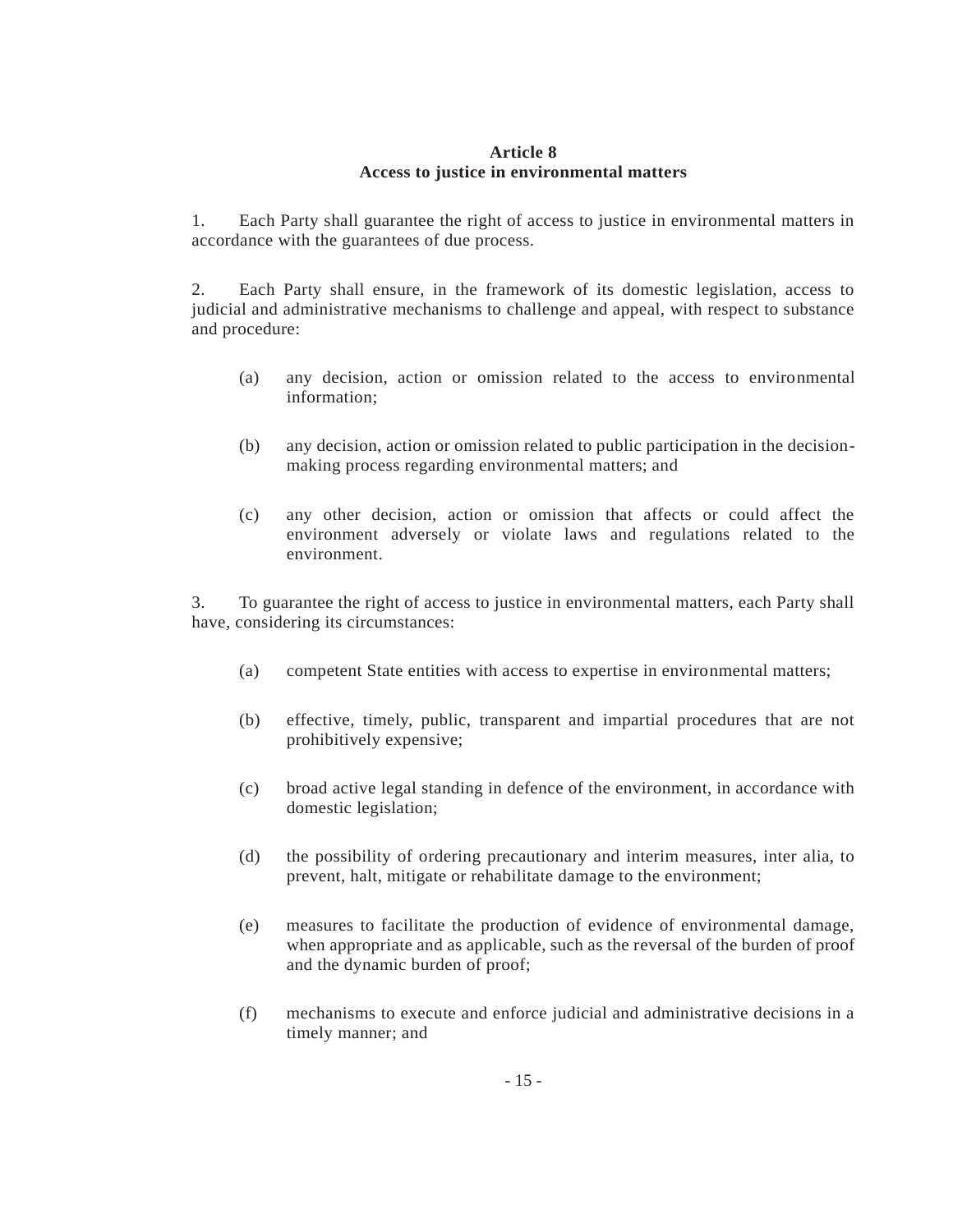# **Article 8 Access to justice in environmental matters**

1. Each Party shall guarantee the right of access to justice in environmental matters in accordance with the guarantees of due process.

2. Each Party shall ensure, in the framework of its domestic legislation, access to judicial and administrative mechanisms to challenge and appeal, with respect to substance and procedure:

- (a) any decision, action or omission related to the access to environmental information;
- (b) any decision, action or omission related to public participation in the decisionmaking process regarding environmental matters; and
- (c) any other decision, action or omission that affects or could affect the environment adversely or violate laws and regulations related to the environment.

3. To guarantee the right of access to justice in environmental matters, each Party shall have, considering its circumstances:

- (a) competent State entities with access to expertise in environmental matters;
- (b) effective, timely, public, transparent and impartial procedures that are not prohibitively expensive;
- (c) broad active legal standing in defence of the environment, in accordance with domestic legislation;
- (d) the possibility of ordering precautionary and interim measures, inter alia, to prevent, halt, mitigate or rehabilitate damage to the environment;
- (e) measures to facilitate the production of evidence of environmental damage, when appropriate and as applicable, such as the reversal of the burden of proof and the dynamic burden of proof;
- (f) mechanisms to execute and enforce judicial and administrative decisions in a timely manner; and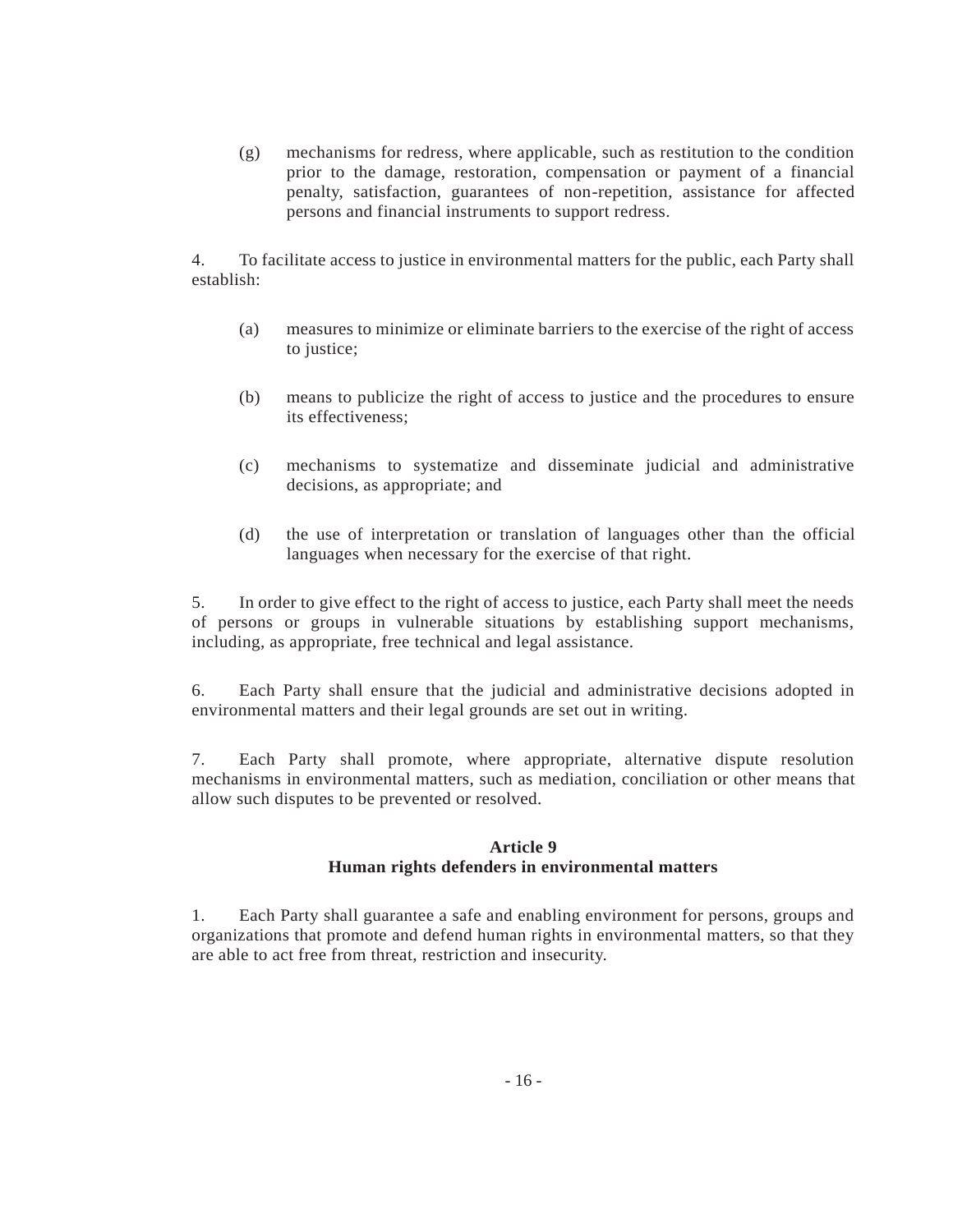(g) mechanisms for redress, where applicable, such as restitution to the condition prior to the damage, restoration, compensation or payment of a financial penalty, satisfaction, guarantees of non-repetition, assistance for affected persons and financial instruments to support redress.

4. To facilitate access to justice in environmental matters for the public, each Party shall establish:

- (a) measures to minimize or eliminate barriers to the exercise of the right of access to justice;
- (b) means to publicize the right of access to justice and the procedures to ensure its effectiveness;
- (c) mechanisms to systematize and disseminate judicial and administrative decisions, as appropriate; and
- (d) the use of interpretation or translation of languages other than the official languages when necessary for the exercise of that right.

5. In order to give effect to the right of access to justice, each Party shall meet the needs of persons or groups in vulnerable situations by establishing support mechanisms, including, as appropriate, free technical and legal assistance.

6. Each Party shall ensure that the judicial and administrative decisions adopted in environmental matters and their legal grounds are set out in writing.

7. Each Party shall promote, where appropriate, alternative dispute resolution mechanisms in environmental matters, such as mediation, conciliation or other means that allow such disputes to be prevented or resolved.

# **Article 9 Human rights defenders in environmental matters**

1. Each Party shall guarantee a safe and enabling environment for persons, groups and organizations that promote and defend human rights in environmental matters, so that they are able to act free from threat, restriction and insecurity.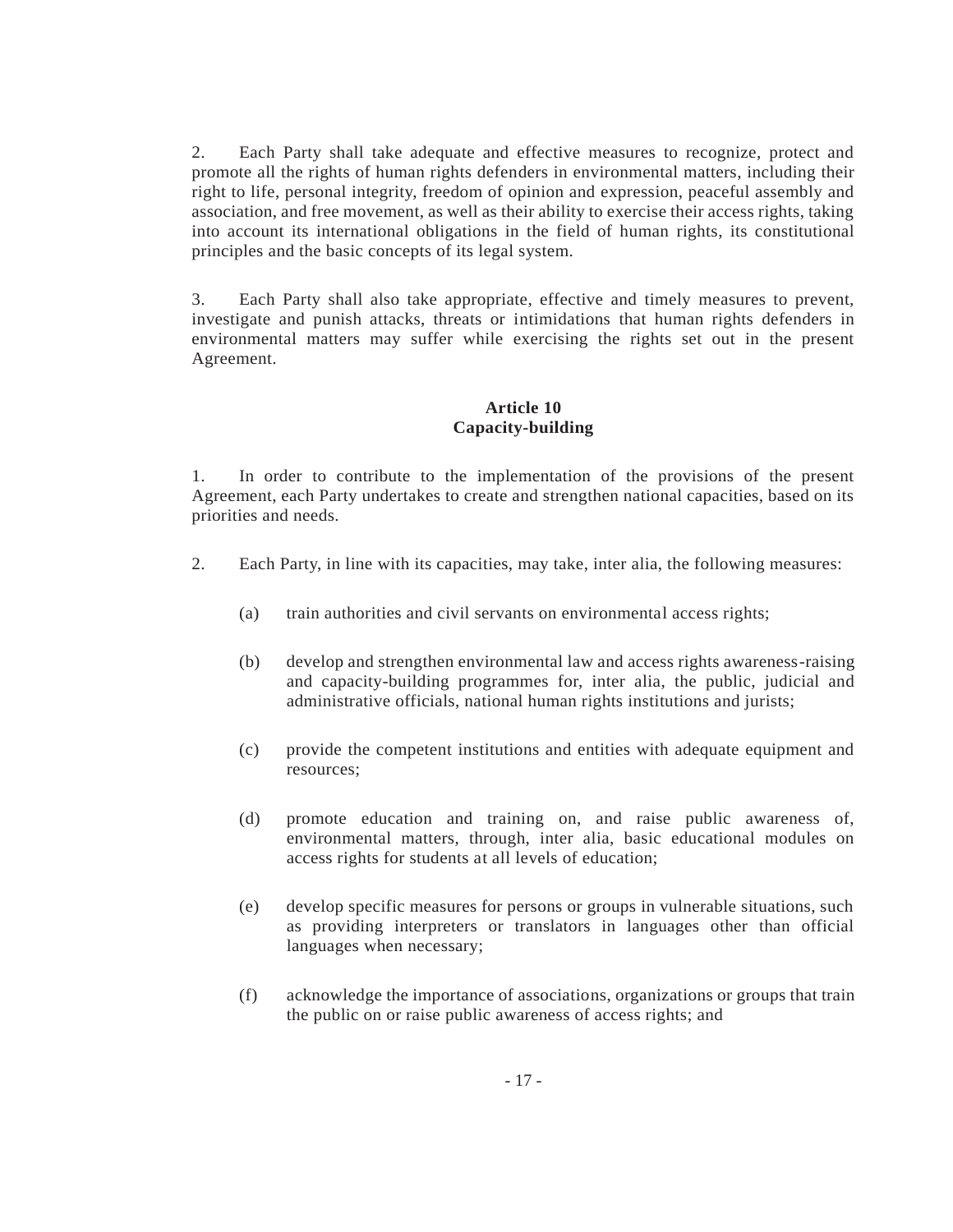2. Each Party shall take adequate and effective measures to recognize, protect and promote all the rights of human rights defenders in environmental matters, including their right to life, personal integrity, freedom of opinion and expression, peaceful assembly and association, and free movement, as well as their ability to exercise their access rights, taking into account its international obligations in the field of human rights, its constitutional principles and the basic concepts of its legal system.

3. Each Party shall also take appropriate, effective and timely measures to prevent, investigate and punish attacks, threats or intimidations that human rights defenders in environmental matters may suffer while exercising the rights set out in the present Agreement.

# **Article 10 Capacity-building**

1. In order to contribute to the implementation of the provisions of the present Agreement, each Party undertakes to create and strengthen national capacities, based on its priorities and needs.

- 2. Each Party, in line with its capacities, may take, inter alia, the following measures:
	- (a) train authorities and civil servants on environmental access rights;
	- (b) develop and strengthen environmental law and access rights awareness-raising and capacity-building programmes for, inter alia, the public, judicial and administrative officials, national human rights institutions and jurists;
	- (c) provide the competent institutions and entities with adequate equipment and resources;
	- (d) promote education and training on, and raise public awareness of, environmental matters, through, inter alia, basic educational modules on access rights for students at all levels of education;
	- (e) develop specific measures for persons or groups in vulnerable situations, such as providing interpreters or translators in languages other than official languages when necessary;
	- (f) acknowledge the importance of associations, organizations or groups that train the public on or raise public awareness of access rights; and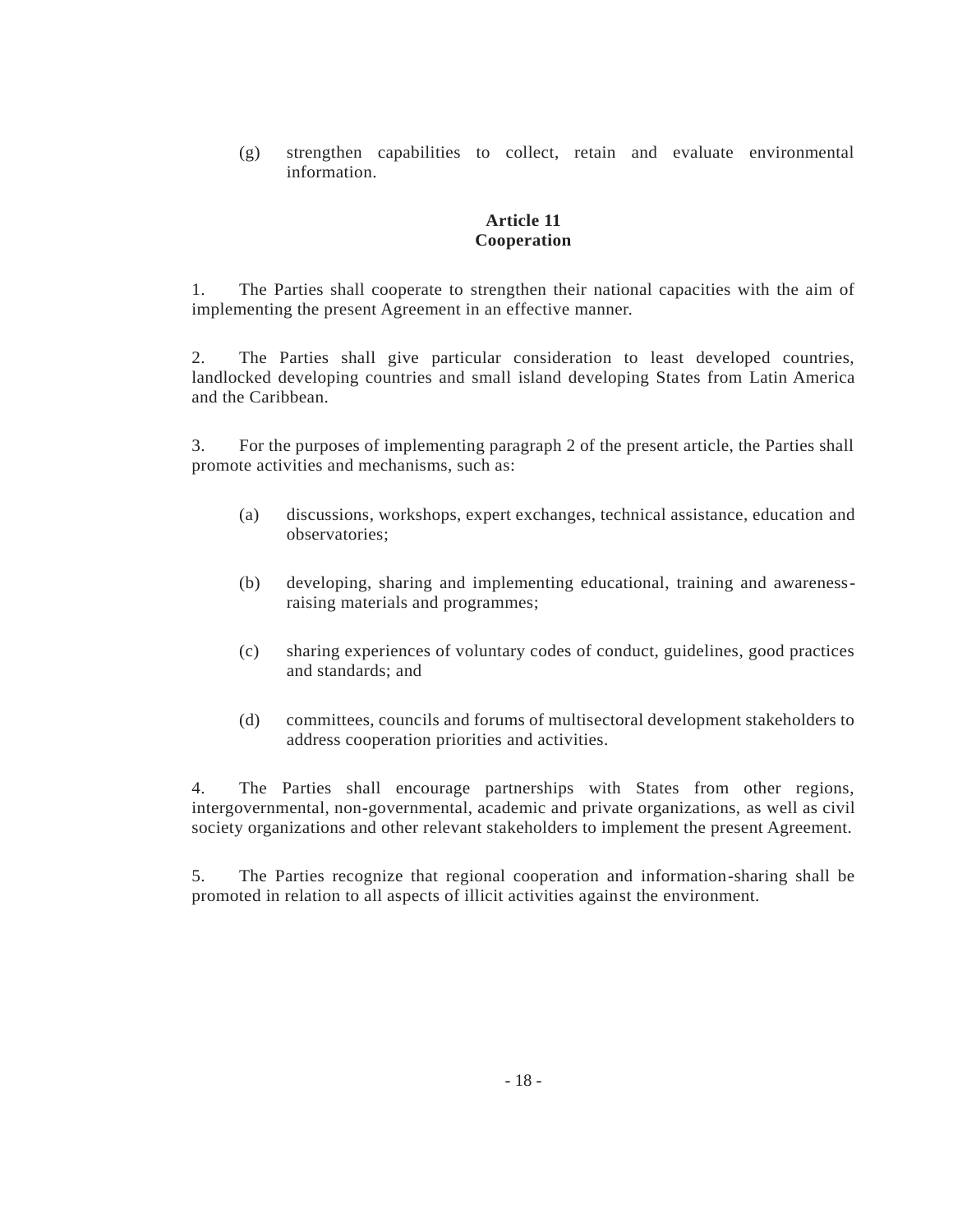(g) strengthen capabilities to collect, retain and evaluate environmental information.

# **Article 11 Cooperation**

1. The Parties shall cooperate to strengthen their national capacities with the aim of implementing the present Agreement in an effective manner.

2. The Parties shall give particular consideration to least developed countries, landlocked developing countries and small island developing States from Latin America and the Caribbean.

3. For the purposes of implementing paragraph 2 of the present article, the Parties shall promote activities and mechanisms, such as:

- (a) discussions, workshops, expert exchanges, technical assistance, education and observatories;
- (b) developing, sharing and implementing educational, training and awarenessraising materials and programmes;
- (c) sharing experiences of voluntary codes of conduct, guidelines, good practices and standards; and
- (d) committees, councils and forums of multisectoral development stakeholders to address cooperation priorities and activities.

4. The Parties shall encourage partnerships with States from other regions, intergovernmental, non-governmental, academic and private organizations, as well as civil society organizations and other relevant stakeholders to implement the present Agreement.

5. The Parties recognize that regional cooperation and information-sharing shall be promoted in relation to all aspects of illicit activities against the environment.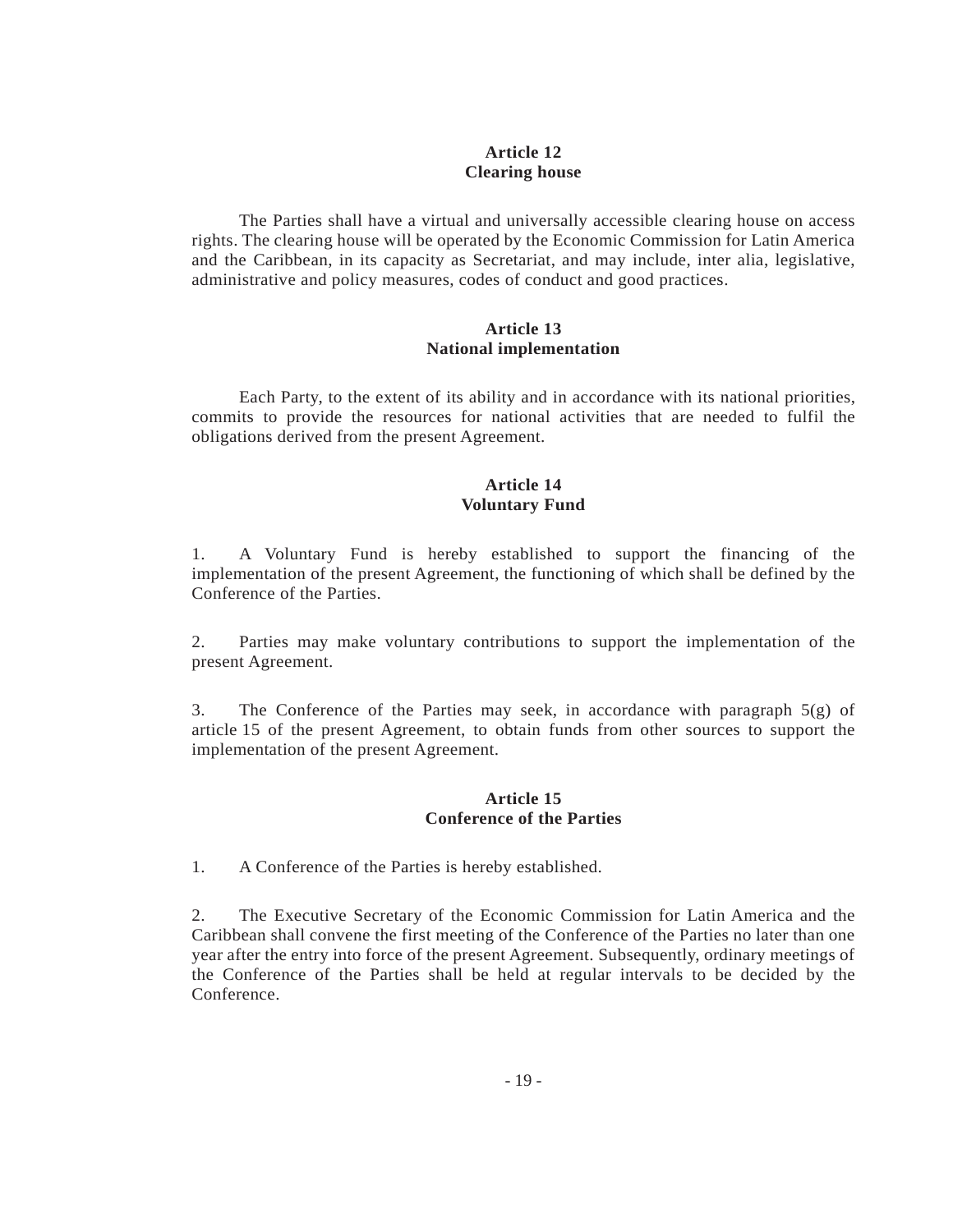## **Article 12 Clearing house**

The Parties shall have a virtual and universally accessible clearing house on access rights. The clearing house will be operated by the Economic Commission for Latin America and the Caribbean, in its capacity as Secretariat, and may include, inter alia, legislative, administrative and policy measures, codes of conduct and good practices.

## **Article 13 National implementation**

Each Party, to the extent of its ability and in accordance with its national priorities, commits to provide the resources for national activities that are needed to fulfil the obligations derived from the present Agreement.

# **Article 14 Voluntary Fund**

1. A Voluntary Fund is hereby established to support the financing of the implementation of the present Agreement, the functioning of which shall be defined by the Conference of the Parties.

2. Parties may make voluntary contributions to support the implementation of the present Agreement.

3. The Conference of the Parties may seek, in accordance with paragraph 5(g) of article 15 of the present Agreement, to obtain funds from other sources to support the implementation of the present Agreement.

## **Article 15 Conference of the Parties**

1. A Conference of the Parties is hereby established.

2. The Executive Secretary of the Economic Commission for Latin America and the Caribbean shall convene the first meeting of the Conference of the Parties no later than one year after the entry into force of the present Agreement. Subsequently, ordinary meetings of the Conference of the Parties shall be held at regular intervals to be decided by the Conference.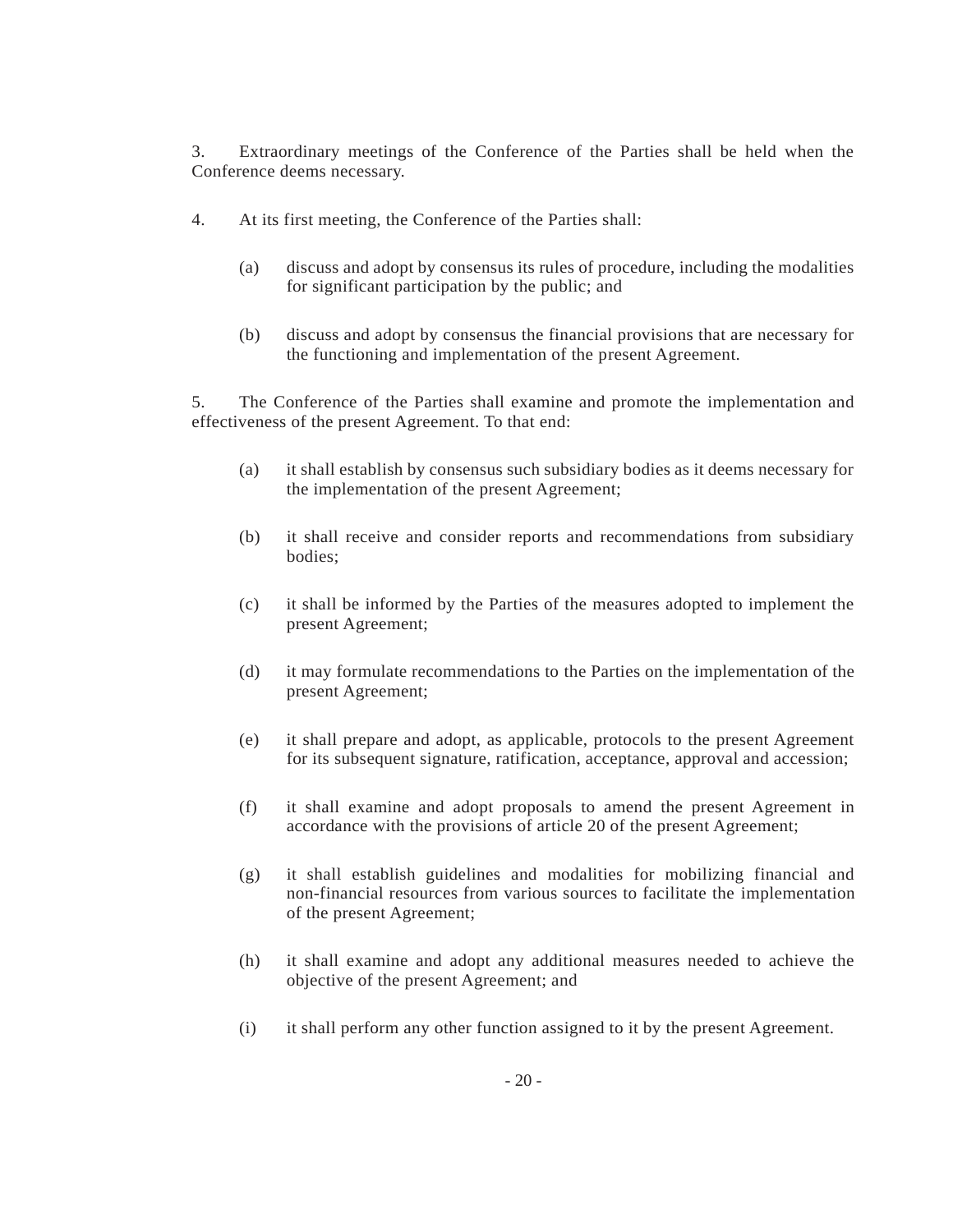3. Extraordinary meetings of the Conference of the Parties shall be held when the Conference deems necessary.

- 4. At its first meeting, the Conference of the Parties shall:
	- (a) discuss and adopt by consensus its rules of procedure, including the modalities for significant participation by the public; and
	- (b) discuss and adopt by consensus the financial provisions that are necessary for the functioning and implementation of the present Agreement.

5. The Conference of the Parties shall examine and promote the implementation and effectiveness of the present Agreement. To that end:

- (a) it shall establish by consensus such subsidiary bodies as it deems necessary for the implementation of the present Agreement;
- (b) it shall receive and consider reports and recommendations from subsidiary bodies;
- (c) it shall be informed by the Parties of the measures adopted to implement the present Agreement;
- (d) it may formulate recommendations to the Parties on the implementation of the present Agreement;
- (e) it shall prepare and adopt, as applicable, protocols to the present Agreement for its subsequent signature, ratification, acceptance, approval and accession;
- (f) it shall examine and adopt proposals to amend the present Agreement in accordance with the provisions of article 20 of the present Agreement;
- (g) it shall establish guidelines and modalities for mobilizing financial and non-financial resources from various sources to facilitate the implementation of the present Agreement;
- (h) it shall examine and adopt any additional measures needed to achieve the objective of the present Agreement; and
- (i) it shall perform any other function assigned to it by the present Agreement.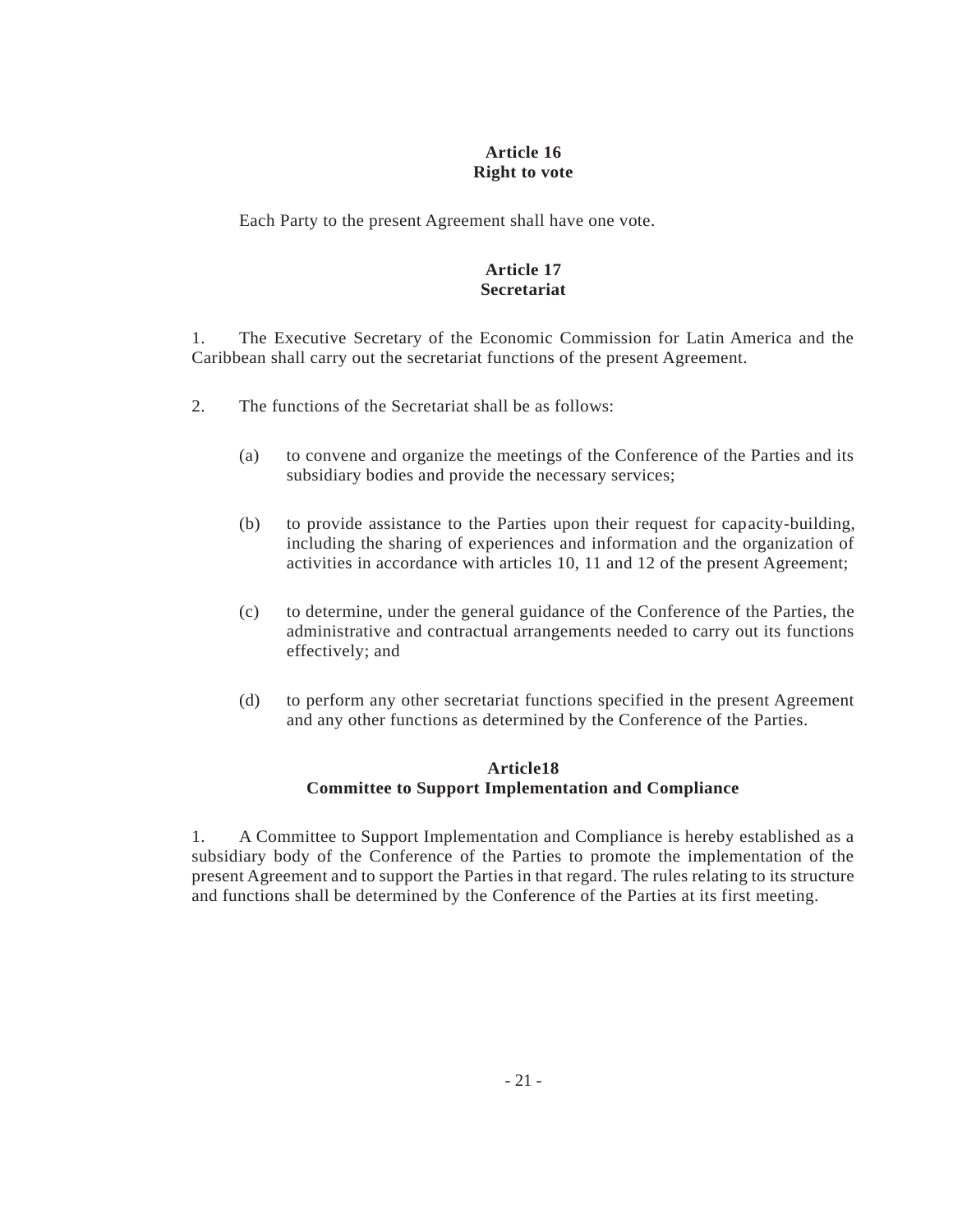# **Article 16 Right to vote**

Each Party to the present Agreement shall have one vote.

# **Article 17 Secretariat**

1. The Executive Secretary of the Economic Commission for Latin America and the Caribbean shall carry out the secretariat functions of the present Agreement.

- 2. The functions of the Secretariat shall be as follows:
	- (a) to convene and organize the meetings of the Conference of the Parties and its subsidiary bodies and provide the necessary services;
	- (b) to provide assistance to the Parties upon their request for capacity-building, including the sharing of experiences and information and the organization of activities in accordance with articles 10, 11 and 12 of the present Agreement;
	- (c) to determine, under the general guidance of the Conference of the Parties, the administrative and contractual arrangements needed to carry out its functions effectively; and
	- (d) to perform any other secretariat functions specified in the present Agreement and any other functions as determined by the Conference of the Parties.

# **Article18 Committee to Support Implementation and Compliance**

1. A Committee to Support Implementation and Compliance is hereby established as a subsidiary body of the Conference of the Parties to promote the implementation of the present Agreement and to support the Parties in that regard. The rules relating to its structure and functions shall be determined by the Conference of the Parties at its first meeting.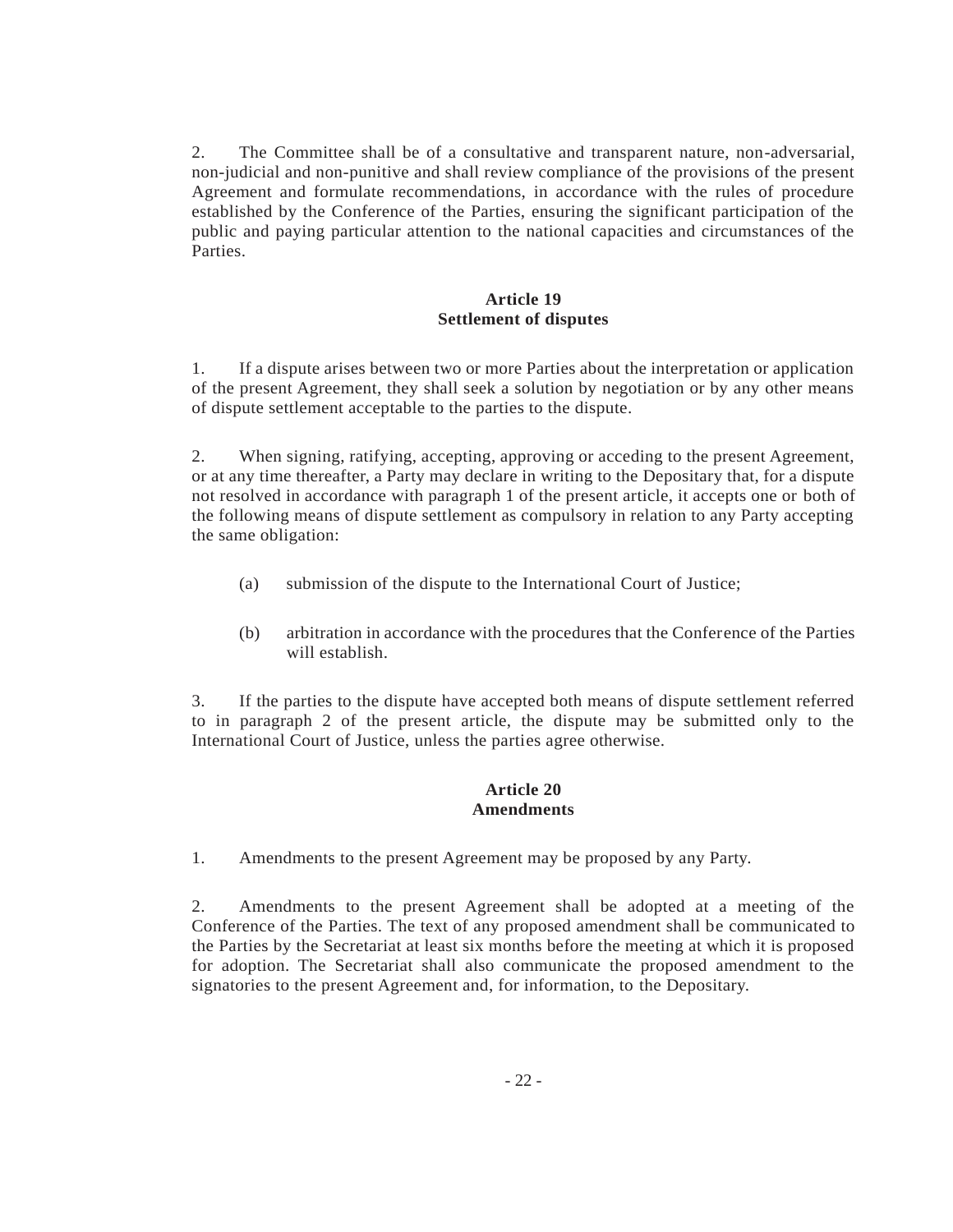2. The Committee shall be of a consultative and transparent nature, non-adversarial, non-judicial and non-punitive and shall review compliance of the provisions of the present Agreement and formulate recommendations, in accordance with the rules of procedure established by the Conference of the Parties, ensuring the significant participation of the public and paying particular attention to the national capacities and circumstances of the Parties.

# **Article 19 Settlement of disputes**

1. If a dispute arises between two or more Parties about the interpretation or application of the present Agreement, they shall seek a solution by negotiation or by any other means of dispute settlement acceptable to the parties to the dispute.

2. When signing, ratifying, accepting, approving or acceding to the present Agreement, or at any time thereafter, a Party may declare in writing to the Depositary that, for a dispute not resolved in accordance with paragraph 1 of the present article, it accepts one or both of the following means of dispute settlement as compulsory in relation to any Party accepting the same obligation:

- (a) submission of the dispute to the International Court of Justice;
- (b) arbitration in accordance with the procedures that the Conference of the Parties will establish.

3. If the parties to the dispute have accepted both means of dispute settlement referred to in paragraph 2 of the present article, the dispute may be submitted only to the International Court of Justice, unless the parties agree otherwise.

## **Article 20 Amendments**

1. Amendments to the present Agreement may be proposed by any Party.

2. Amendments to the present Agreement shall be adopted at a meeting of the Conference of the Parties. The text of any proposed amendment shall be communicated to the Parties by the Secretariat at least six months before the meeting at which it is proposed for adoption. The Secretariat shall also communicate the proposed amendment to the signatories to the present Agreement and, for information, to the Depositary.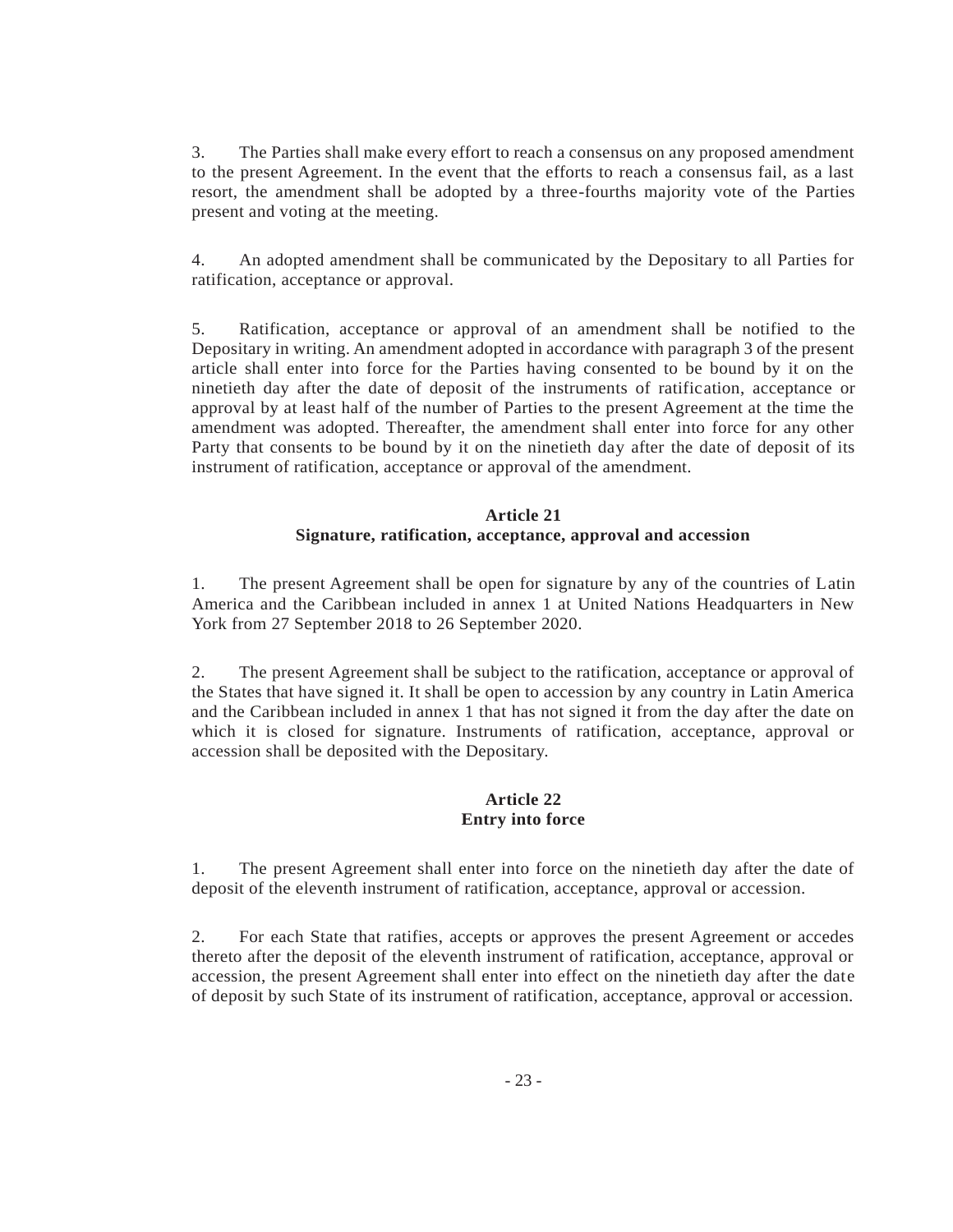3. The Parties shall make every effort to reach a consensus on any proposed amendment to the present Agreement. In the event that the efforts to reach a consensus fail, as a last resort, the amendment shall be adopted by a three-fourths majority vote of the Parties present and voting at the meeting.

4. An adopted amendment shall be communicated by the Depositary to all Parties for ratification, acceptance or approval.

5. Ratification, acceptance or approval of an amendment shall be notified to the Depositary in writing. An amendment adopted in accordance with paragraph 3 of the present article shall enter into force for the Parties having consented to be bound by it on the ninetieth day after the date of deposit of the instruments of ratification, acceptance or approval by at least half of the number of Parties to the present Agreement at the time the amendment was adopted. Thereafter, the amendment shall enter into force for any other Party that consents to be bound by it on the ninetieth day after the date of deposit of its instrument of ratification, acceptance or approval of the amendment.

## **Article 21 Signature, ratification, acceptance, approval and accession**

1. The present Agreement shall be open for signature by any of the countries of Latin America and the Caribbean included in annex 1 at United Nations Headquarters in New York from 27 September 2018 to 26 September 2020.

2. The present Agreement shall be subject to the ratification, acceptance or approval of the States that have signed it. It shall be open to accession by any country in Latin America and the Caribbean included in annex 1 that has not signed it from the day after the date on which it is closed for signature. Instruments of ratification, acceptance, approval or accession shall be deposited with the Depositary.

### **Article 22 Entry into force**

1. The present Agreement shall enter into force on the ninetieth day after the date of deposit of the eleventh instrument of ratification, acceptance, approval or accession.

2. For each State that ratifies, accepts or approves the present Agreement or accedes thereto after the deposit of the eleventh instrument of ratification, acceptance, approval or accession, the present Agreement shall enter into effect on the ninetieth day after the date of deposit by such State of its instrument of ratification, acceptance, approval or accession.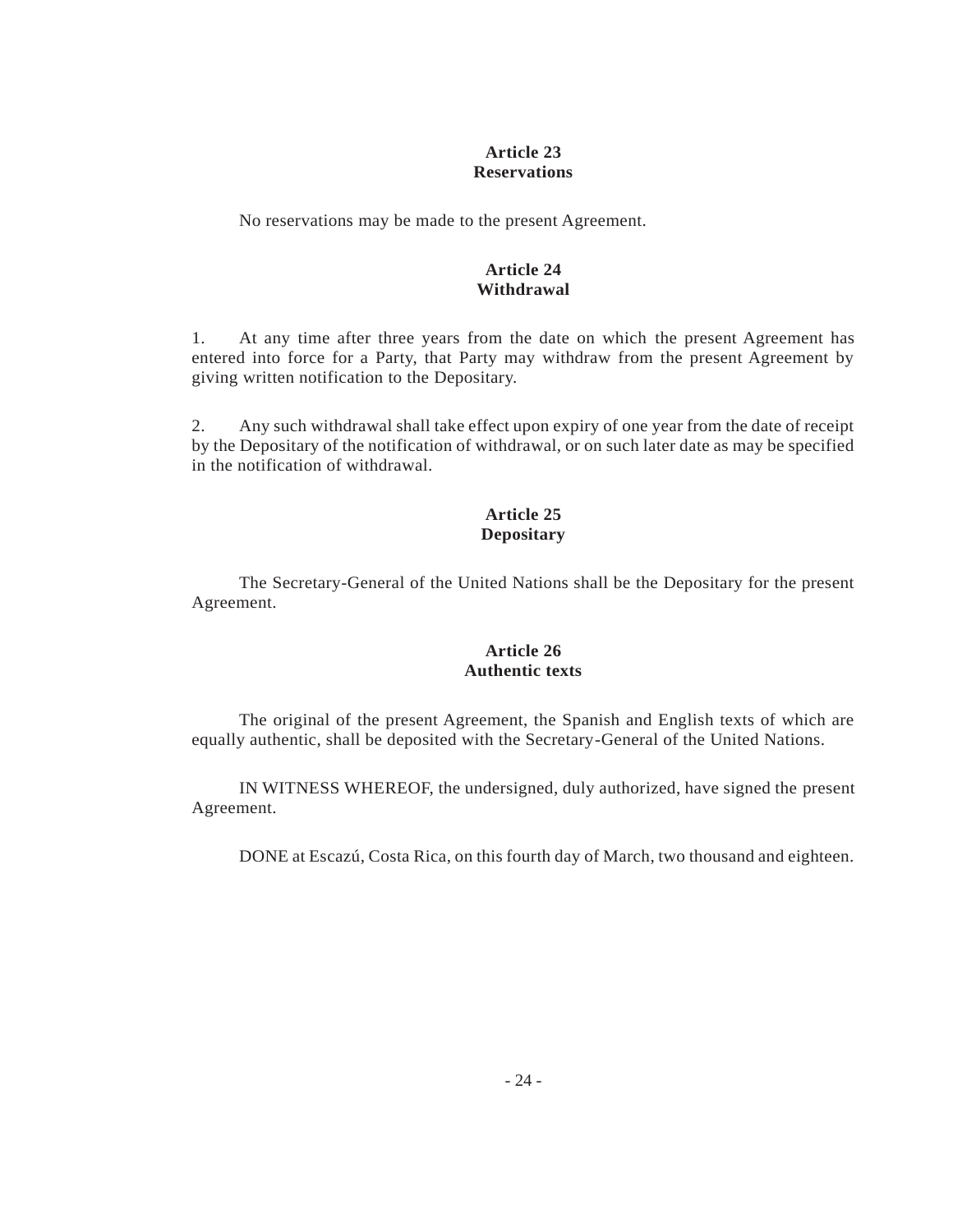## **Article 23 Reservations**

No reservations may be made to the present Agreement.

# **Article 24 Withdrawal**

1. At any time after three years from the date on which the present Agreement has entered into force for a Party, that Party may withdraw from the present Agreement by giving written notification to the Depositary.

2. Any such withdrawal shall take effect upon expiry of one year from the date of receipt by the Depositary of the notification of withdrawal, or on such later date as may be specified in the notification of withdrawal.

# **Article 25 Depositary**

The Secretary-General of the United Nations shall be the Depositary for the present Agreement.

# **Article 26 Authentic texts**

The original of the present Agreement, the Spanish and English texts of which are equally authentic, shall be deposited with the Secretary-General of the United Nations.

IN WITNESS WHEREOF, the undersigned, duly authorized, have signed the present Agreement.

DONE at Escazú, Costa Rica, on this fourth day of March, two thousand and eighteen.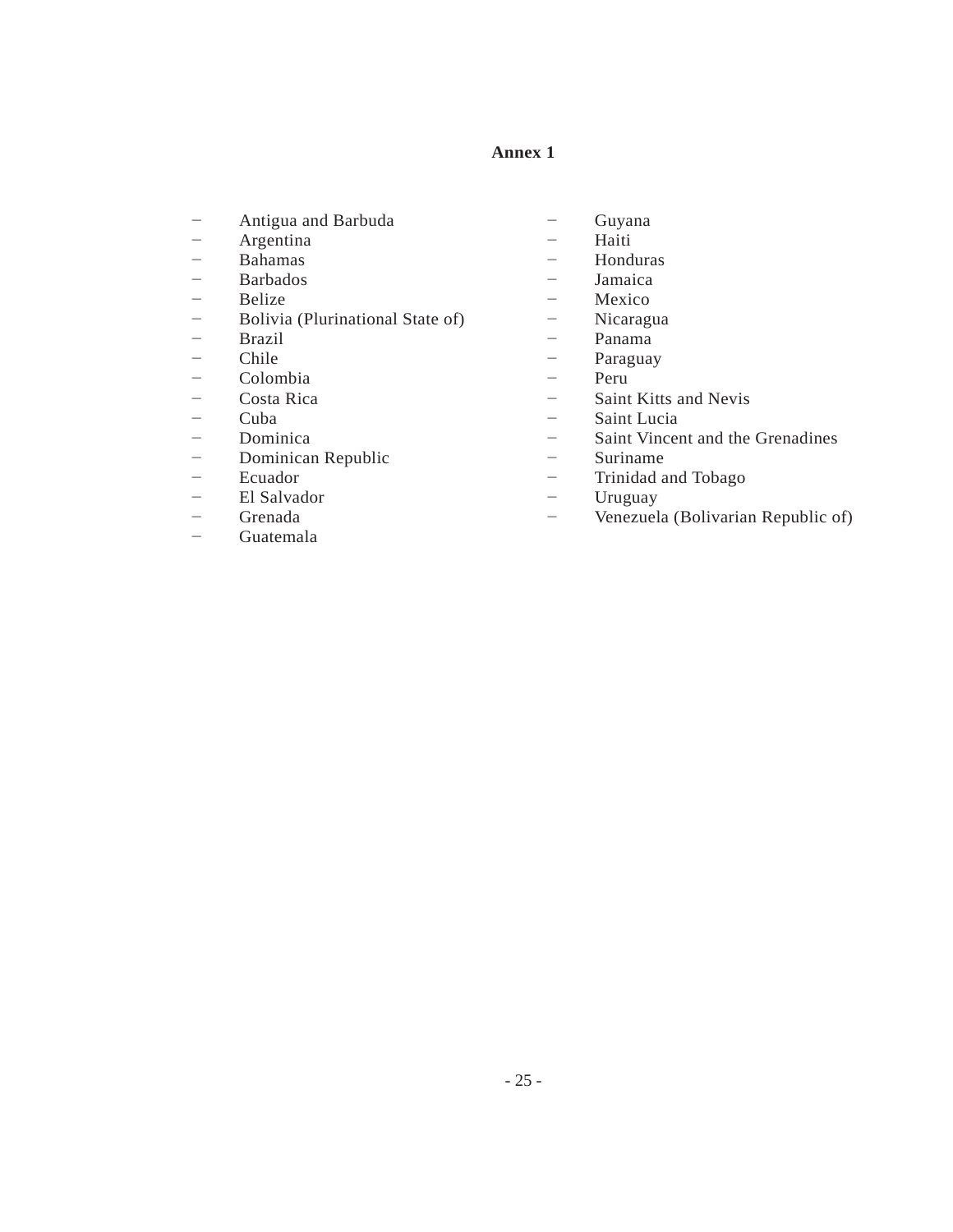## **Annex 1**

- í Antigua and Barbuda
- $-$  Argentina
- Bahamas
- Barbados
- Belize
- Bolivia (Plurinational State of)
- Brazil
- $-$  Chile
- Colombia
- $-$  Costa Rica
- $-$  Cuba
- Dominica
- Dominican Republic
- Ecuador
- í El Salvador
- Grenada
- Guatemala
- Guyana
- Haiti
- Honduras
- Jamaica
- Mexico
- Nicaragua
- Panama
- Paraguay
- Peru
- $\overline{\phantom{a}}$  Saint Kitts and Nevis
- $-$  Saint Lucia
- Saint Vincent and the Grenadines
- Suriname
	- Trinidad and Tobago
	- Uruguay
	- Venezuela (Bolivarian Republic of)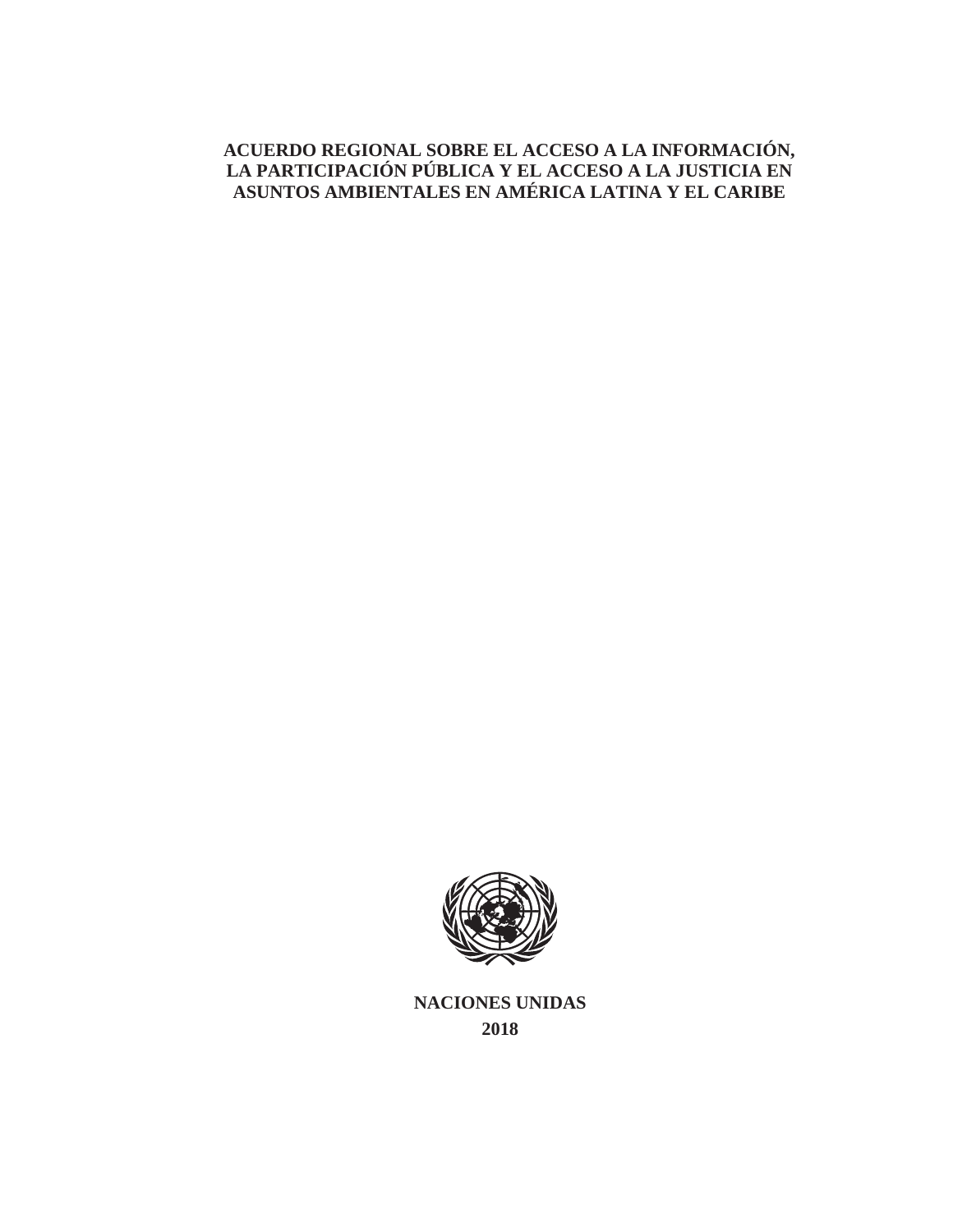# **ACUERDO REGIONAL SOBRE EL ACCESO A LA INFORMACIÓN, LA PARTICIPACIÓN PÚBLICA Y EL ACCESO A LA JUSTICIA EN ASUNTOS AMBIENTALES EN AMÉRICA LATINA Y EL CARIBE**



**NACIONES UNIDAS 2018**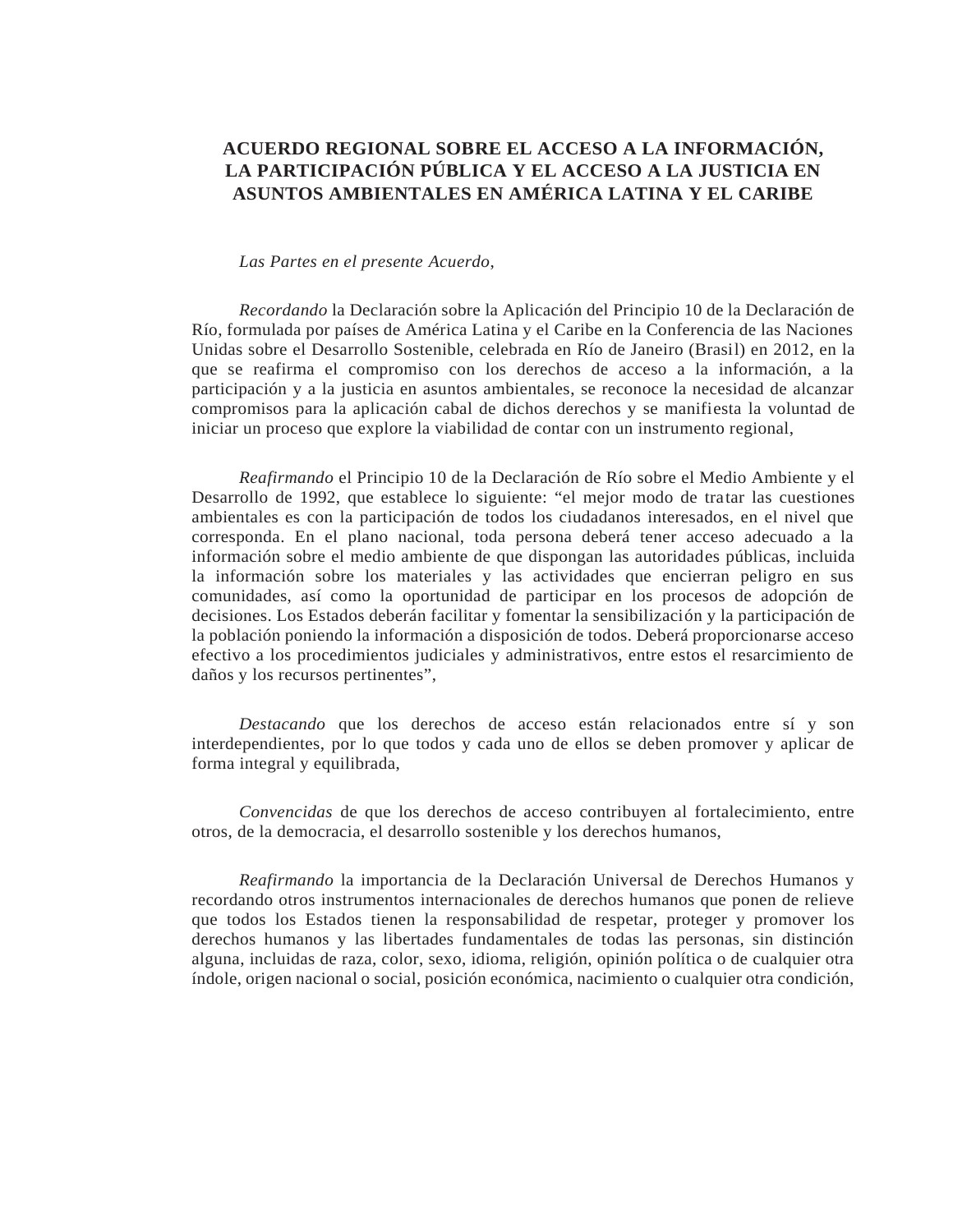# **ACUERDO REGIONAL SOBRE EL ACCESO A LA INFORMACIÓN, LA PARTICIPACIÓN PÚBLICA Y EL ACCESO A LA JUSTICIA EN ASUNTOS AMBIENTALES EN AMÉRICA LATINA Y EL CARIBE**

#### *Las Partes en el presente Acuerdo*,

*Recordando* la Declaración sobre la Aplicación del Principio 10 de la Declaración de Río, formulada por países de América Latina y el Caribe en la Conferencia de las Naciones Unidas sobre el Desarrollo Sostenible, celebrada en Río de Janeiro (Brasil) en 2012, en la que se reafirma el compromiso con los derechos de acceso a la información, a la participación y a la justicia en asuntos ambientales, se reconoce la necesidad de alcanzar compromisos para la aplicación cabal de dichos derechos y se manifiesta la voluntad de iniciar un proceso que explore la viabilidad de contar con un instrumento regional,

*Reafirmando* el Principio 10 de la Declaración de Río sobre el Medio Ambiente y el Desarrollo de 1992, que establece lo siguiente: "el mejor modo de tratar las cuestiones ambientales es con la participación de todos los ciudadanos interesados, en el nivel que corresponda. En el plano nacional, toda persona deberá tener acceso adecuado a la información sobre el medio ambiente de que dispongan las autoridades públicas, incluida la información sobre los materiales y las actividades que encierran peligro en sus comunidades, así como la oportunidad de participar en los procesos de adopción de decisiones. Los Estados deberán facilitar y fomentar la sensibilización y la participación de la población poniendo la información a disposición de todos. Deberá proporcionarse acceso efectivo a los procedimientos judiciales y administrativos, entre estos el resarcimiento de daños y los recursos pertinentes",

*Destacando* que los derechos de acceso están relacionados entre sí y son interdependientes, por lo que todos y cada uno de ellos se deben promover y aplicar de forma integral y equilibrada,

*Convencidas* de que los derechos de acceso contribuyen al fortalecimiento, entre otros, de la democracia, el desarrollo sostenible y los derechos humanos,

*Reafirmando* la importancia de la Declaración Universal de Derechos Humanos y recordando otros instrumentos internacionales de derechos humanos que ponen de relieve que todos los Estados tienen la responsabilidad de respetar, proteger y promover los derechos humanos y las libertades fundamentales de todas las personas, sin distinción alguna, incluidas de raza, color, sexo, idioma, religión, opinión política o de cualquier otra índole, origen nacional o social, posición económica, nacimiento o cualquier otra condición,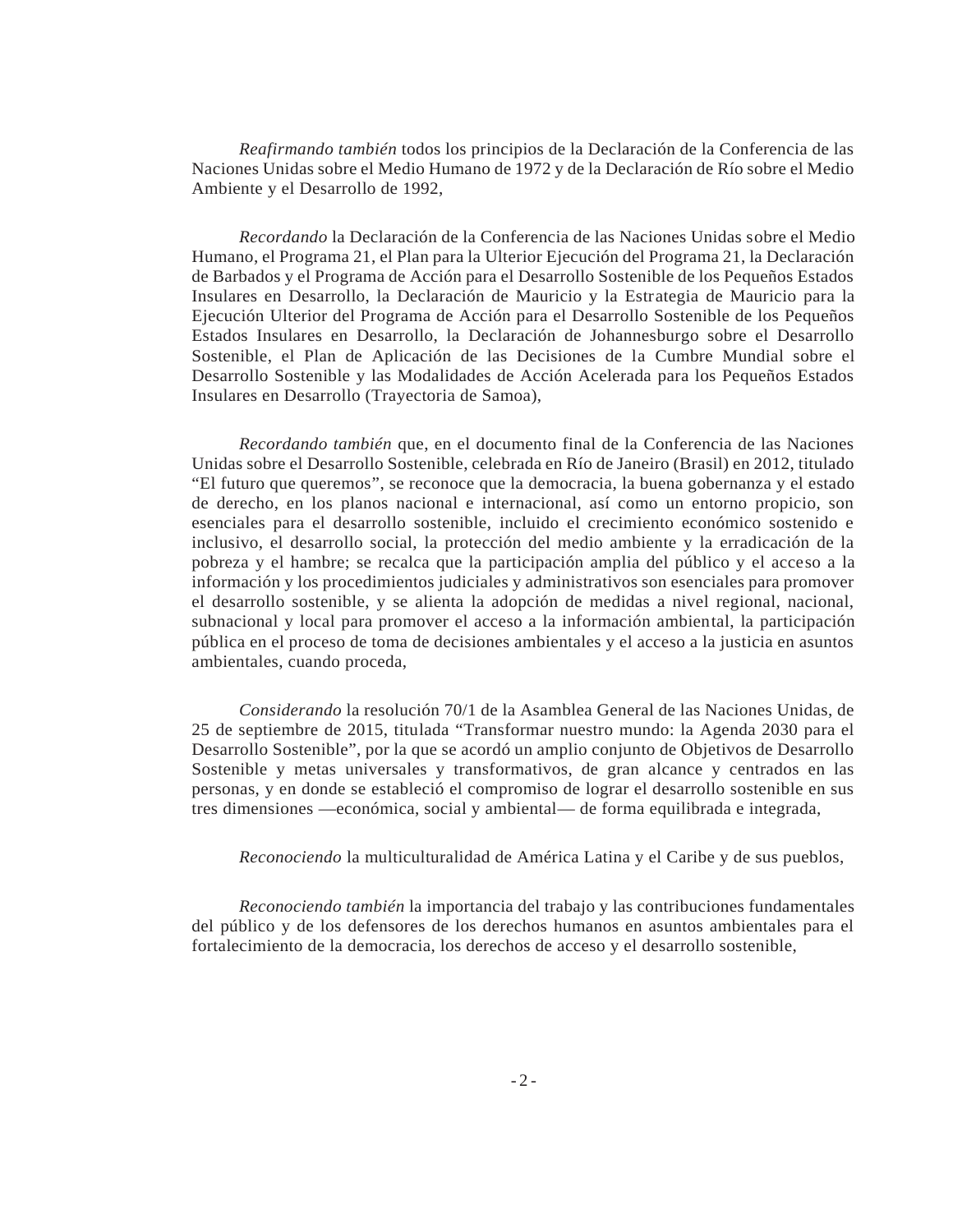*Reafirmando también* todos los principios de la Declaración de la Conferencia de las Naciones Unidas sobre el Medio Humano de 1972 y de la Declaración de Río sobre el Medio Ambiente y el Desarrollo de 1992,

*Recordando* la Declaración de la Conferencia de las Naciones Unidas sobre el Medio Humano, el Programa 21, el Plan para la Ulterior Ejecución del Programa 21, la Declaración de Barbados y el Programa de Acción para el Desarrollo Sostenible de los Pequeños Estados Insulares en Desarrollo, la Declaración de Mauricio y la Estrategia de Mauricio para la Ejecución Ulterior del Programa de Acción para el Desarrollo Sostenible de los Pequeños Estados Insulares en Desarrollo, la Declaración de Johannesburgo sobre el Desarrollo Sostenible, el Plan de Aplicación de las Decisiones de la Cumbre Mundial sobre el Desarrollo Sostenible y las Modalidades de Acción Acelerada para los Pequeños Estados Insulares en Desarrollo (Trayectoria de Samoa),

*Recordando también* que, en el documento final de la Conferencia de las Naciones Unidas sobre el Desarrollo Sostenible, celebrada en Río de Janeiro (Brasil) en 2012, titulado "El futuro que queremos", se reconoce que la democracia, la buena gobernanza y el estado de derecho, en los planos nacional e internacional, así como un entorno propicio, son esenciales para el desarrollo sostenible, incluido el crecimiento económico sostenido e inclusivo, el desarrollo social, la protección del medio ambiente y la erradicación de la pobreza y el hambre; se recalca que la participación amplia del público y el acceso a la información y los procedimientos judiciales y administrativos son esenciales para promover el desarrollo sostenible, y se alienta la adopción de medidas a nivel regional, nacional, subnacional y local para promover el acceso a la información ambiental, la participación pública en el proceso de toma de decisiones ambientales y el acceso a la justicia en asuntos ambientales, cuando proceda,

*Considerando* la resolución 70/1 de la Asamblea General de las Naciones Unidas, de 25 de septiembre de 2015, titulada "Transformar nuestro mundo: la Agenda 2030 para el Desarrollo Sostenible", por la que se acordó un amplio conjunto de Objetivos de Desarrollo Sostenible y metas universales y transformativos, de gran alcance y centrados en las personas, y en donde se estableció el compromiso de lograr el desarrollo sostenible en sus tres dimensiones —económica, social y ambiental— de forma equilibrada e integrada,

*Reconociendo* la multiculturalidad de América Latina y el Caribe y de sus pueblos,

*Reconociendo también* la importancia del trabajo y las contribuciones fundamentales del público y de los defensores de los derechos humanos en asuntos ambientales para el fortalecimiento de la democracia, los derechos de acceso y el desarrollo sostenible,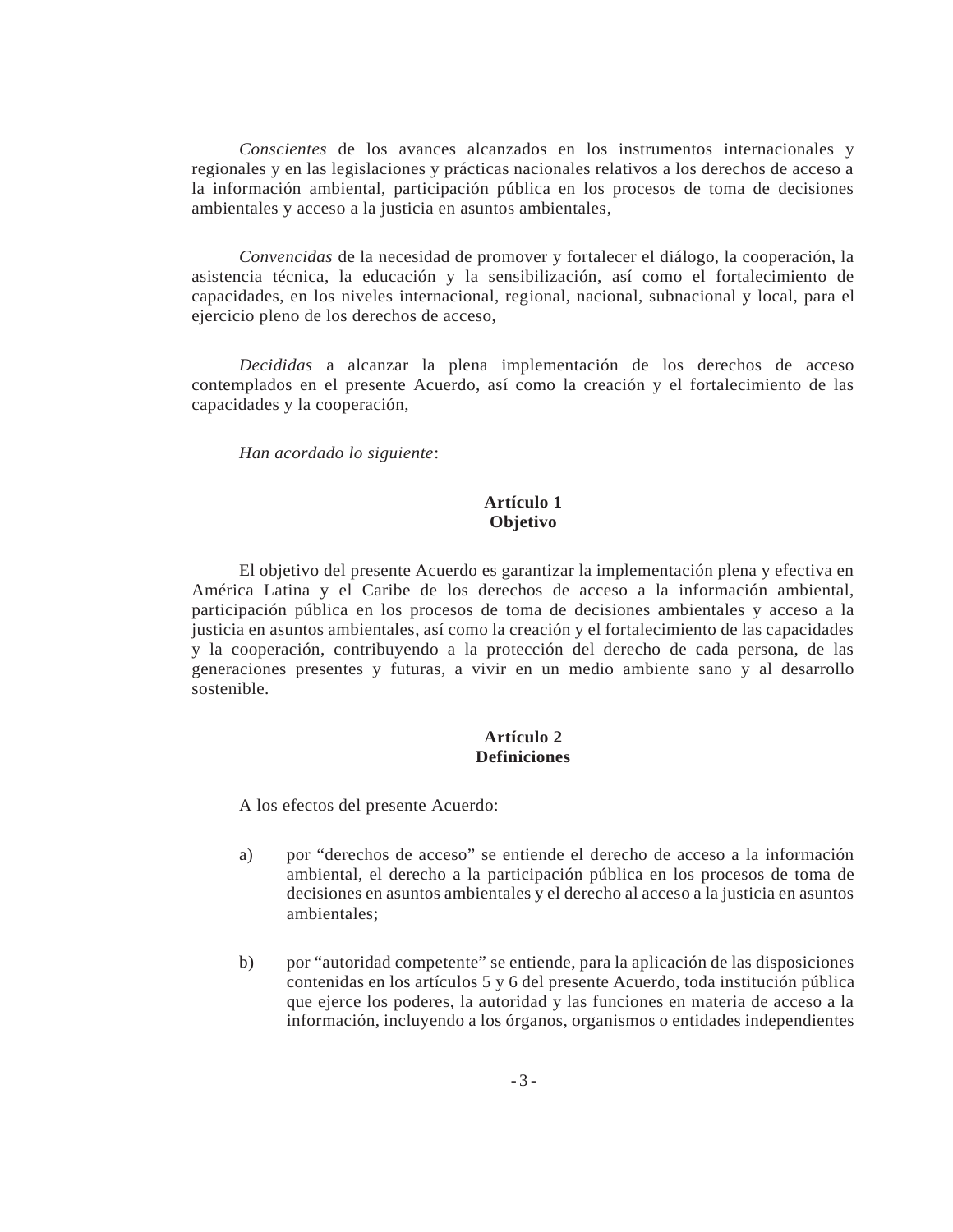*Conscientes* de los avances alcanzados en los instrumentos internacionales y regionales y en las legislaciones y prácticas nacionales relativos a los derechos de acceso a la información ambiental, participación pública en los procesos de toma de decisiones ambientales y acceso a la justicia en asuntos ambientales,

*Convencidas* de la necesidad de promover y fortalecer el diálogo, la cooperación, la asistencia técnica, la educación y la sensibilización, así como el fortalecimiento de capacidades, en los niveles internacional, regional, nacional, subnacional y local, para el ejercicio pleno de los derechos de acceso,

*Decididas* a alcanzar la plena implementación de los derechos de acceso contemplados en el presente Acuerdo, así como la creación y el fortalecimiento de las capacidades y la cooperación,

*Han acordado lo siguiente*:

## **Artículo 1 Objetivo**

El objetivo del presente Acuerdo es garantizar la implementación plena y efectiva en América Latina y el Caribe de los derechos de acceso a la información ambiental, participación pública en los procesos de toma de decisiones ambientales y acceso a la justicia en asuntos ambientales, así como la creación y el fortalecimiento de las capacidades y la cooperación, contribuyendo a la protección del derecho de cada persona, de las generaciones presentes y futuras, a vivir en un medio ambiente sano y al desarrollo sostenible.

## **Artículo 2 Definiciones**

A los efectos del presente Acuerdo:

- a) por "derechos de acceso" se entiende el derecho de acceso a la información ambiental, el derecho a la participación pública en los procesos de toma de decisiones en asuntos ambientales y el derecho al acceso a la justicia en asuntos ambientales;
- b) por "autoridad competente" se entiende, para la aplicación de las disposiciones contenidas en los artículos 5 y 6 del presente Acuerdo, toda institución pública que ejerce los poderes, la autoridad y las funciones en materia de acceso a la información, incluyendo a los órganos, organismos o entidades independientes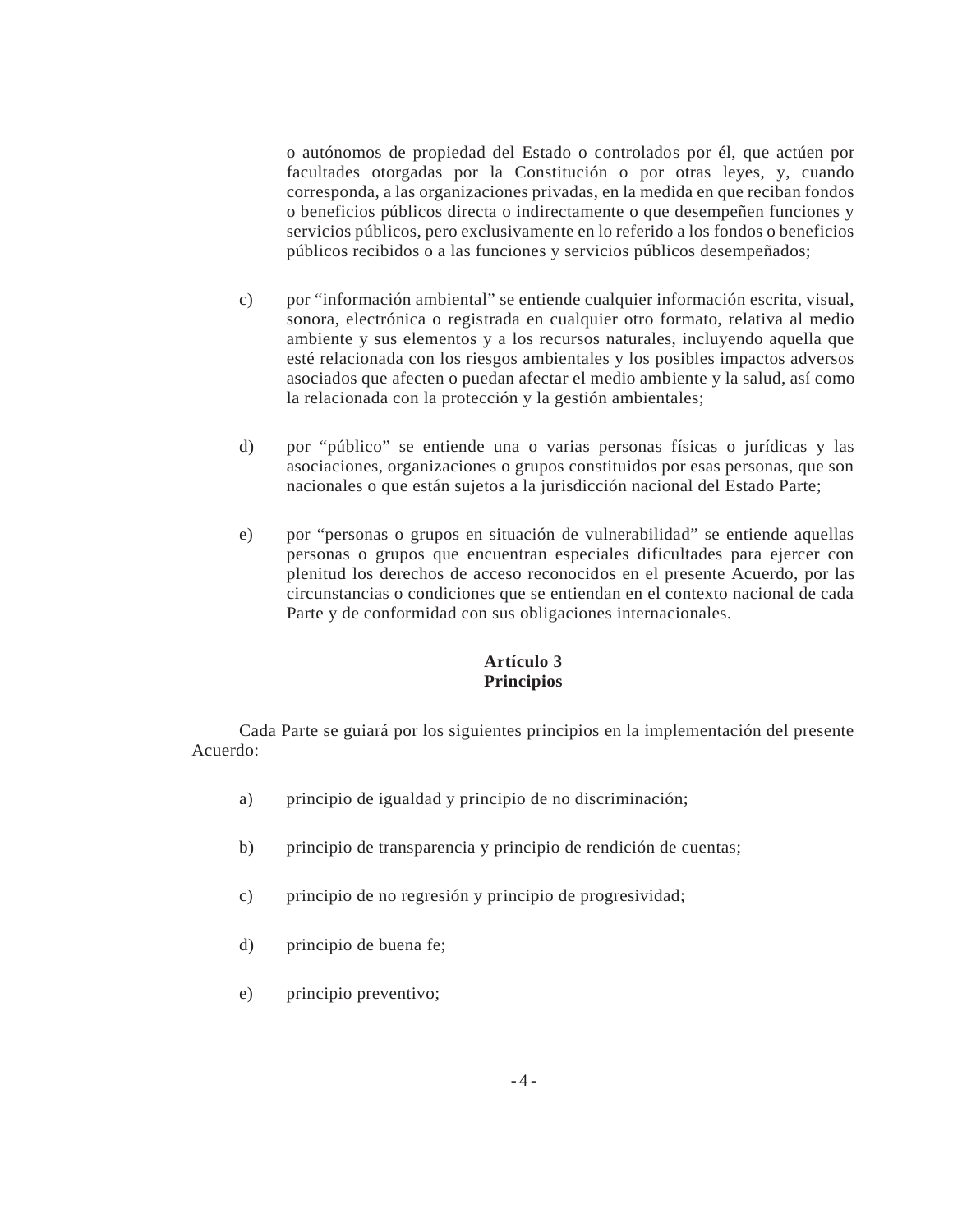o autónomos de propiedad del Estado o controlados por él, que actúen por facultades otorgadas por la Constitución o por otras leyes, y, cuando corresponda, a las organizaciones privadas, en la medida en que reciban fondos o beneficios públicos directa o indirectamente o que desempeñen funciones y servicios públicos, pero exclusivamente en lo referido a los fondos o beneficios públicos recibidos o a las funciones y servicios públicos desempeñados;

- c) por "información ambiental" se entiende cualquier información escrita, visual, sonora, electrónica o registrada en cualquier otro formato, relativa al medio ambiente y sus elementos y a los recursos naturales, incluyendo aquella que esté relacionada con los riesgos ambientales y los posibles impactos adversos asociados que afecten o puedan afectar el medio ambiente y la salud, así como la relacionada con la protección y la gestión ambientales;
- d) por "público" se entiende una o varias personas físicas o jurídicas y las asociaciones, organizaciones o grupos constituidos por esas personas, que son nacionales o que están sujetos a la jurisdicción nacional del Estado Parte;
- e) por "personas o grupos en situación de vulnerabilidad" se entiende aquellas personas o grupos que encuentran especiales dificultades para ejercer con plenitud los derechos de acceso reconocidos en el presente Acuerdo, por las circunstancias o condiciones que se entiendan en el contexto nacional de cada Parte y de conformidad con sus obligaciones internacionales.

## **Artículo 3 Principios**

Cada Parte se guiará por los siguientes principios en la implementación del presente Acuerdo:

- a) principio de igualdad y principio de no discriminación;
- b) principio de transparencia y principio de rendición de cuentas;
- c) principio de no regresión y principio de progresividad;
- d) principio de buena fe;
- e) principio preventivo;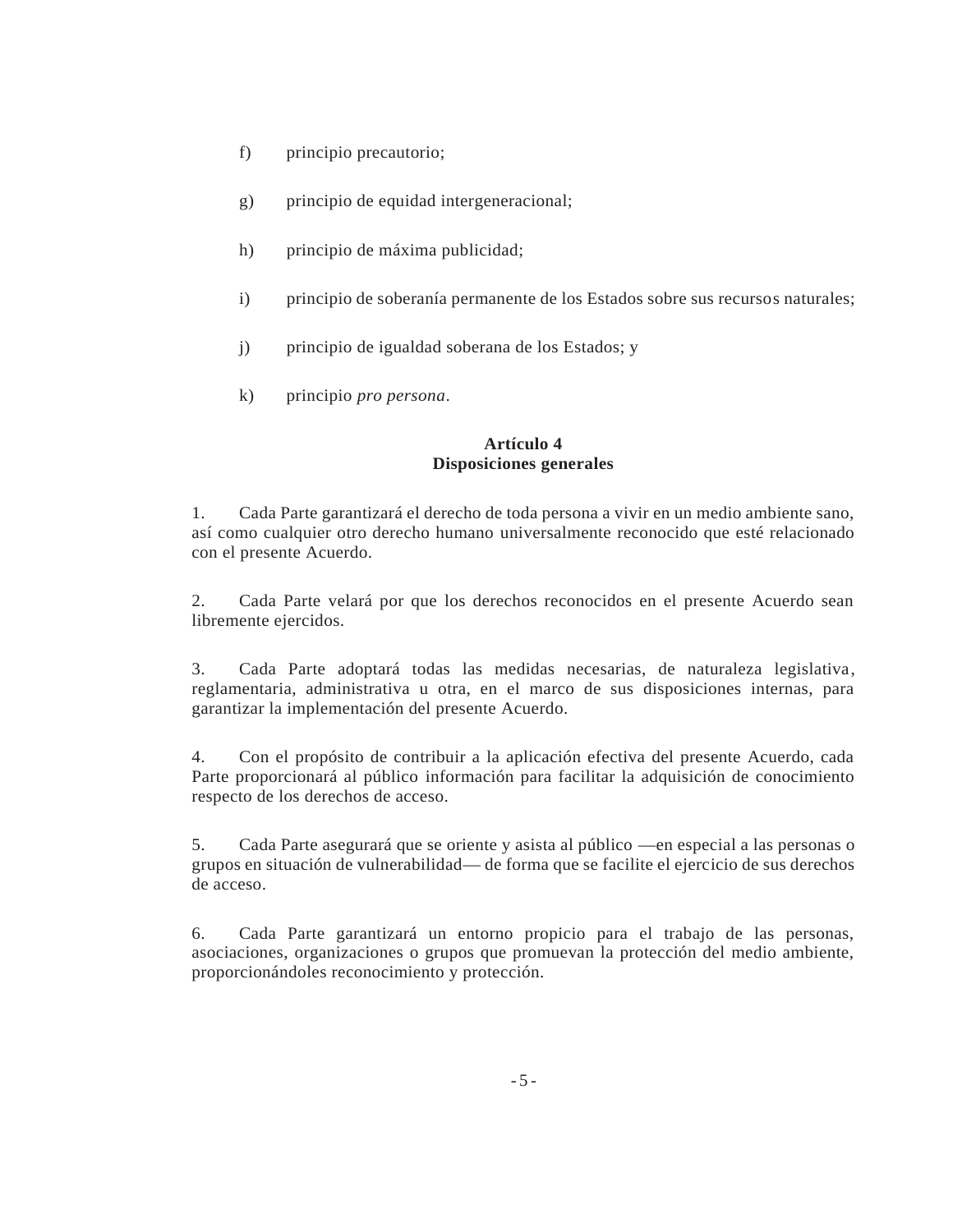- f) principio precautorio;
- g) principio de equidad intergeneracional;
- h) principio de máxima publicidad;
- i) principio de soberanía permanente de los Estados sobre sus recursos naturales;
- j) principio de igualdad soberana de los Estados; y
- k) principio *pro persona*.

### **Artículo 4 Disposiciones generales**

1. Cada Parte garantizará el derecho de toda persona a vivir en un medio ambiente sano, así como cualquier otro derecho humano universalmente reconocido que esté relacionado con el presente Acuerdo.

2. Cada Parte velará por que los derechos reconocidos en el presente Acuerdo sean libremente ejercidos.

3. Cada Parte adoptará todas las medidas necesarias, de naturaleza legislativa, reglamentaria, administrativa u otra, en el marco de sus disposiciones internas, para garantizar la implementación del presente Acuerdo.

4. Con el propósito de contribuir a la aplicación efectiva del presente Acuerdo, cada Parte proporcionará al público información para facilitar la adquisición de conocimiento respecto de los derechos de acceso.

5. Cada Parte asegurará que se oriente y asista al público —en especial a las personas o grupos en situación de vulnerabilidad— de forma que se facilite el ejercicio de sus derechos de acceso.

6. Cada Parte garantizará un entorno propicio para el trabajo de las personas, asociaciones, organizaciones o grupos que promuevan la protección del medio ambiente, proporcionándoles reconocimiento y protección.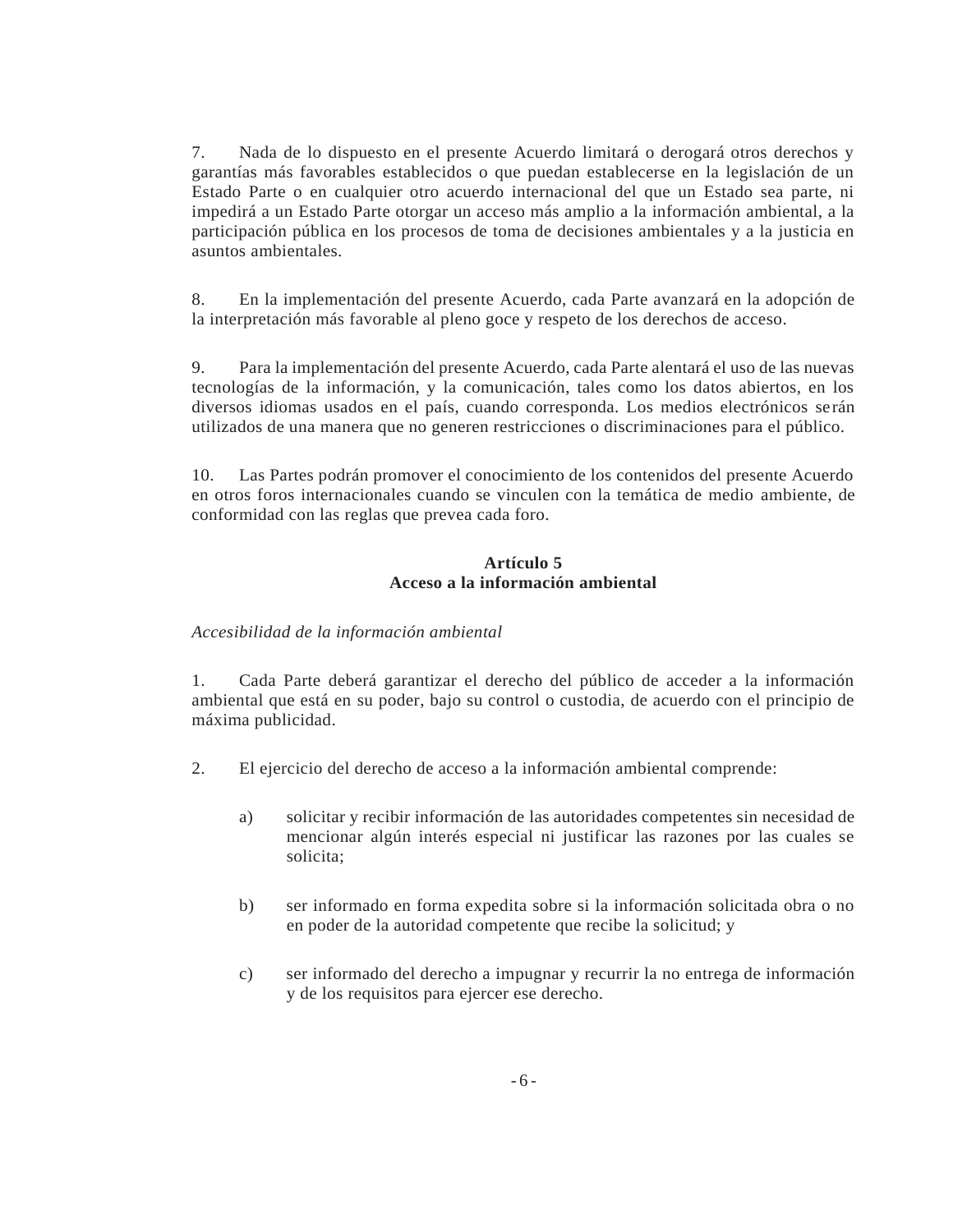7. Nada de lo dispuesto en el presente Acuerdo limitará o derogará otros derechos y garantías más favorables establecidos o que puedan establecerse en la legislación de un Estado Parte o en cualquier otro acuerdo internacional del que un Estado sea parte, ni impedirá a un Estado Parte otorgar un acceso más amplio a la información ambiental, a la participación pública en los procesos de toma de decisiones ambientales y a la justicia en asuntos ambientales.

8. En la implementación del presente Acuerdo, cada Parte avanzará en la adopción de la interpretación más favorable al pleno goce y respeto de los derechos de acceso.

9. Para la implementación del presente Acuerdo, cada Parte alentará el uso de las nuevas tecnologías de la información, y la comunicación, tales como los datos abiertos, en los diversos idiomas usados en el país, cuando corresponda. Los medios electrónicos serán utilizados de una manera que no generen restricciones o discriminaciones para el público.

10. Las Partes podrán promover el conocimiento de los contenidos del presente Acuerdo en otros foros internacionales cuando se vinculen con la temática de medio ambiente, de conformidad con las reglas que prevea cada foro.

# **Artículo 5 Acceso a la información ambiental**

# *Accesibilidad de la información ambiental*

1. Cada Parte deberá garantizar el derecho del público de acceder a la información ambiental que está en su poder, bajo su control o custodia, de acuerdo con el principio de máxima publicidad.

- 2. El ejercicio del derecho de acceso a la información ambiental comprende:
	- a) solicitar y recibir información de las autoridades competentes sin necesidad de mencionar algún interés especial ni justificar las razones por las cuales se solicita;
	- b) ser informado en forma expedita sobre si la información solicitada obra o no en poder de la autoridad competente que recibe la solicitud; y
	- c) ser informado del derecho a impugnar y recurrir la no entrega de información y de los requisitos para ejercer ese derecho.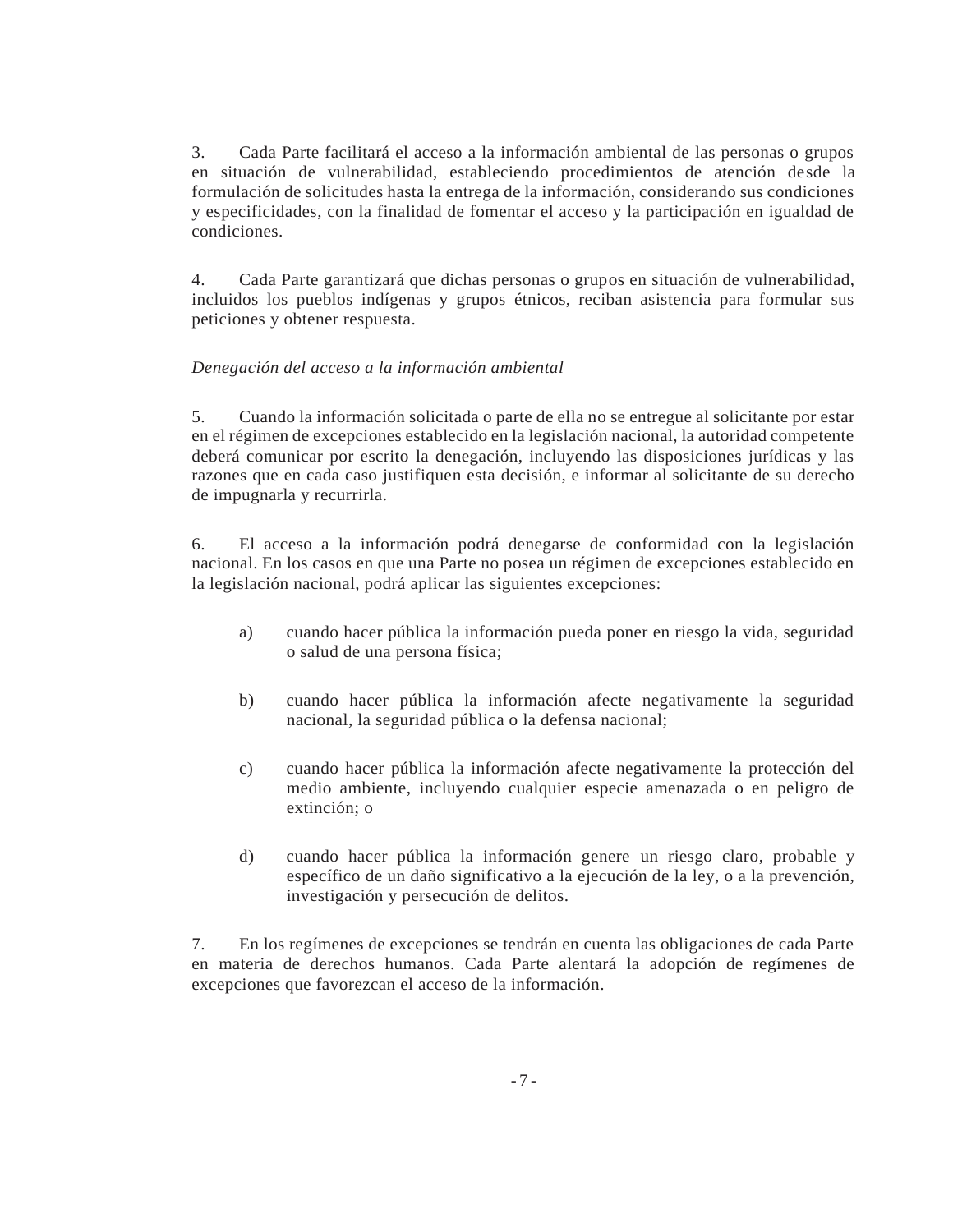3. Cada Parte facilitará el acceso a la información ambiental de las personas o grupos en situación de vulnerabilidad, estableciendo procedimientos de atención desde la formulación de solicitudes hasta la entrega de la información, considerando sus condiciones y especificidades, con la finalidad de fomentar el acceso y la participación en igualdad de condiciones.

4. Cada Parte garantizará que dichas personas o grupos en situación de vulnerabilidad, incluidos los pueblos indígenas y grupos étnicos, reciban asistencia para formular sus peticiones y obtener respuesta.

### *Denegación del acceso a la información ambiental*

5. Cuando la información solicitada o parte de ella no se entregue al solicitante por estar en el régimen de excepciones establecido en la legislación nacional, la autoridad competente deberá comunicar por escrito la denegación, incluyendo las disposiciones jurídicas y las razones que en cada caso justifiquen esta decisión, e informar al solicitante de su derecho de impugnarla y recurrirla.

6. El acceso a la información podrá denegarse de conformidad con la legislación nacional. En los casos en que una Parte no posea un régimen de excepciones establecido en la legislación nacional, podrá aplicar las siguientes excepciones:

- a) cuando hacer pública la información pueda poner en riesgo la vida, seguridad o salud de una persona física;
- b) cuando hacer pública la información afecte negativamente la seguridad nacional, la seguridad pública o la defensa nacional;
- c) cuando hacer pública la información afecte negativamente la protección del medio ambiente, incluyendo cualquier especie amenazada o en peligro de extinción; o
- d) cuando hacer pública la información genere un riesgo claro, probable y específico de un daño significativo a la ejecución de la ley, o a la prevención, investigación y persecución de delitos.

7. En los regímenes de excepciones se tendrán en cuenta las obligaciones de cada Parte en materia de derechos humanos. Cada Parte alentará la adopción de regímenes de excepciones que favorezcan el acceso de la información.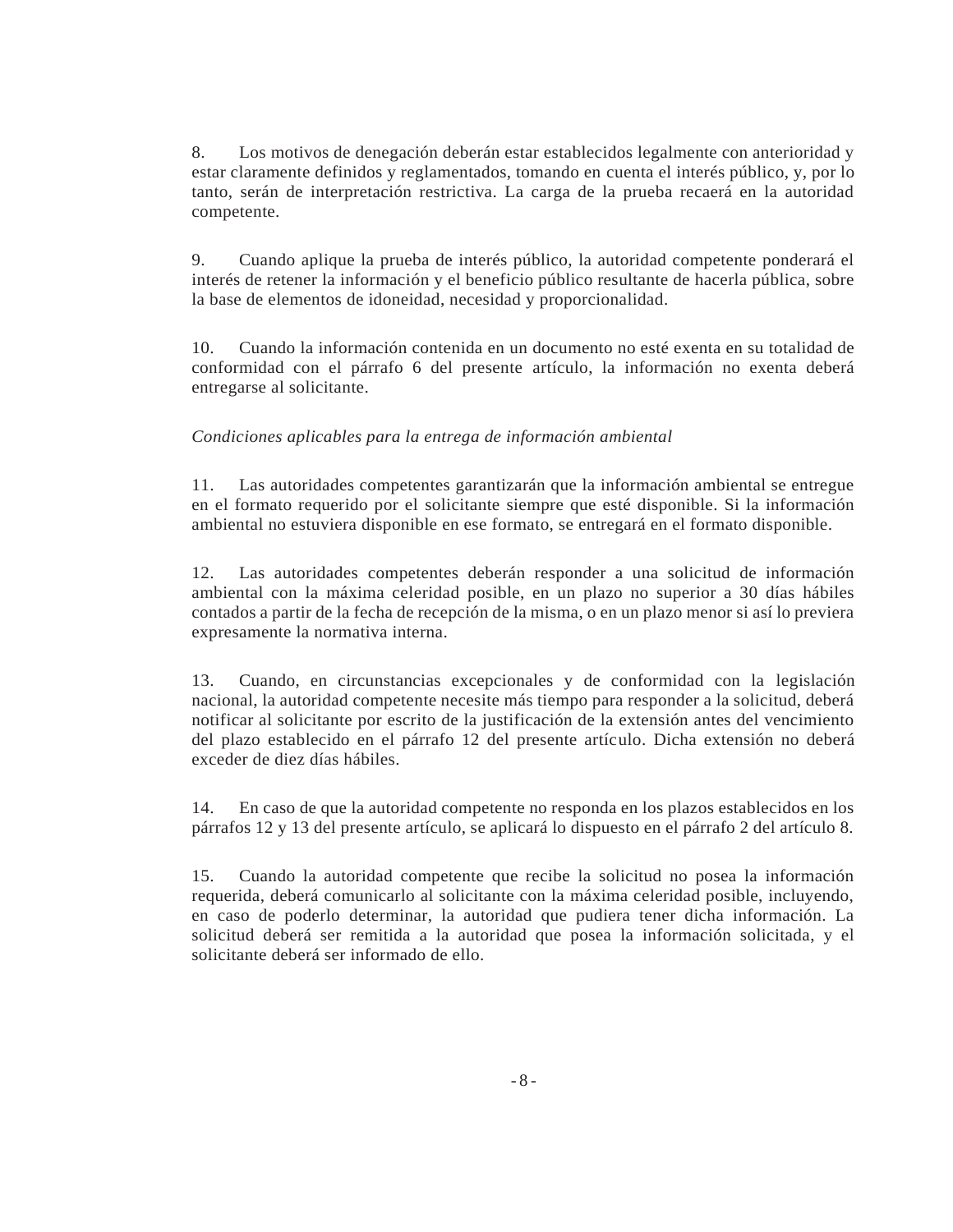8. Los motivos de denegación deberán estar establecidos legalmente con anterioridad y estar claramente definidos y reglamentados, tomando en cuenta el interés público, y, por lo tanto, serán de interpretación restrictiva. La carga de la prueba recaerá en la autoridad competente.

9. Cuando aplique la prueba de interés público, la autoridad competente ponderará el interés de retener la información y el beneficio público resultante de hacerla pública, sobre la base de elementos de idoneidad, necesidad y proporcionalidad.

10. Cuando la información contenida en un documento no esté exenta en su totalidad de conformidad con el párrafo 6 del presente artículo, la información no exenta deberá entregarse al solicitante.

## *Condiciones aplicables para la entrega de información ambiental*

11. Las autoridades competentes garantizarán que la información ambiental se entregue en el formato requerido por el solicitante siempre que esté disponible. Si la información ambiental no estuviera disponible en ese formato, se entregará en el formato disponible.

12. Las autoridades competentes deberán responder a una solicitud de información ambiental con la máxima celeridad posible, en un plazo no superior a 30 días hábiles contados a partir de la fecha de recepción de la misma, o en un plazo menor si así lo previera expresamente la normativa interna.

13. Cuando, en circunstancias excepcionales y de conformidad con la legislación nacional, la autoridad competente necesite más tiempo para responder a la solicitud, deberá notificar al solicitante por escrito de la justificación de la extensión antes del vencimiento del plazo establecido en el párrafo 12 del presente artículo. Dicha extensión no deberá exceder de diez días hábiles.

14. En caso de que la autoridad competente no responda en los plazos establecidos en los párrafos 12 y 13 del presente artículo, se aplicará lo dispuesto en el párrafo 2 del artículo 8.

15. Cuando la autoridad competente que recibe la solicitud no posea la información requerida, deberá comunicarlo al solicitante con la máxima celeridad posible, incluyendo, en caso de poderlo determinar, la autoridad que pudiera tener dicha información. La solicitud deberá ser remitida a la autoridad que posea la información solicitada, y el solicitante deberá ser informado de ello.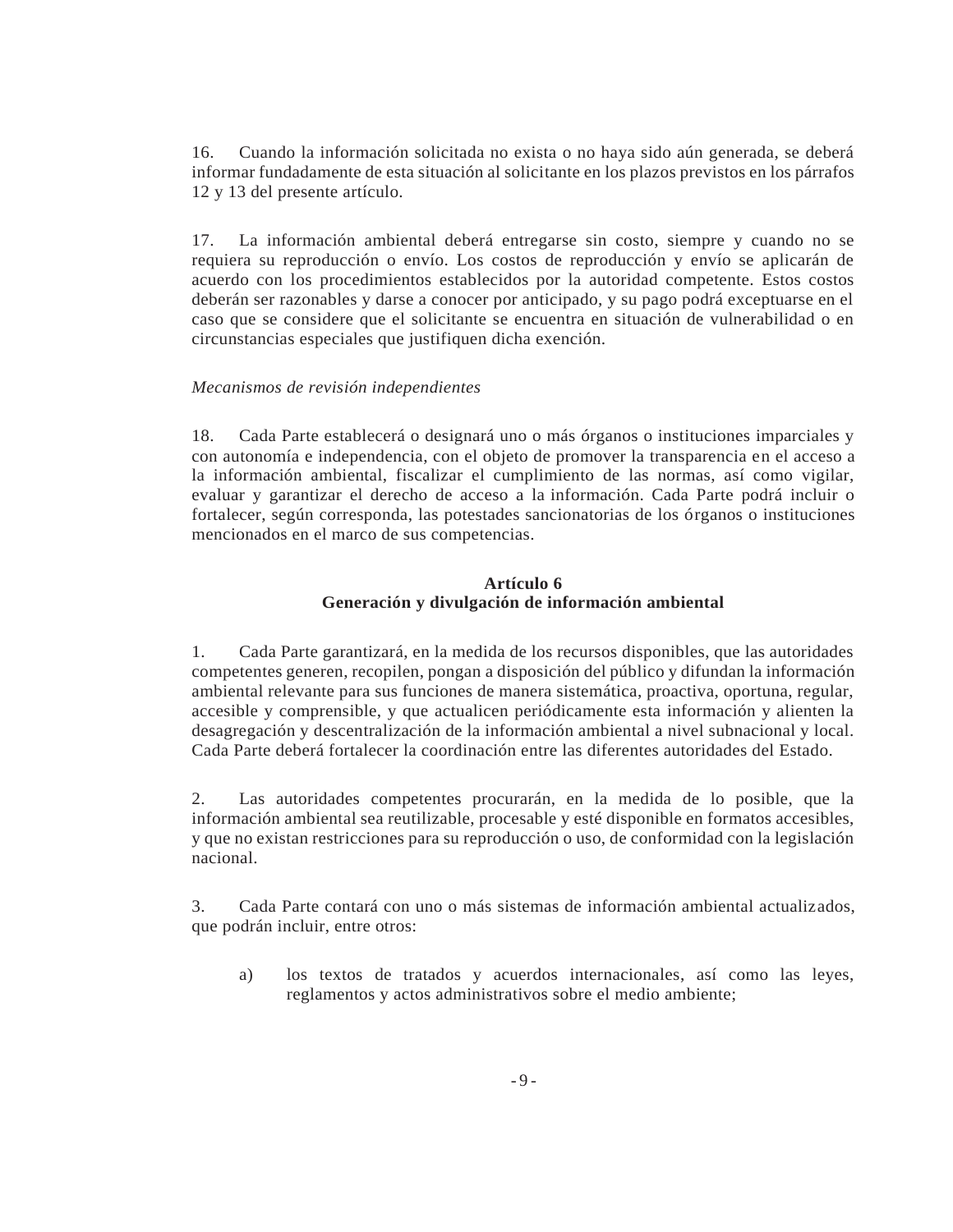16. Cuando la información solicitada no exista o no haya sido aún generada, se deberá informar fundadamente de esta situación al solicitante en los plazos previstos en los párrafos 12 y 13 del presente artículo.

17. La información ambiental deberá entregarse sin costo, siempre y cuando no se requiera su reproducción o envío. Los costos de reproducción y envío se aplicarán de acuerdo con los procedimientos establecidos por la autoridad competente. Estos costos deberán ser razonables y darse a conocer por anticipado, y su pago podrá exceptuarse en el caso que se considere que el solicitante se encuentra en situación de vulnerabilidad o en circunstancias especiales que justifiquen dicha exención.

### *Mecanismos de revisión independientes*

18. Cada Parte establecerá o designará uno o más órganos o instituciones imparciales y con autonomía e independencia, con el objeto de promover la transparencia en el acceso a la información ambiental, fiscalizar el cumplimiento de las normas, así como vigilar, evaluar y garantizar el derecho de acceso a la información. Cada Parte podrá incluir o fortalecer, según corresponda, las potestades sancionatorias de los órganos o instituciones mencionados en el marco de sus competencias.

## **Artículo 6 Generación y divulgación de información ambiental**

1. Cada Parte garantizará, en la medida de los recursos disponibles, que las autoridades competentes generen, recopilen, pongan a disposición del público y difundan la información ambiental relevante para sus funciones de manera sistemática, proactiva, oportuna, regular, accesible y comprensible, y que actualicen periódicamente esta información y alienten la desagregación y descentralización de la información ambiental a nivel subnacional y local. Cada Parte deberá fortalecer la coordinación entre las diferentes autoridades del Estado.

2. Las autoridades competentes procurarán, en la medida de lo posible, que la información ambiental sea reutilizable, procesable y esté disponible en formatos accesibles, y que no existan restricciones para su reproducción o uso, de conformidad con la legislación nacional.

3. Cada Parte contará con uno o más sistemas de información ambiental actualizados, que podrán incluir, entre otros:

a) los textos de tratados y acuerdos internacionales, así como las leyes, reglamentos y actos administrativos sobre el medio ambiente;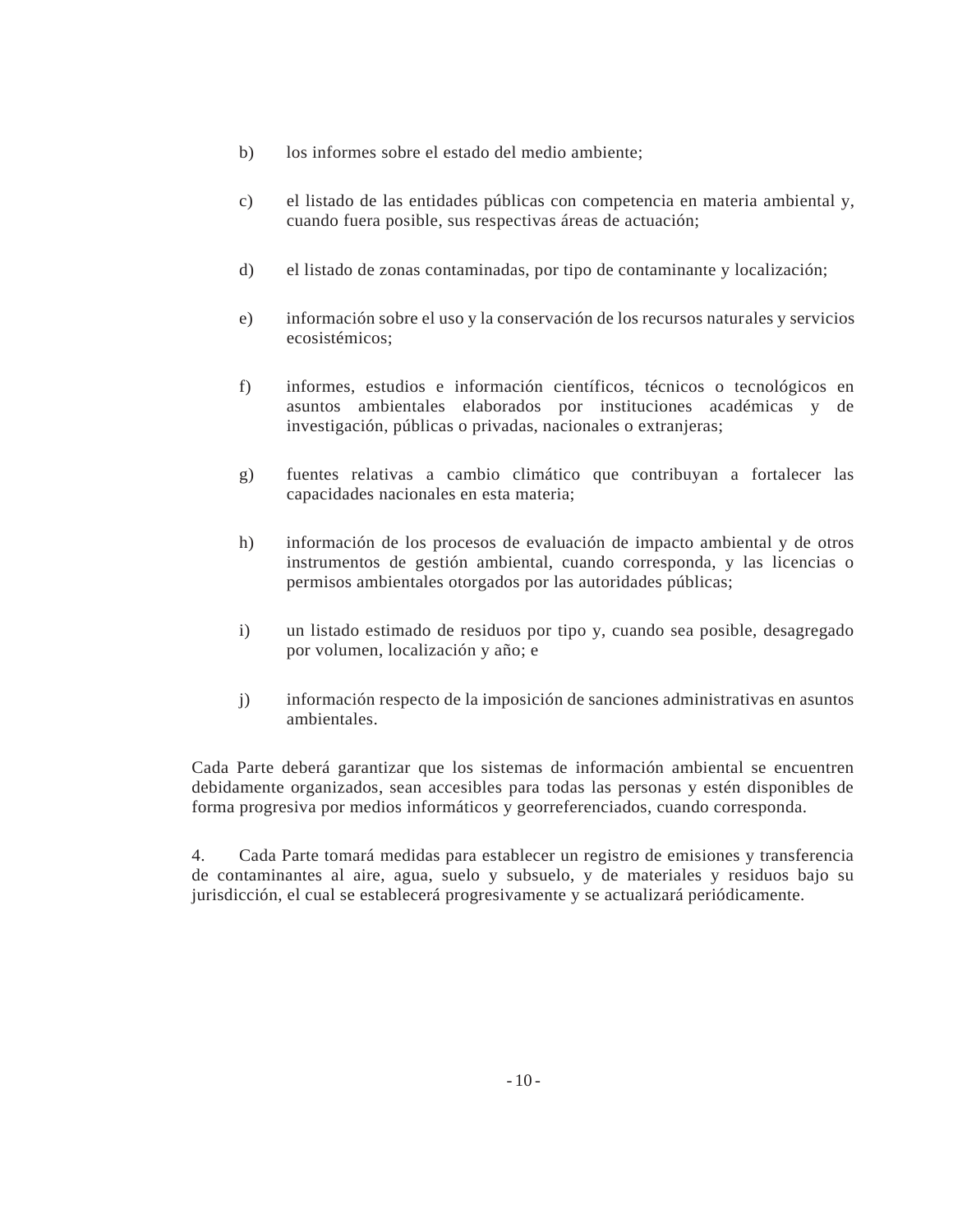- b) los informes sobre el estado del medio ambiente;
- c) el listado de las entidades públicas con competencia en materia ambiental y, cuando fuera posible, sus respectivas áreas de actuación;
- d) el listado de zonas contaminadas, por tipo de contaminante y localización;
- e) información sobre el uso y la conservación de los recursos naturales y servicios ecosistémicos;
- f) informes, estudios e información científicos, técnicos o tecnológicos en asuntos ambientales elaborados por instituciones académicas y de investigación, públicas o privadas, nacionales o extranjeras;
- g) fuentes relativas a cambio climático que contribuyan a fortalecer las capacidades nacionales en esta materia;
- h) información de los procesos de evaluación de impacto ambiental y de otros instrumentos de gestión ambiental, cuando corresponda, y las licencias o permisos ambientales otorgados por las autoridades públicas;
- i) un listado estimado de residuos por tipo y, cuando sea posible, desagregado por volumen, localización y año; e
- j) información respecto de la imposición de sanciones administrativas en asuntos ambientales.

Cada Parte deberá garantizar que los sistemas de información ambiental se encuentren debidamente organizados, sean accesibles para todas las personas y estén disponibles de forma progresiva por medios informáticos y georreferenciados, cuando corresponda.

4. Cada Parte tomará medidas para establecer un registro de emisiones y transferencia de contaminantes al aire, agua, suelo y subsuelo, y de materiales y residuos bajo su jurisdicción, el cual se establecerá progresivamente y se actualizará periódicamente.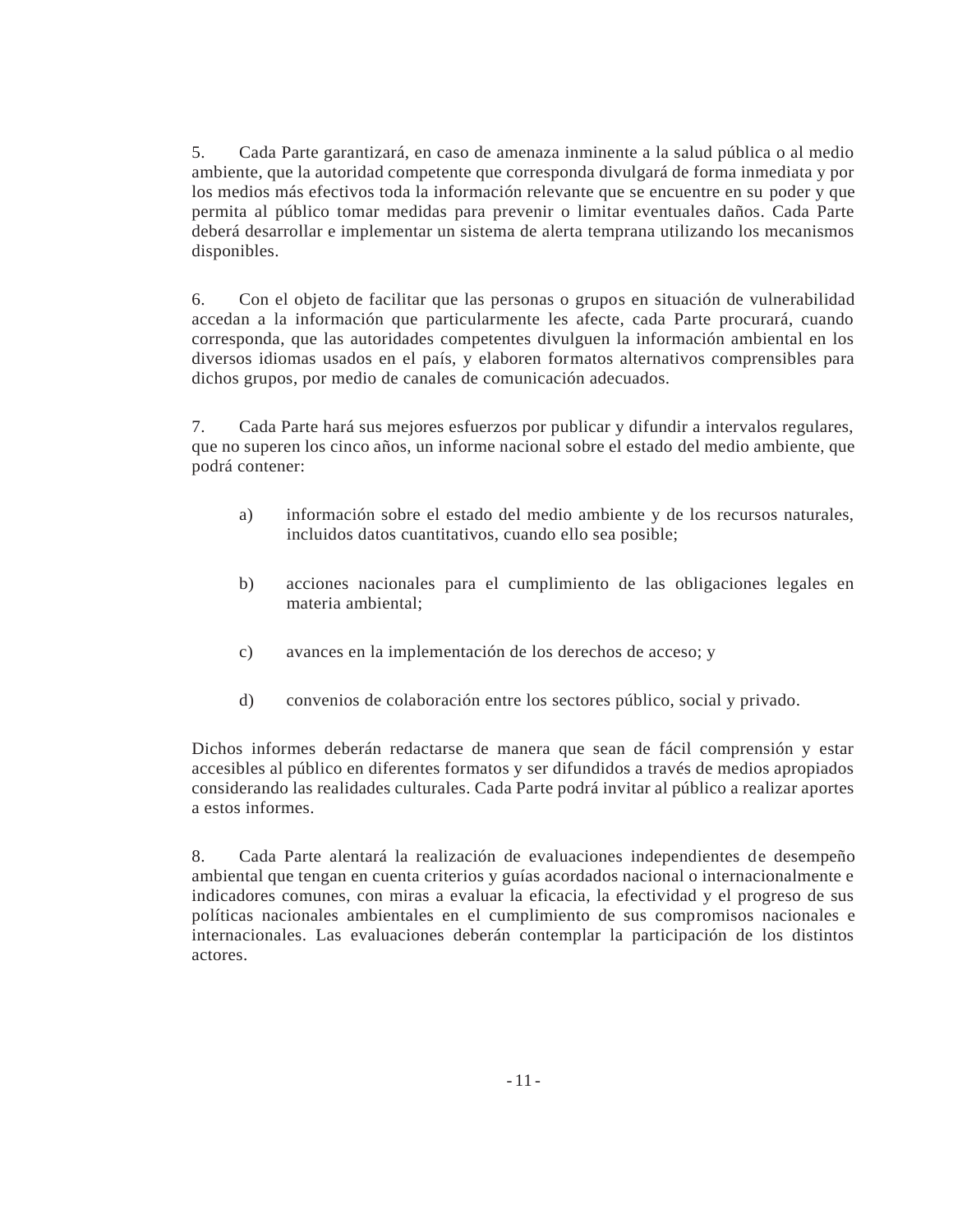5. Cada Parte garantizará, en caso de amenaza inminente a la salud pública o al medio ambiente, que la autoridad competente que corresponda divulgará de forma inmediata y por los medios más efectivos toda la información relevante que se encuentre en su poder y que permita al público tomar medidas para prevenir o limitar eventuales daños. Cada Parte deberá desarrollar e implementar un sistema de alerta temprana utilizando los mecanismos disponibles.

6. Con el objeto de facilitar que las personas o grupos en situación de vulnerabilidad accedan a la información que particularmente les afecte, cada Parte procurará, cuando corresponda, que las autoridades competentes divulguen la información ambiental en los diversos idiomas usados en el país, y elaboren formatos alternativos comprensibles para dichos grupos, por medio de canales de comunicación adecuados.

7. Cada Parte hará sus mejores esfuerzos por publicar y difundir a intervalos regulares, que no superen los cinco años, un informe nacional sobre el estado del medio ambiente, que podrá contener:

- a) información sobre el estado del medio ambiente y de los recursos naturales, incluidos datos cuantitativos, cuando ello sea posible;
- b) acciones nacionales para el cumplimiento de las obligaciones legales en materia ambiental;
- c) avances en la implementación de los derechos de acceso; y
- d) convenios de colaboración entre los sectores público, social y privado.

Dichos informes deberán redactarse de manera que sean de fácil comprensión y estar accesibles al público en diferentes formatos y ser difundidos a través de medios apropiados considerando las realidades culturales. Cada Parte podrá invitar al público a realizar aportes a estos informes.

8. Cada Parte alentará la realización de evaluaciones independientes de desempeño ambiental que tengan en cuenta criterios y guías acordados nacional o internacionalmente e indicadores comunes, con miras a evaluar la eficacia, la efectividad y el progreso de sus políticas nacionales ambientales en el cumplimiento de sus compromisos nacionales e internacionales. Las evaluaciones deberán contemplar la participación de los distintos actores.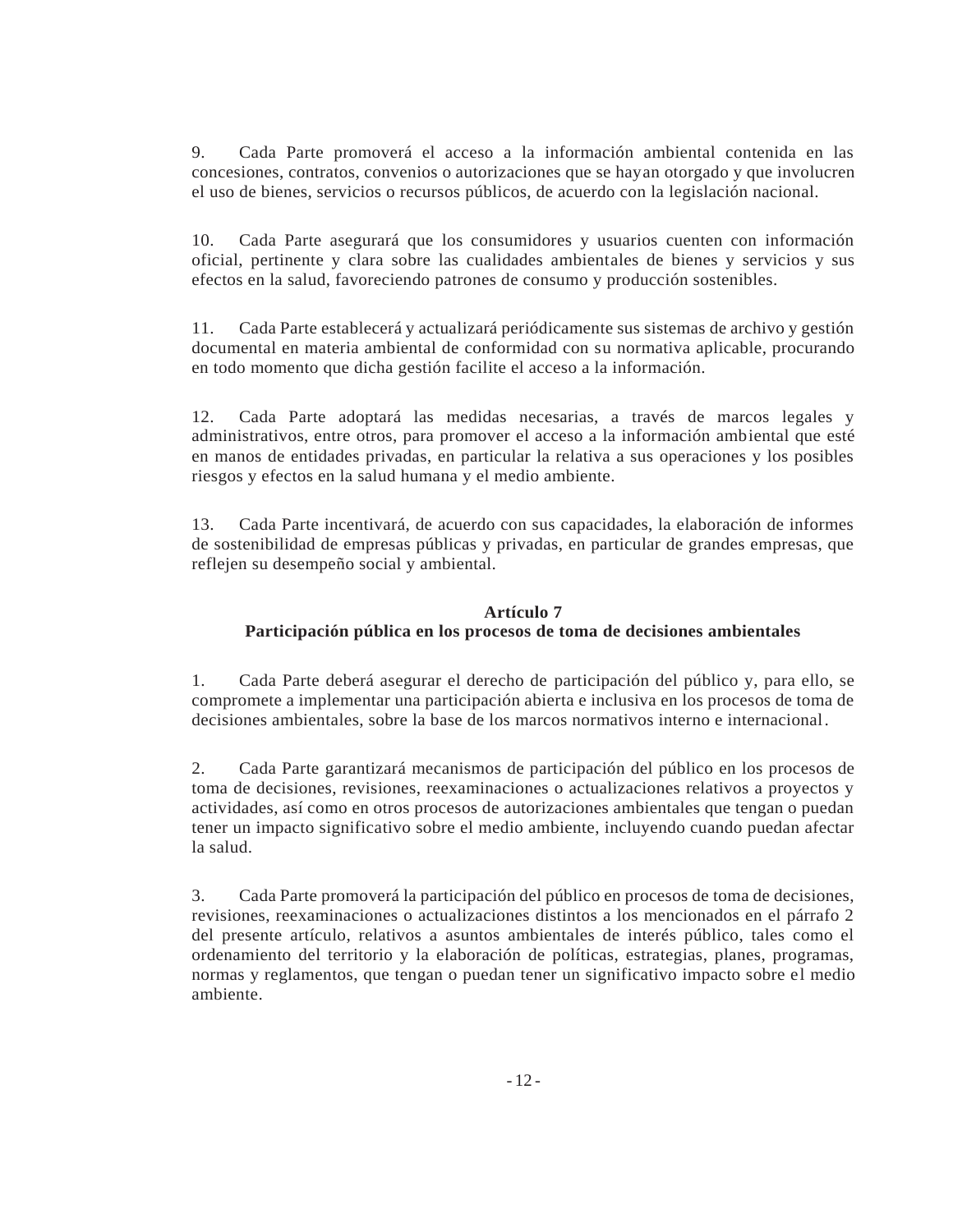9. Cada Parte promoverá el acceso a la información ambiental contenida en las concesiones, contratos, convenios o autorizaciones que se hayan otorgado y que involucren el uso de bienes, servicios o recursos públicos, de acuerdo con la legislación nacional.

10. Cada Parte asegurará que los consumidores y usuarios cuenten con información oficial, pertinente y clara sobre las cualidades ambientales de bienes y servicios y sus efectos en la salud, favoreciendo patrones de consumo y producción sostenibles.

11. Cada Parte establecerá y actualizará periódicamente sus sistemas de archivo y gestión documental en materia ambiental de conformidad con su normativa aplicable, procurando en todo momento que dicha gestión facilite el acceso a la información.

12. Cada Parte adoptará las medidas necesarias, a través de marcos legales y administrativos, entre otros, para promover el acceso a la información ambiental que esté en manos de entidades privadas, en particular la relativa a sus operaciones y los posibles riesgos y efectos en la salud humana y el medio ambiente.

13. Cada Parte incentivará, de acuerdo con sus capacidades, la elaboración de informes de sostenibilidad de empresas públicas y privadas, en particular de grandes empresas, que reflejen su desempeño social y ambiental.

# **Artículo 7 Participación pública en los procesos de toma de decisiones ambientales**

1. Cada Parte deberá asegurar el derecho de participación del público y, para ello, se compromete a implementar una participación abierta e inclusiva en los procesos de toma de decisiones ambientales, sobre la base de los marcos normativos interno e internacional.

2. Cada Parte garantizará mecanismos de participación del público en los procesos de toma de decisiones, revisiones, reexaminaciones o actualizaciones relativos a proyectos y actividades, así como en otros procesos de autorizaciones ambientales que tengan o puedan tener un impacto significativo sobre el medio ambiente, incluyendo cuando puedan afectar la salud.

3. Cada Parte promoverá la participación del público en procesos de toma de decisiones, revisiones, reexaminaciones o actualizaciones distintos a los mencionados en el párrafo 2 del presente artículo, relativos a asuntos ambientales de interés público, tales como el ordenamiento del territorio y la elaboración de políticas, estrategias, planes, programas, normas y reglamentos, que tengan o puedan tener un significativo impacto sobre el medio ambiente.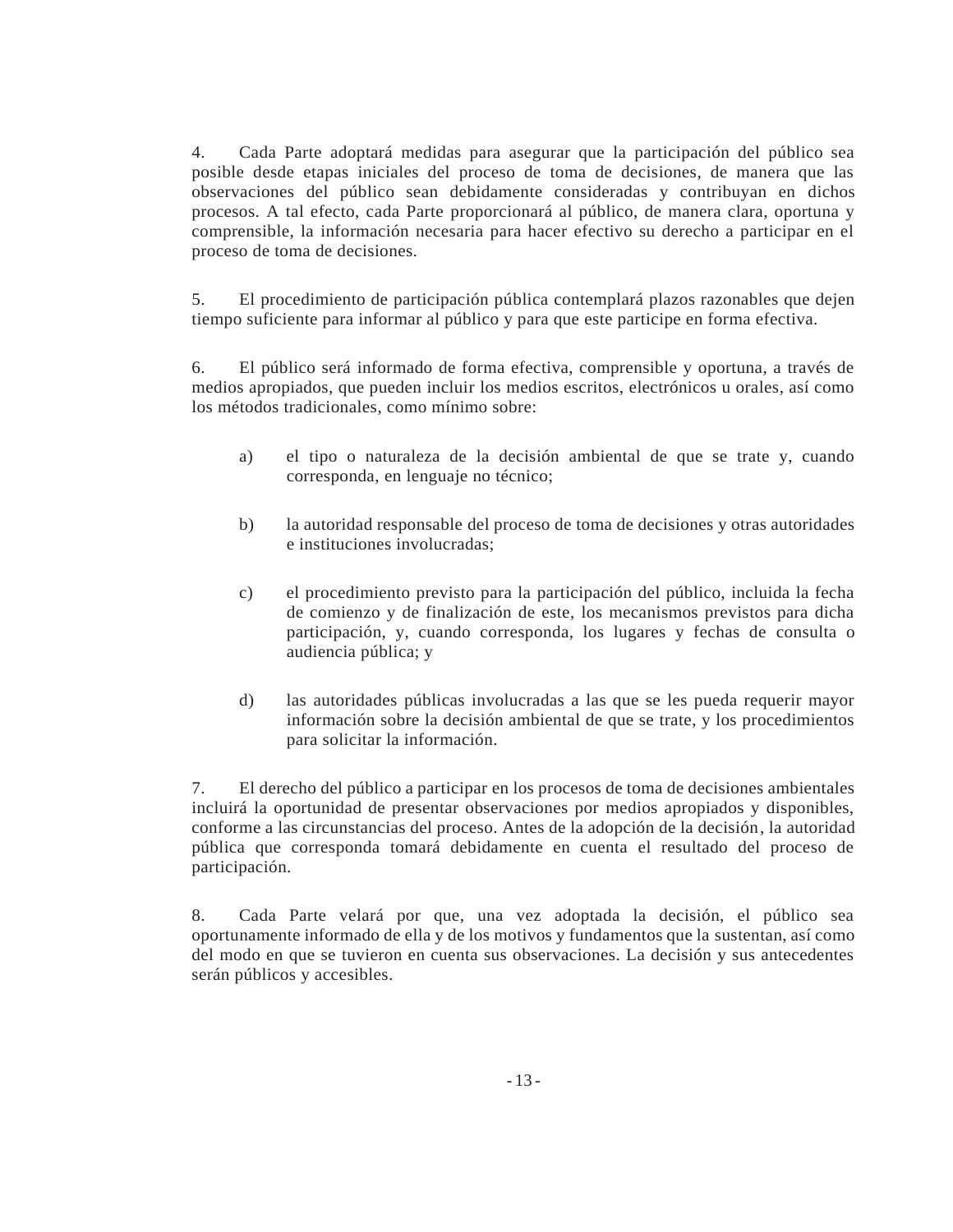4. Cada Parte adoptará medidas para asegurar que la participación del público sea posible desde etapas iniciales del proceso de toma de decisiones, de manera que las observaciones del público sean debidamente consideradas y contribuyan en dichos procesos. A tal efecto, cada Parte proporcionará al público, de manera clara, oportuna y comprensible, la información necesaria para hacer efectivo su derecho a participar en el proceso de toma de decisiones.

5. El procedimiento de participación pública contemplará plazos razonables que dejen tiempo suficiente para informar al público y para que este participe en forma efectiva.

6. El público será informado de forma efectiva, comprensible y oportuna, a través de medios apropiados, que pueden incluir los medios escritos, electrónicos u orales, así como los métodos tradicionales, como mínimo sobre:

- a) el tipo o naturaleza de la decisión ambiental de que se trate y, cuando corresponda, en lenguaje no técnico;
- b) la autoridad responsable del proceso de toma de decisiones y otras autoridades e instituciones involucradas;
- c) el procedimiento previsto para la participación del público, incluida la fecha de comienzo y de finalización de este, los mecanismos previstos para dicha participación, y, cuando corresponda, los lugares y fechas de consulta o audiencia pública; y
- d) las autoridades públicas involucradas a las que se les pueda requerir mayor información sobre la decisión ambiental de que se trate, y los procedimientos para solicitar la información.

7. El derecho del público a participar en los procesos de toma de decisiones ambientales incluirá la oportunidad de presentar observaciones por medios apropiados y disponibles, conforme a las circunstancias del proceso. Antes de la adopción de la decisión, la autoridad pública que corresponda tomará debidamente en cuenta el resultado del proceso de participación.

8. Cada Parte velará por que, una vez adoptada la decisión, el público sea oportunamente informado de ella y de los motivos y fundamentos que la sustentan, así como del modo en que se tuvieron en cuenta sus observaciones. La decisión y sus antecedentes serán públicos y accesibles.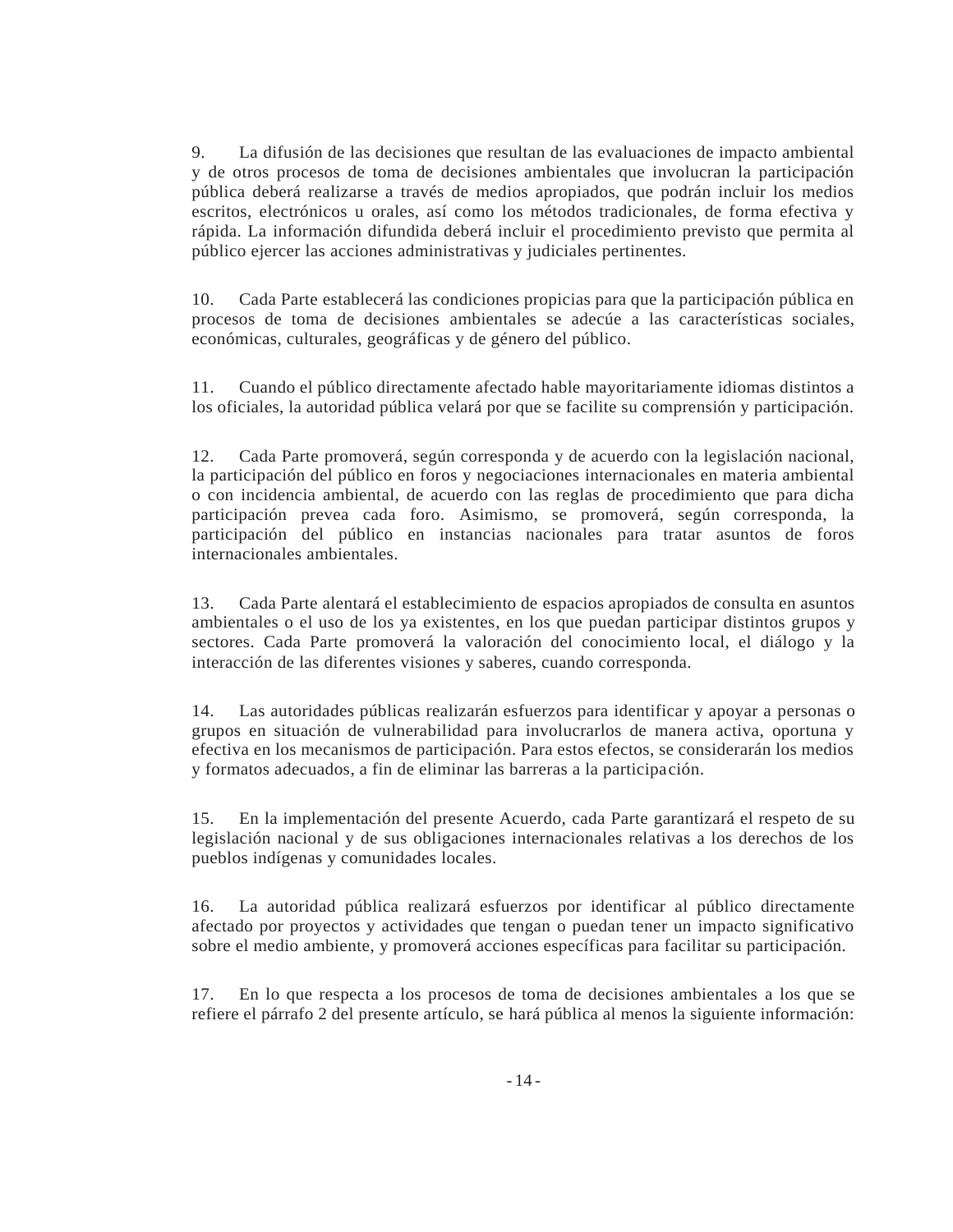9. La difusión de las decisiones que resultan de las evaluaciones de impacto ambiental y de otros procesos de toma de decisiones ambientales que involucran la participación pública deberá realizarse a través de medios apropiados, que podrán incluir los medios escritos, electrónicos u orales, así como los métodos tradicionales, de forma efectiva y rápida. La información difundida deberá incluir el procedimiento previsto que permita al público ejercer las acciones administrativas y judiciales pertinentes.

10. Cada Parte establecerá las condiciones propicias para que la participación pública en procesos de toma de decisiones ambientales se adecúe a las características sociales, económicas, culturales, geográficas y de género del público.

11. Cuando el público directamente afectado hable mayoritariamente idiomas distintos a los oficiales, la autoridad pública velará por que se facilite su comprensión y participación.

12. Cada Parte promoverá, según corresponda y de acuerdo con la legislación nacional, la participación del público en foros y negociaciones internacionales en materia ambiental o con incidencia ambiental, de acuerdo con las reglas de procedimiento que para dicha participación prevea cada foro. Asimismo, se promoverá, según corresponda, la participación del público en instancias nacionales para tratar asuntos de foros internacionales ambientales.

13. Cada Parte alentará el establecimiento de espacios apropiados de consulta en asuntos ambientales o el uso de los ya existentes, en los que puedan participar distintos grupos y sectores. Cada Parte promoverá la valoración del conocimiento local, el diálogo y la interacción de las diferentes visiones y saberes, cuando corresponda.

14. Las autoridades públicas realizarán esfuerzos para identificar y apoyar a personas o grupos en situación de vulnerabilidad para involucrarlos de manera activa, oportuna y efectiva en los mecanismos de participación. Para estos efectos, se considerarán los medios y formatos adecuados, a fin de eliminar las barreras a la participación.

15. En la implementación del presente Acuerdo, cada Parte garantizará el respeto de su legislación nacional y de sus obligaciones internacionales relativas a los derechos de los pueblos indígenas y comunidades locales.

16. La autoridad pública realizará esfuerzos por identificar al público directamente afectado por proyectos y actividades que tengan o puedan tener un impacto significativo sobre el medio ambiente, y promoverá acciones específicas para facilitar su participación.

17. En lo que respecta a los procesos de toma de decisiones ambientales a los que se refiere el párrafo 2 del presente artículo, se hará pública al menos la siguiente información: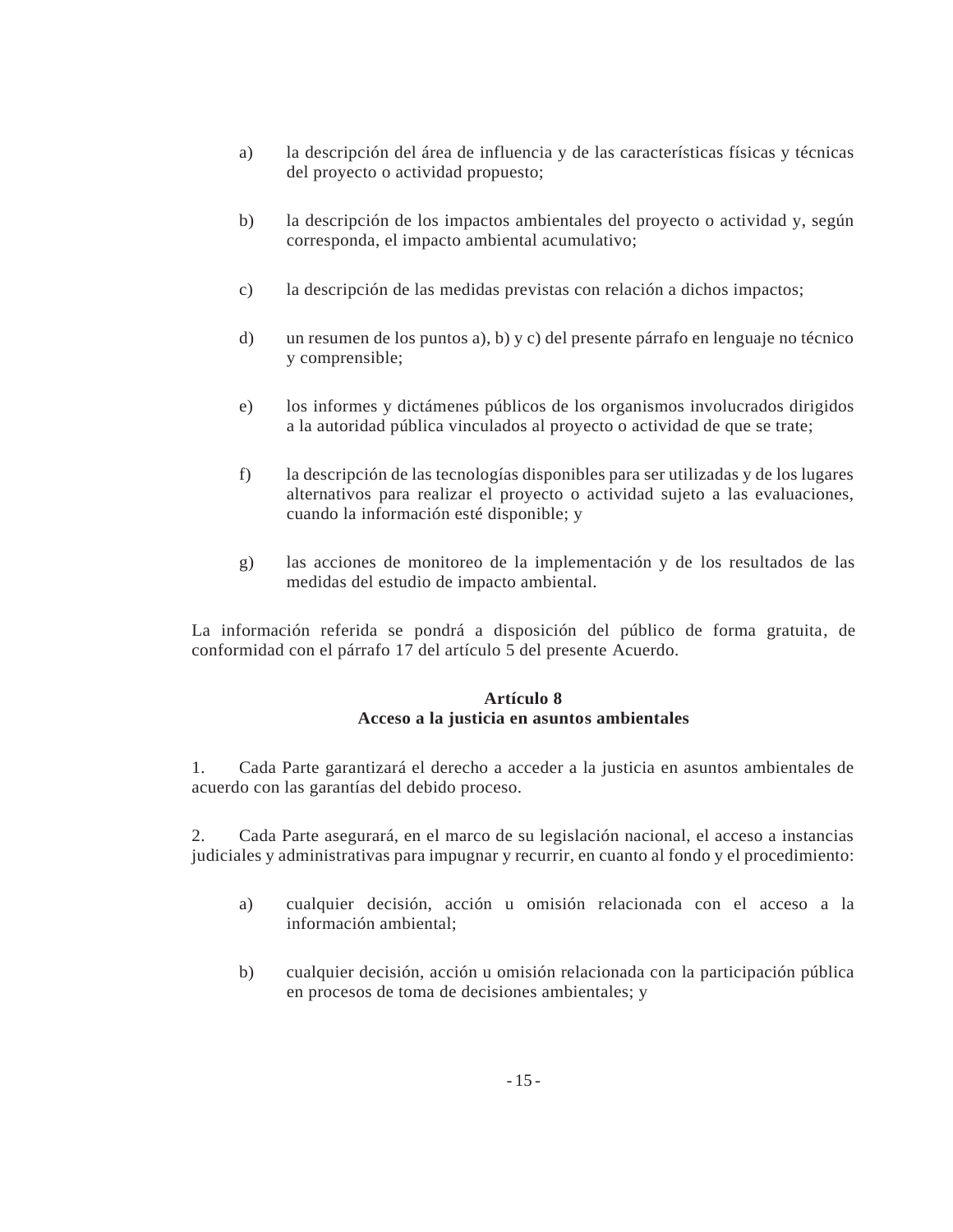- a) la descripción del área de influencia y de las características físicas y técnicas del proyecto o actividad propuesto;
- b) la descripción de los impactos ambientales del proyecto o actividad y, según corresponda, el impacto ambiental acumulativo;
- c) la descripción de las medidas previstas con relación a dichos impactos;
- d) un resumen de los puntos a), b) y c) del presente párrafo en lenguaje no técnico y comprensible;
- e) los informes y dictámenes públicos de los organismos involucrados dirigidos a la autoridad pública vinculados al proyecto o actividad de que se trate;
- f) la descripción de las tecnologías disponibles para ser utilizadas y de los lugares alternativos para realizar el proyecto o actividad sujeto a las evaluaciones, cuando la información esté disponible; y
- g) las acciones de monitoreo de la implementación y de los resultados de las medidas del estudio de impacto ambiental.

La información referida se pondrá a disposición del público de forma gratuita, de conformidad con el párrafo 17 del artículo 5 del presente Acuerdo.

## **Artículo 8 Acceso a la justicia en asuntos ambientales**

1. Cada Parte garantizará el derecho a acceder a la justicia en asuntos ambientales de acuerdo con las garantías del debido proceso.

2. Cada Parte asegurará, en el marco de su legislación nacional, el acceso a instancias judiciales y administrativas para impugnar y recurrir, en cuanto al fondo y el procedimiento:

- a) cualquier decisión, acción u omisión relacionada con el acceso a la información ambiental;
- b) cualquier decisión, acción u omisión relacionada con la participación pública en procesos de toma de decisiones ambientales; y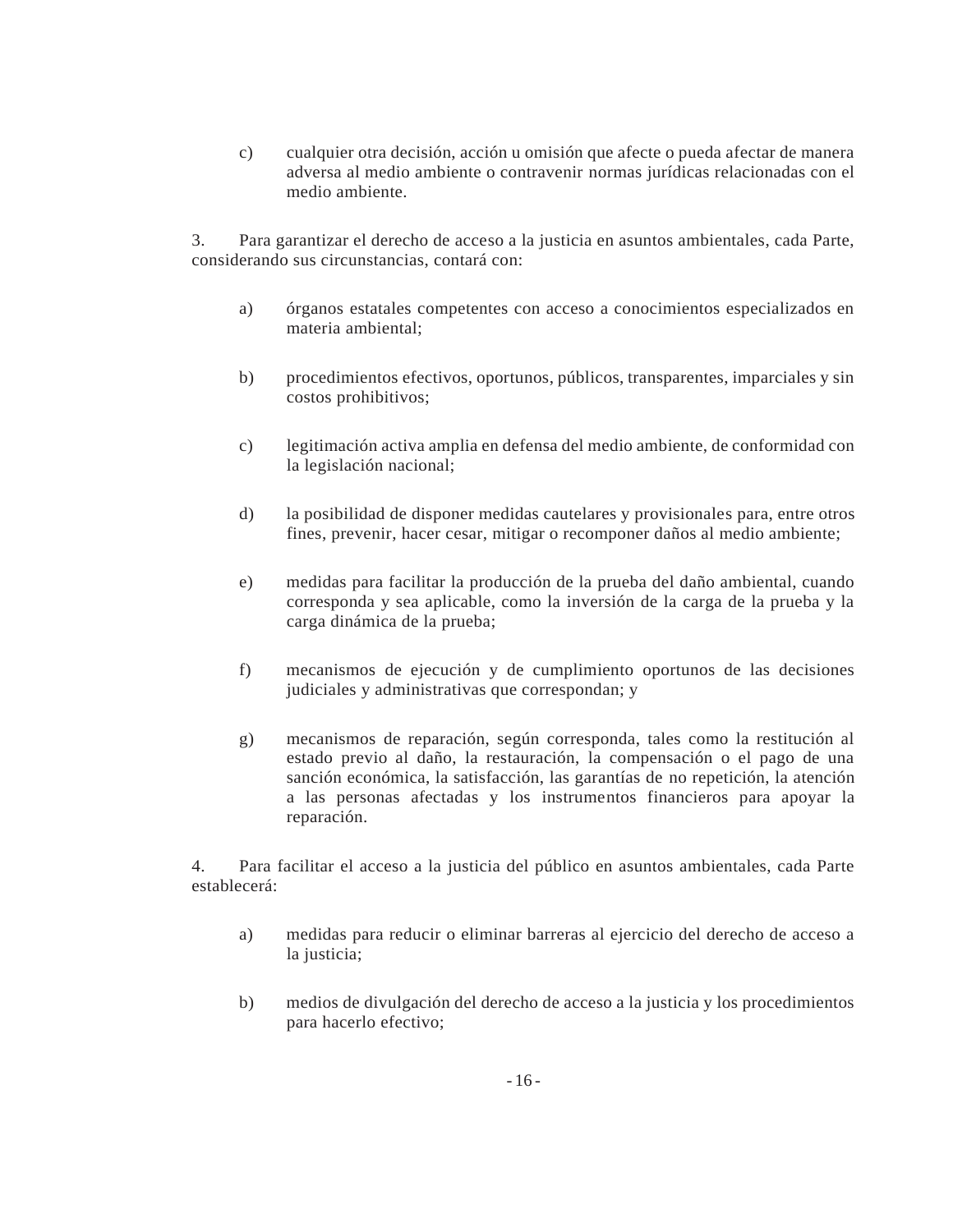c) cualquier otra decisión, acción u omisión que afecte o pueda afectar de manera adversa al medio ambiente o contravenir normas jurídicas relacionadas con el medio ambiente.

3. Para garantizar el derecho de acceso a la justicia en asuntos ambientales, cada Parte, considerando sus circunstancias, contará con:

- a) órganos estatales competentes con acceso a conocimientos especializados en materia ambiental;
- b) procedimientos efectivos, oportunos, públicos, transparentes, imparciales y sin costos prohibitivos;
- c) legitimación activa amplia en defensa del medio ambiente, de conformidad con la legislación nacional;
- d) la posibilidad de disponer medidas cautelares y provisionales para, entre otros fines, prevenir, hacer cesar, mitigar o recomponer daños al medio ambiente;
- e) medidas para facilitar la producción de la prueba del daño ambiental, cuando corresponda y sea aplicable, como la inversión de la carga de la prueba y la carga dinámica de la prueba;
- f) mecanismos de ejecución y de cumplimiento oportunos de las decisiones judiciales y administrativas que correspondan; y
- g) mecanismos de reparación, según corresponda, tales como la restitución al estado previo al daño, la restauración, la compensación o el pago de una sanción económica, la satisfacción, las garantías de no repetición, la atención a las personas afectadas y los instrumentos financieros para apoyar la reparación.

4. Para facilitar el acceso a la justicia del público en asuntos ambientales, cada Parte establecerá:

- a) medidas para reducir o eliminar barreras al ejercicio del derecho de acceso a la justicia;
- b) medios de divulgación del derecho de acceso a la justicia y los procedimientos para hacerlo efectivo;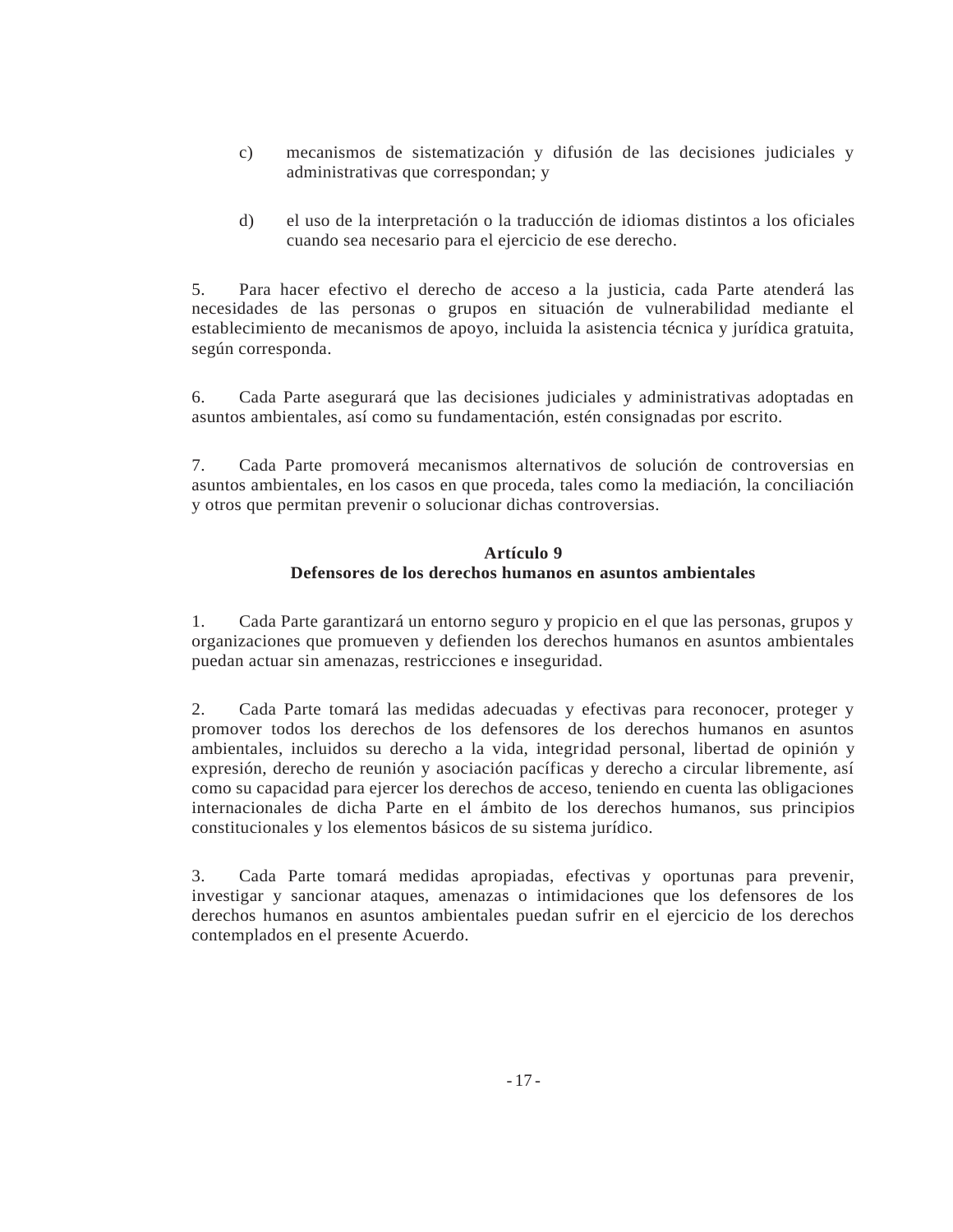- c) mecanismos de sistematización y difusión de las decisiones judiciales y administrativas que correspondan; y
- d) el uso de la interpretación o la traducción de idiomas distintos a los oficiales cuando sea necesario para el ejercicio de ese derecho.

5. Para hacer efectivo el derecho de acceso a la justicia, cada Parte atenderá las necesidades de las personas o grupos en situación de vulnerabilidad mediante el establecimiento de mecanismos de apoyo, incluida la asistencia técnica y jurídica gratuita, según corresponda.

6. Cada Parte asegurará que las decisiones judiciales y administrativas adoptadas en asuntos ambientales, así como su fundamentación, estén consignadas por escrito.

7. Cada Parte promoverá mecanismos alternativos de solución de controversias en asuntos ambientales, en los casos en que proceda, tales como la mediación, la conciliación y otros que permitan prevenir o solucionar dichas controversias.

## **Artículo 9 Defensores de los derechos humanos en asuntos ambientales**

1. Cada Parte garantizará un entorno seguro y propicio en el que las personas, grupos y organizaciones que promueven y defienden los derechos humanos en asuntos ambientales puedan actuar sin amenazas, restricciones e inseguridad.

2. Cada Parte tomará las medidas adecuadas y efectivas para reconocer, proteger y promover todos los derechos de los defensores de los derechos humanos en asuntos ambientales, incluidos su derecho a la vida, integridad personal, libertad de opinión y expresión, derecho de reunión y asociación pacíficas y derecho a circular libremente, así como su capacidad para ejercer los derechos de acceso, teniendo en cuenta las obligaciones internacionales de dicha Parte en el ámbito de los derechos humanos, sus principios constitucionales y los elementos básicos de su sistema jurídico.

3. Cada Parte tomará medidas apropiadas, efectivas y oportunas para prevenir, investigar y sancionar ataques, amenazas o intimidaciones que los defensores de los derechos humanos en asuntos ambientales puedan sufrir en el ejercicio de los derechos contemplados en el presente Acuerdo.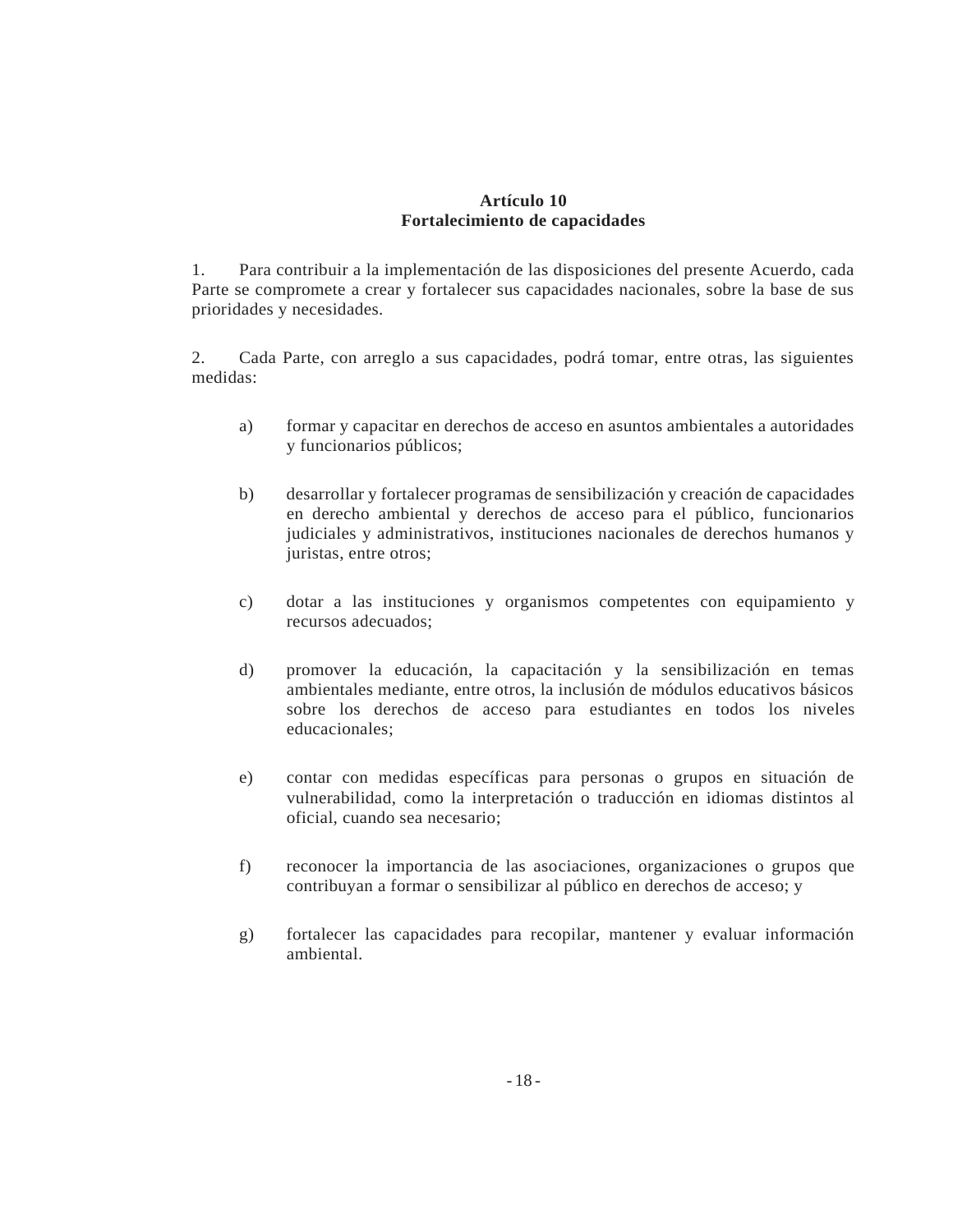# **Artículo 10 Fortalecimiento de capacidades**

1. Para contribuir a la implementación de las disposiciones del presente Acuerdo, cada Parte se compromete a crear y fortalecer sus capacidades nacionales, sobre la base de sus prioridades y necesidades.

2. Cada Parte, con arreglo a sus capacidades, podrá tomar, entre otras, las siguientes medidas:

- a) formar y capacitar en derechos de acceso en asuntos ambientales a autoridades y funcionarios públicos;
- b) desarrollar y fortalecer programas de sensibilización y creación de capacidades en derecho ambiental y derechos de acceso para el público, funcionarios judiciales y administrativos, instituciones nacionales de derechos humanos y juristas, entre otros;
- c) dotar a las instituciones y organismos competentes con equipamiento y recursos adecuados;
- d) promover la educación, la capacitación y la sensibilización en temas ambientales mediante, entre otros, la inclusión de módulos educativos básicos sobre los derechos de acceso para estudiantes en todos los niveles educacionales;
- e) contar con medidas específicas para personas o grupos en situación de vulnerabilidad, como la interpretación o traducción en idiomas distintos al oficial, cuando sea necesario;
- f) reconocer la importancia de las asociaciones, organizaciones o grupos que contribuyan a formar o sensibilizar al público en derechos de acceso; y
- g) fortalecer las capacidades para recopilar, mantener y evaluar información ambiental.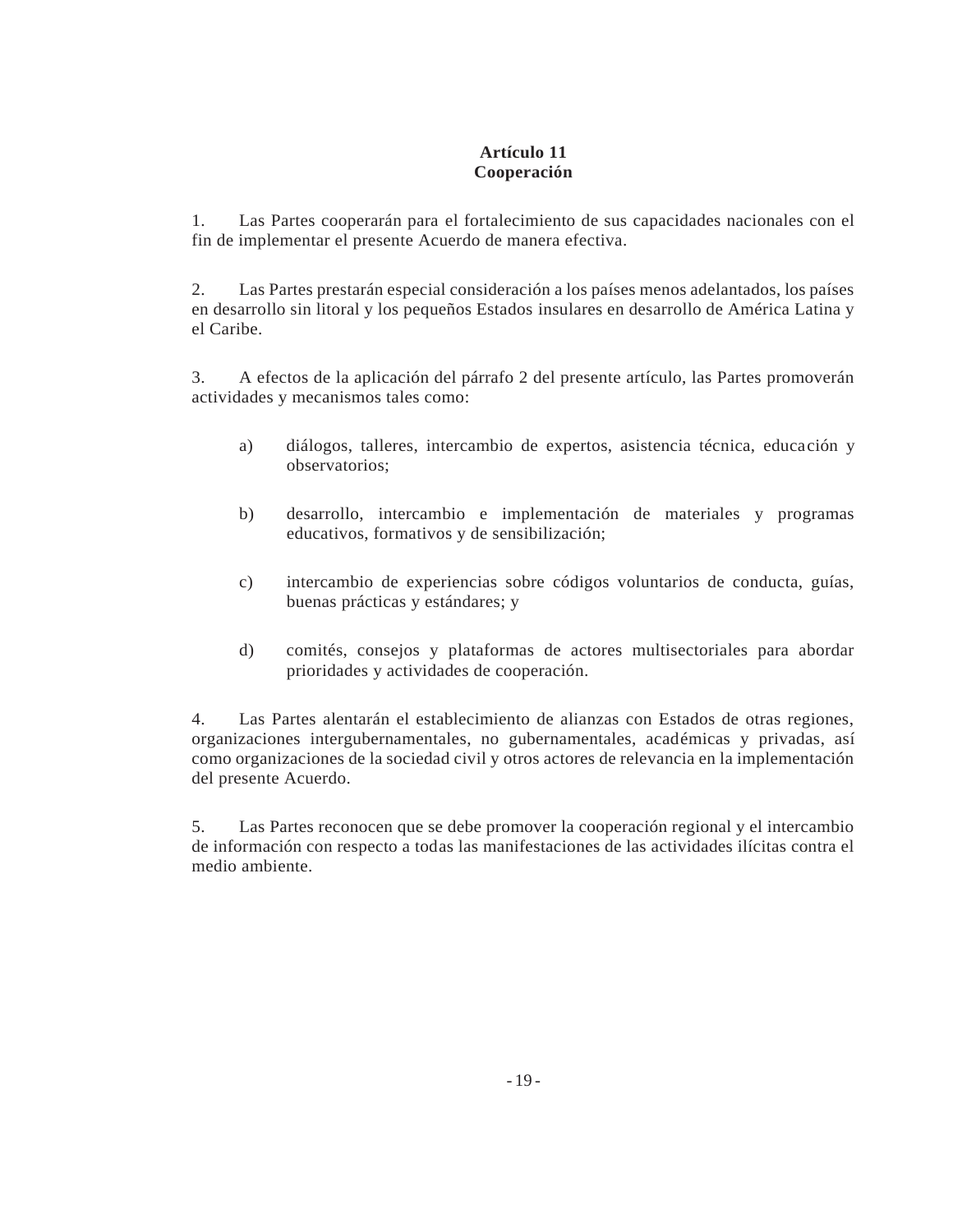# **Artículo 11 Cooperación**

1. Las Partes cooperarán para el fortalecimiento de sus capacidades nacionales con el fin de implementar el presente Acuerdo de manera efectiva.

2. Las Partes prestarán especial consideración a los países menos adelantados, los países en desarrollo sin litoral y los pequeños Estados insulares en desarrollo de América Latina y el Caribe.

3. A efectos de la aplicación del párrafo 2 del presente artículo, las Partes promoverán actividades y mecanismos tales como:

- a) diálogos, talleres, intercambio de expertos, asistencia técnica, educación y observatorios;
- b) desarrollo, intercambio e implementación de materiales y programas educativos, formativos y de sensibilización;
- c) intercambio de experiencias sobre códigos voluntarios de conducta, guías, buenas prácticas y estándares; y
- d) comités, consejos y plataformas de actores multisectoriales para abordar prioridades y actividades de cooperación.

4. Las Partes alentarán el establecimiento de alianzas con Estados de otras regiones, organizaciones intergubernamentales, no gubernamentales, académicas y privadas, así como organizaciones de la sociedad civil y otros actores de relevancia en la implementación del presente Acuerdo.

5. Las Partes reconocen que se debe promover la cooperación regional y el intercambio de información con respecto a todas las manifestaciones de las actividades ilícitas contra el medio ambiente.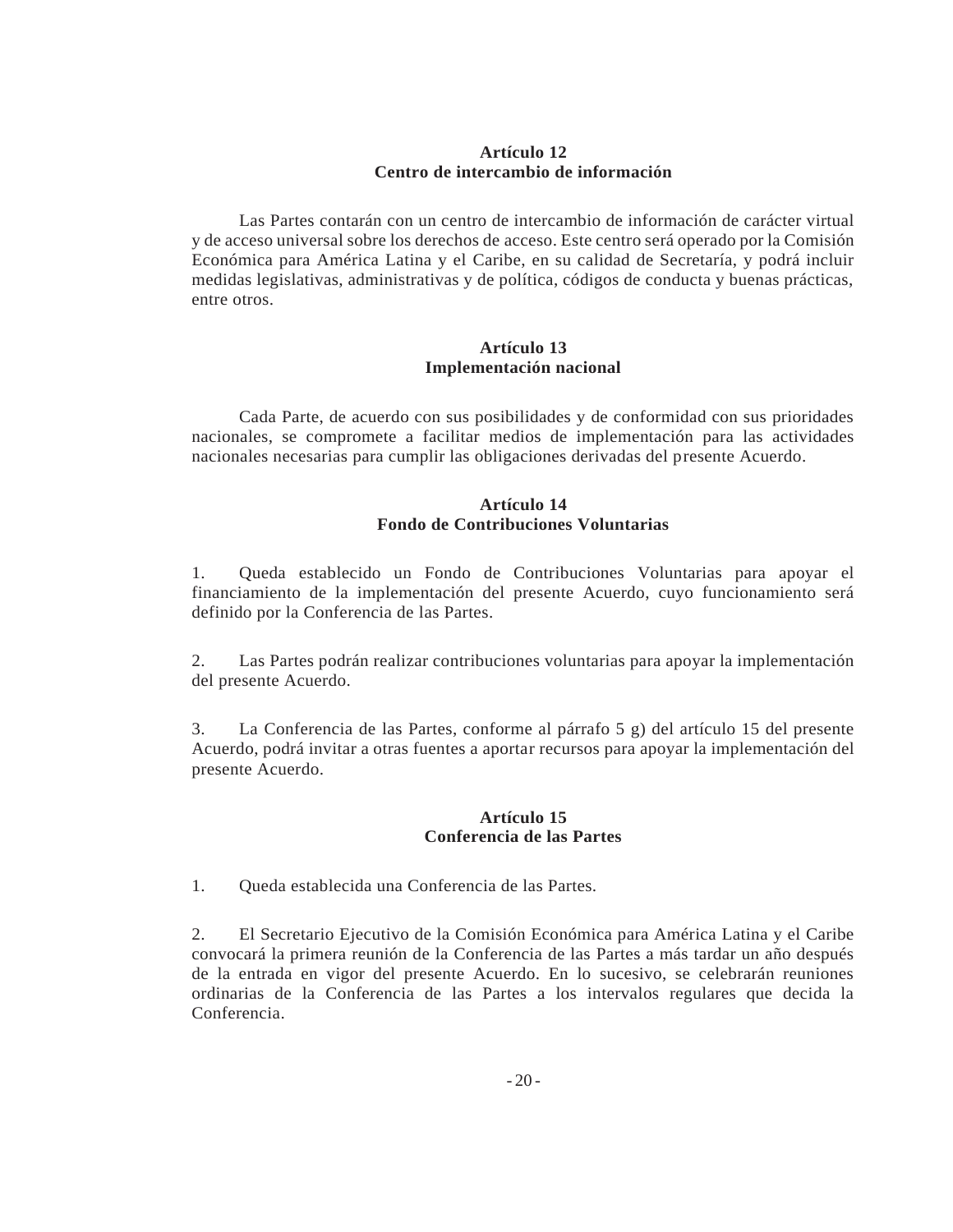### **Artículo 12 Centro de intercambio de información**

Las Partes contarán con un centro de intercambio de información de carácter virtual y de acceso universal sobre los derechos de acceso. Este centro será operado por la Comisión Económica para América Latina y el Caribe, en su calidad de Secretaría, y podrá incluir medidas legislativas, administrativas y de política, códigos de conducta y buenas prácticas, entre otros.

## **Artículo 13 Implementación nacional**

Cada Parte, de acuerdo con sus posibilidades y de conformidad con sus prioridades nacionales, se compromete a facilitar medios de implementación para las actividades nacionales necesarias para cumplir las obligaciones derivadas del presente Acuerdo.

## **Artículo 14 Fondo de Contribuciones Voluntarias**

1. Queda establecido un Fondo de Contribuciones Voluntarias para apoyar el financiamiento de la implementación del presente Acuerdo, cuyo funcionamiento será definido por la Conferencia de las Partes.

2. Las Partes podrán realizar contribuciones voluntarias para apoyar la implementación del presente Acuerdo.

3. La Conferencia de las Partes, conforme al párrafo 5 g) del artículo 15 del presente Acuerdo, podrá invitar a otras fuentes a aportar recursos para apoyar la implementación del presente Acuerdo.

# **Artículo 15 Conferencia de las Partes**

1. Queda establecida una Conferencia de las Partes.

2. El Secretario Ejecutivo de la Comisión Económica para América Latina y el Caribe convocará la primera reunión de la Conferencia de las Partes a más tardar un año después de la entrada en vigor del presente Acuerdo. En lo sucesivo, se celebrarán reuniones ordinarias de la Conferencia de las Partes a los intervalos regulares que decida la Conferencia.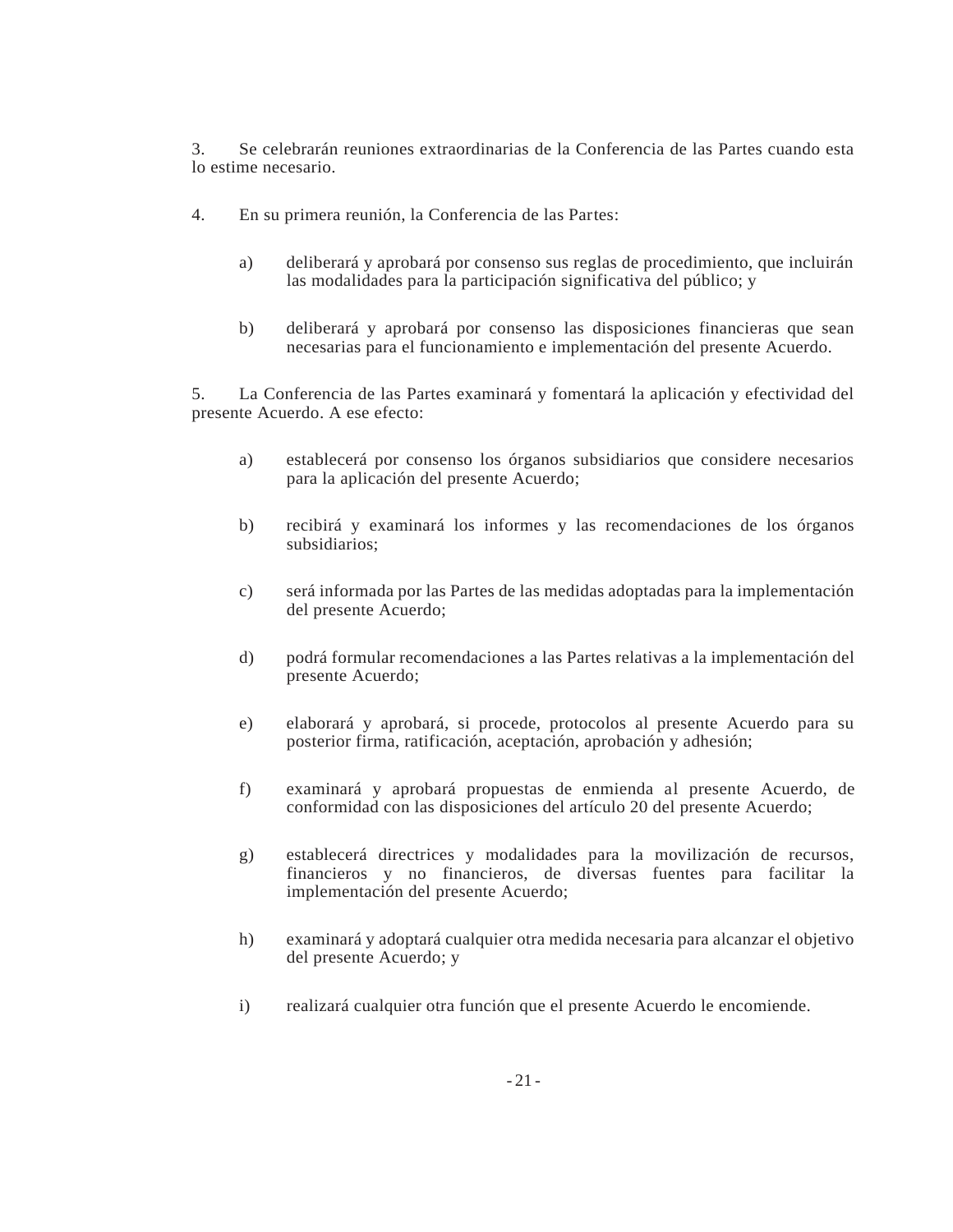3. Se celebrarán reuniones extraordinarias de la Conferencia de las Partes cuando esta lo estime necesario.

- 4. En su primera reunión, la Conferencia de las Partes:
	- a) deliberará y aprobará por consenso sus reglas de procedimiento, que incluirán las modalidades para la participación significativa del público; y
	- b) deliberará y aprobará por consenso las disposiciones financieras que sean necesarias para el funcionamiento e implementación del presente Acuerdo.

5. La Conferencia de las Partes examinará y fomentará la aplicación y efectividad del presente Acuerdo. A ese efecto:

- a) establecerá por consenso los órganos subsidiarios que considere necesarios para la aplicación del presente Acuerdo;
- b) recibirá y examinará los informes y las recomendaciones de los órganos subsidiarios;
- c) será informada por las Partes de las medidas adoptadas para la implementación del presente Acuerdo;
- d) podrá formular recomendaciones a las Partes relativas a la implementación del presente Acuerdo;
- e) elaborará y aprobará, si procede, protocolos al presente Acuerdo para su posterior firma, ratificación, aceptación, aprobación y adhesión;
- f) examinará y aprobará propuestas de enmienda al presente Acuerdo, de conformidad con las disposiciones del artículo 20 del presente Acuerdo;
- g) establecerá directrices y modalidades para la movilización de recursos, financieros y no financieros, de diversas fuentes para facilitar la implementación del presente Acuerdo;
- h) examinará y adoptará cualquier otra medida necesaria para alcanzar el objetivo del presente Acuerdo; y
- i) realizará cualquier otra función que el presente Acuerdo le encomiende.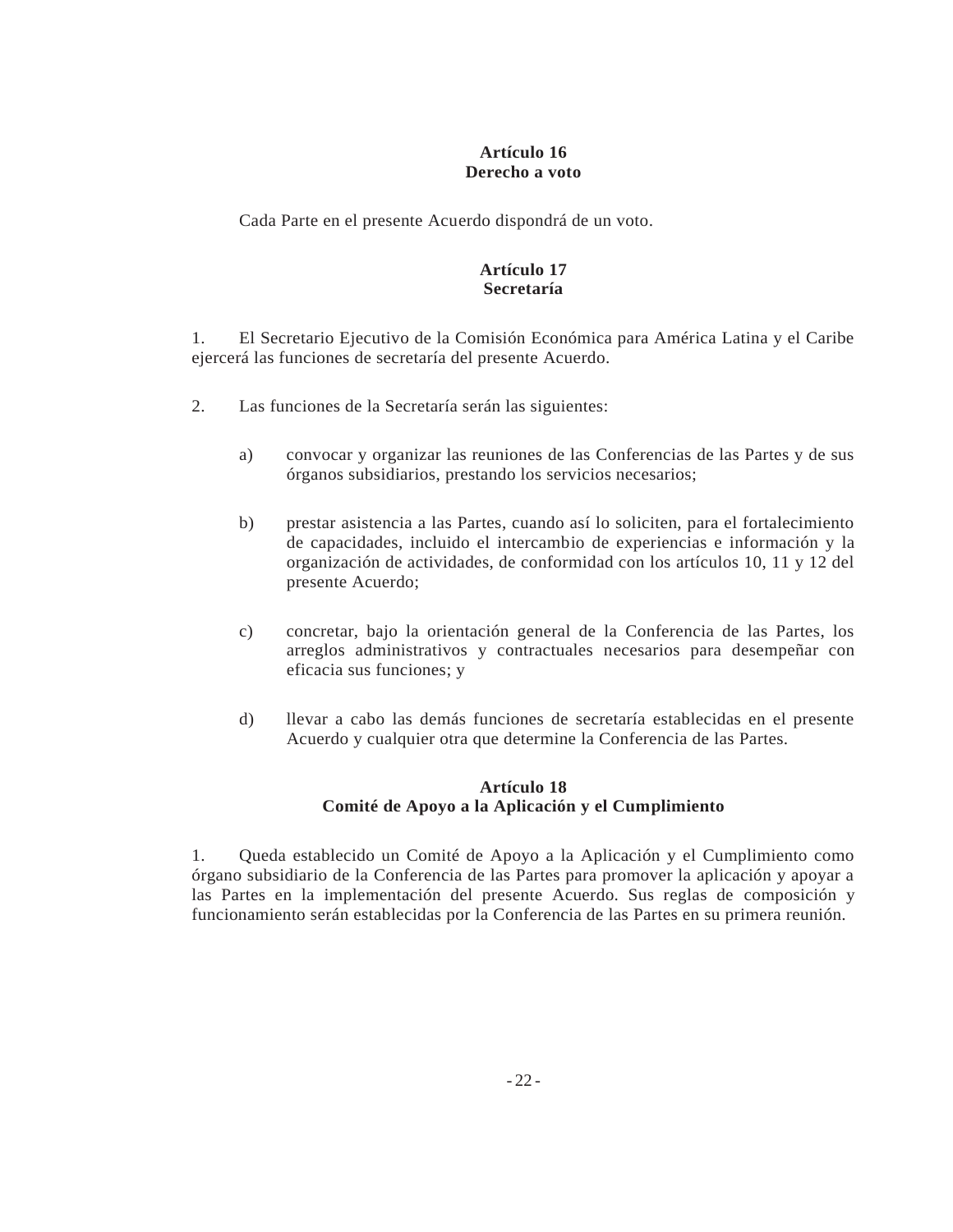## **Artículo 16 Derecho a voto**

Cada Parte en el presente Acuerdo dispondrá de un voto.

# **Artículo 17 Secretaría**

1. El Secretario Ejecutivo de la Comisión Económica para América Latina y el Caribe ejercerá las funciones de secretaría del presente Acuerdo.

- 2. Las funciones de la Secretaría serán las siguientes:
	- a) convocar y organizar las reuniones de las Conferencias de las Partes y de sus órganos subsidiarios, prestando los servicios necesarios;
	- b) prestar asistencia a las Partes, cuando así lo soliciten, para el fortalecimiento de capacidades, incluido el intercambio de experiencias e información y la organización de actividades, de conformidad con los artículos 10, 11 y 12 del presente Acuerdo;
	- c) concretar, bajo la orientación general de la Conferencia de las Partes, los arreglos administrativos y contractuales necesarios para desempeñar con eficacia sus funciones; y
	- d) llevar a cabo las demás funciones de secretaría establecidas en el presente Acuerdo y cualquier otra que determine la Conferencia de las Partes.

# **Artículo 18 Comité de Apoyo a la Aplicación y el Cumplimiento**

1. Queda establecido un Comité de Apoyo a la Aplicación y el Cumplimiento como órgano subsidiario de la Conferencia de las Partes para promover la aplicación y apoyar a las Partes en la implementación del presente Acuerdo. Sus reglas de composición y funcionamiento serán establecidas por la Conferencia de las Partes en su primera reunión.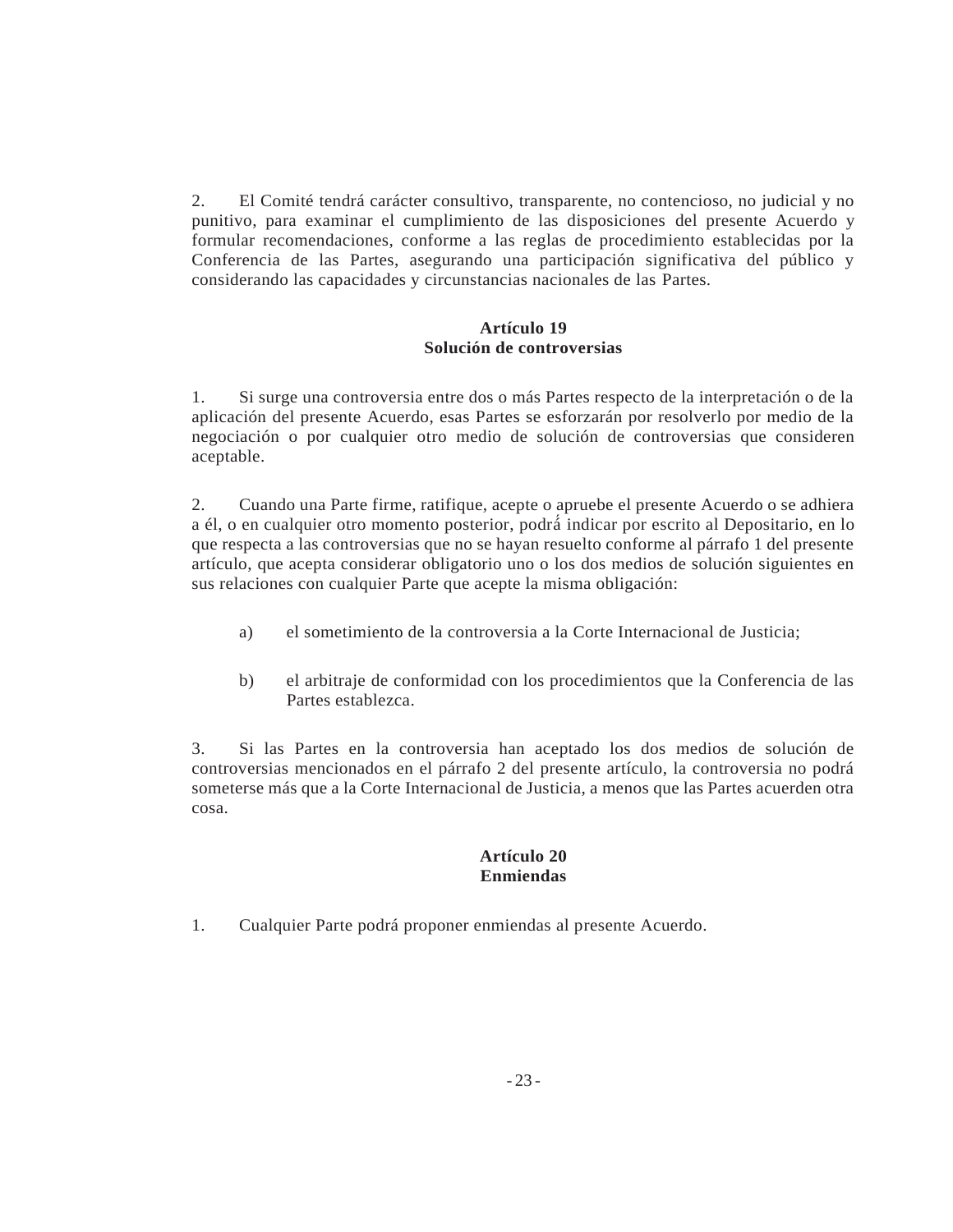2. El Comité tendrá carácter consultivo, transparente, no contencioso, no judicial y no punitivo, para examinar el cumplimiento de las disposiciones del presente Acuerdo y formular recomendaciones, conforme a las reglas de procedimiento establecidas por la Conferencia de las Partes, asegurando una participación significativa del público y considerando las capacidades y circunstancias nacionales de las Partes.

## **Artículo 19 Solución de controversias**

1. Si surge una controversia entre dos o más Partes respecto de la interpretación o de la aplicación del presente Acuerdo, esas Partes se esforzarán por resolverlo por medio de la negociación o por cualquier otro medio de solución de controversias que consideren aceptable.

2. Cuando una Parte firme, ratifique, acepte o apruebe el presente Acuerdo o se adhiera a él, o en cualquier otro momento posterior, podráғ indicar por escrito al Depositario, en lo que respecta a las controversias que no se hayan resuelto conforme al párrafo 1 del presente artículo, que acepta considerar obligatorio uno o los dos medios de solución siguientes en sus relaciones con cualquier Parte que acepte la misma obligación:

- a) el sometimiento de la controversia a la Corte Internacional de Justicia;
- b) el arbitraje de conformidad con los procedimientos que la Conferencia de las Partes establezca.

3. Si las Partes en la controversia han aceptado los dos medios de solución de controversias mencionados en el párrafo 2 del presente artículo, la controversia no podrá someterse más que a la Corte Internacional de Justicia, a menos que las Partes acuerden otra cosa.

# **Artículo 20 Enmiendas**

1. Cualquier Parte podrá proponer enmiendas al presente Acuerdo.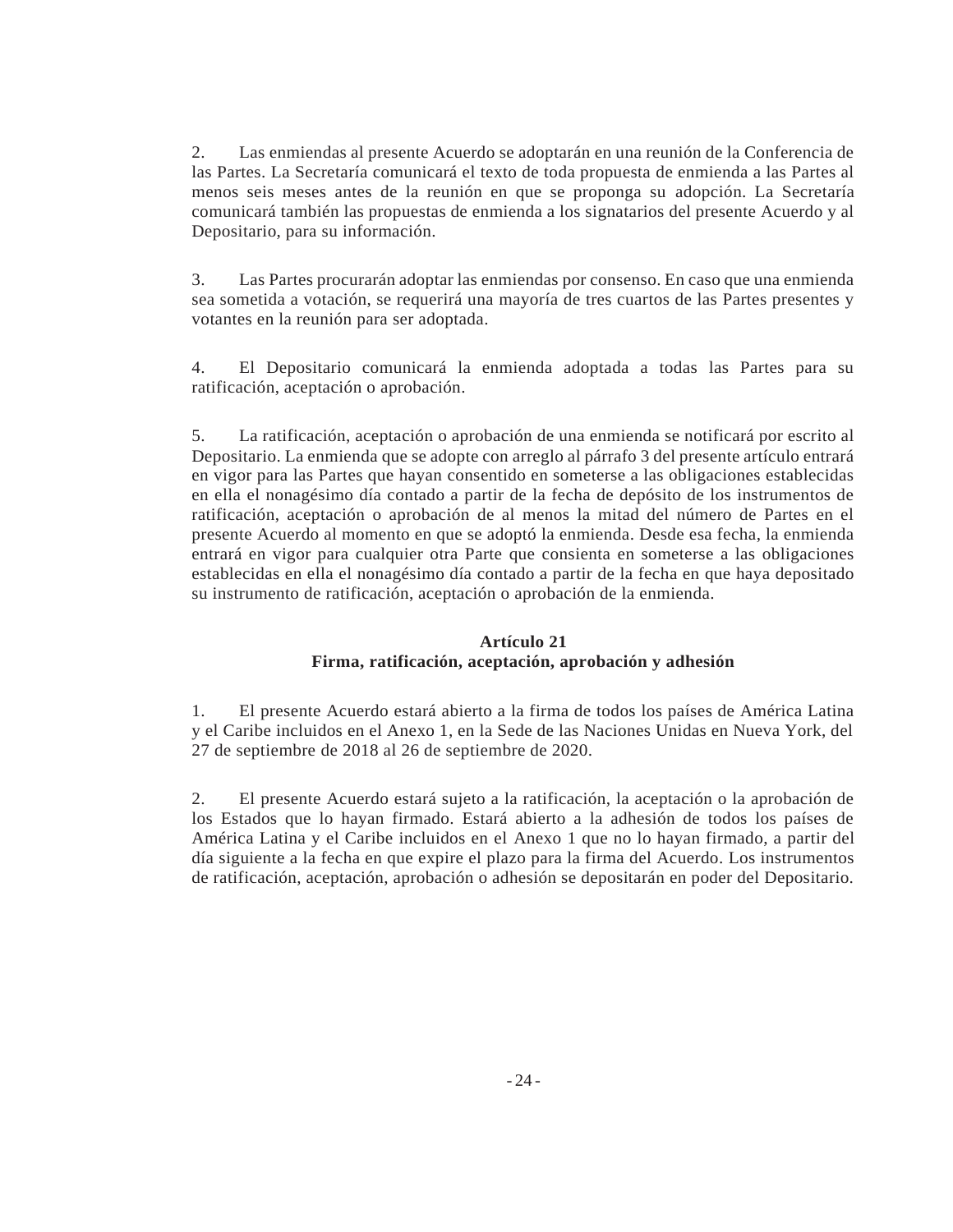2. Las enmiendas al presente Acuerdo se adoptarán en una reunión de la Conferencia de las Partes. La Secretaría comunicará el texto de toda propuesta de enmienda a las Partes al menos seis meses antes de la reunión en que se proponga su adopción. La Secretaría comunicará también las propuestas de enmienda a los signatarios del presente Acuerdo y al Depositario, para su información.

3. Las Partes procurarán adoptar las enmiendas por consenso. En caso que una enmienda sea sometida a votación, se requerirá una mayoría de tres cuartos de las Partes presentes y votantes en la reunión para ser adoptada.

4. El Depositario comunicará la enmienda adoptada a todas las Partes para su ratificación, aceptación o aprobación.

5. La ratificación, aceptación o aprobación de una enmienda se notificará por escrito al Depositario. La enmienda que se adopte con arreglo al párrafo 3 del presente artículo entrará en vigor para las Partes que hayan consentido en someterse a las obligaciones establecidas en ella el nonagésimo día contado a partir de la fecha de depósito de los instrumentos de ratificación, aceptación o aprobación de al menos la mitad del número de Partes en el presente Acuerdo al momento en que se adoptó la enmienda. Desde esa fecha, la enmienda entrará en vigor para cualquier otra Parte que consienta en someterse a las obligaciones establecidas en ella el nonagésimo día contado a partir de la fecha en que haya depositado su instrumento de ratificación, aceptación o aprobación de la enmienda.

## **Artículo 21 Firma, ratificación, aceptación, aprobación y adhesión**

1. El presente Acuerdo estará abierto a la firma de todos los países de América Latina y el Caribe incluidos en el Anexo 1, en la Sede de las Naciones Unidas en Nueva York, del 27 de septiembre de 2018 al 26 de septiembre de 2020.

2. El presente Acuerdo estará sujeto a la ratificación, la aceptación o la aprobación de los Estados que lo hayan firmado. Estará abierto a la adhesión de todos los países de América Latina y el Caribe incluidos en el Anexo 1 que no lo hayan firmado, a partir del día siguiente a la fecha en que expire el plazo para la firma del Acuerdo. Los instrumentos de ratificación, aceptación, aprobación o adhesión se depositarán en poder del Depositario.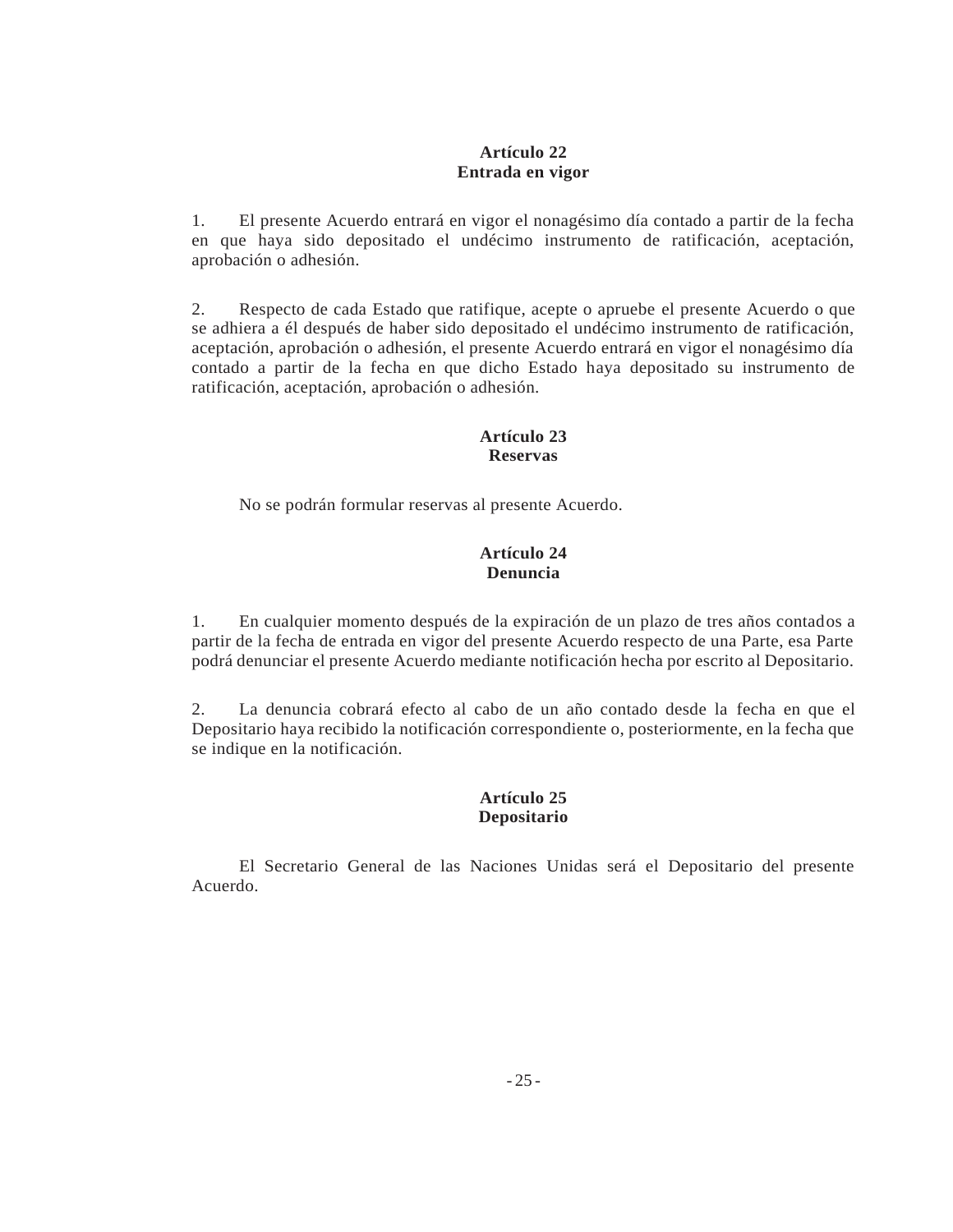### **Artículo 22 Entrada en vigor**

1. El presente Acuerdo entrará en vigor el nonagésimo día contado a partir de la fecha en que haya sido depositado el undécimo instrumento de ratificación, aceptación, aprobación o adhesión.

2. Respecto de cada Estado que ratifique, acepte o apruebe el presente Acuerdo o que se adhiera a él después de haber sido depositado el undécimo instrumento de ratificación, aceptación, aprobación o adhesión, el presente Acuerdo entrará en vigor el nonagésimo día contado a partir de la fecha en que dicho Estado haya depositado su instrumento de ratificación, aceptación, aprobación o adhesión.

## **Artículo 23 Reservas**

No se podrán formular reservas al presente Acuerdo.

# **Artículo 24 Denuncia**

1. En cualquier momento después de la expiración de un plazo de tres años contados a partir de la fecha de entrada en vigor del presente Acuerdo respecto de una Parte, esa Parte podrá denunciar el presente Acuerdo mediante notificación hecha por escrito al Depositario.

2. La denuncia cobrará efecto al cabo de un año contado desde la fecha en que el Depositario haya recibido la notificación correspondiente o, posteriormente, en la fecha que se indique en la notificación.

# **Artículo 25 Depositario**

El Secretario General de las Naciones Unidas será el Depositario del presente Acuerdo.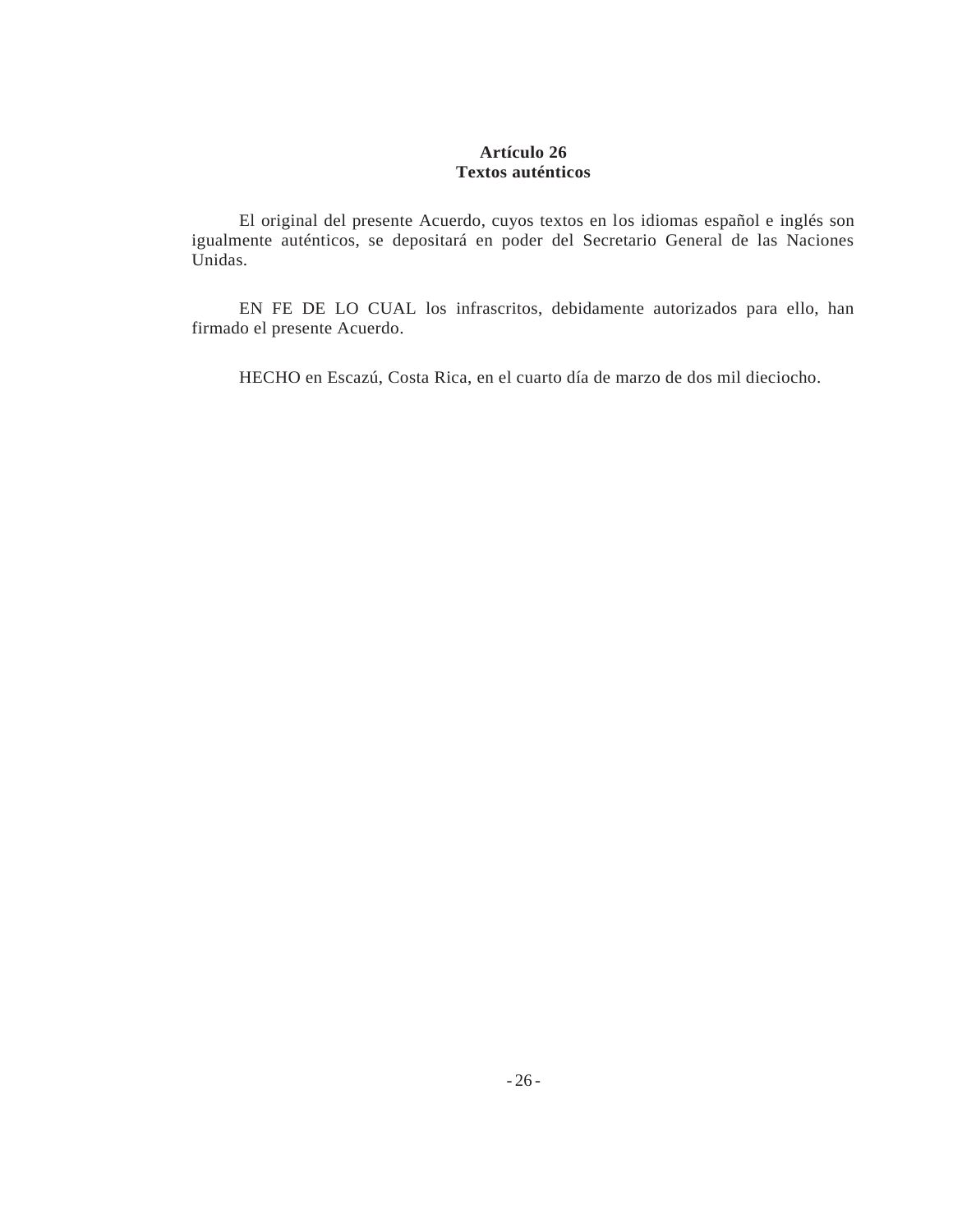### **Artículo 26 Textos auténticos**

El original del presente Acuerdo, cuyos textos en los idiomas español e inglés son igualmente auténticos, se depositará en poder del Secretario General de las Naciones Unidas.

EN FE DE LO CUAL los infrascritos, debidamente autorizados para ello, han firmado el presente Acuerdo.

HECHO en Escazú, Costa Rica, en el cuarto día de marzo de dos mil dieciocho.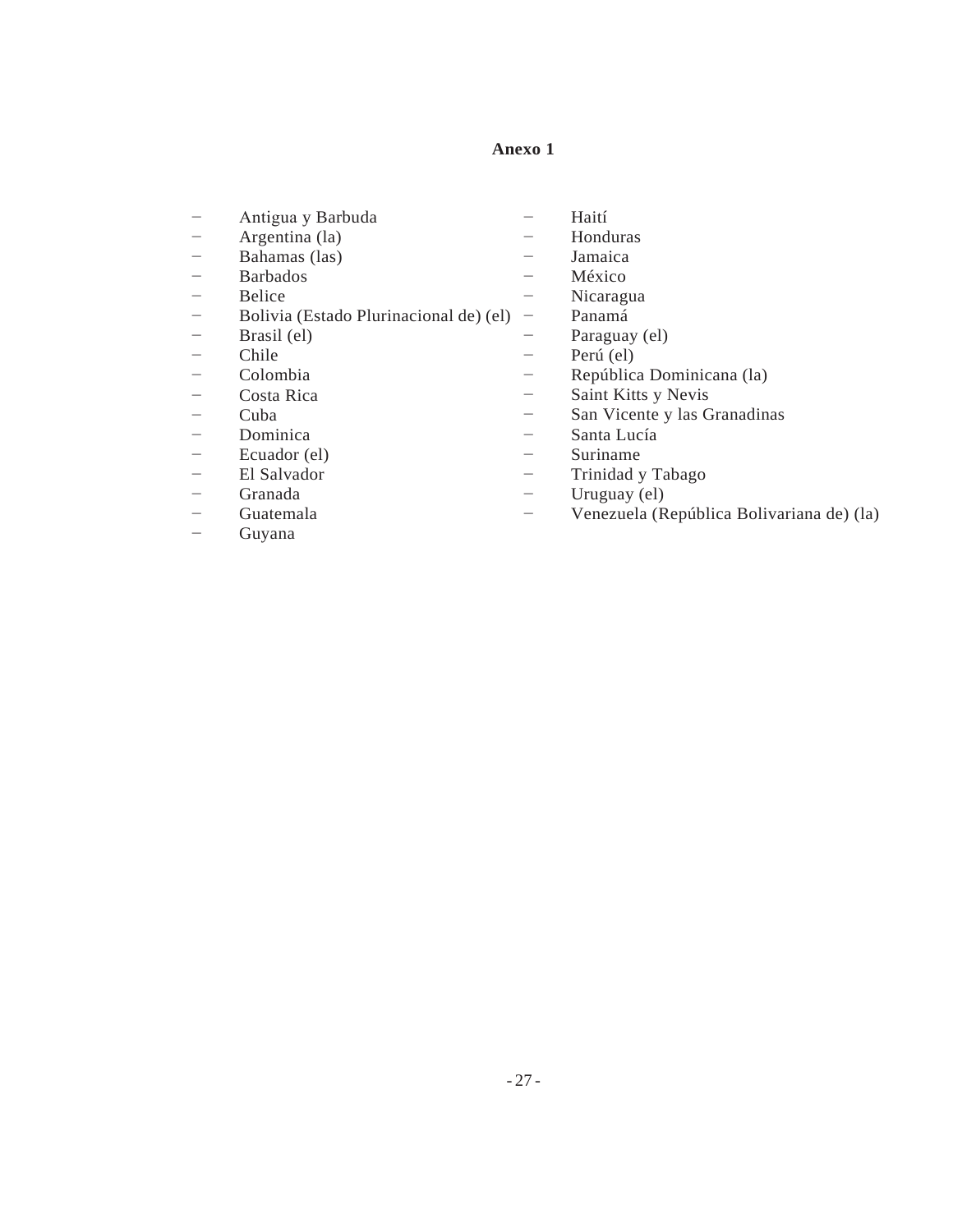# **Anexo 1**

- − Antigua y Barbuda<br>− Argentina (la)
- − Argentina (la)
- − Bahamas (las)
- − Barbados
- − Belice
- − Bolivia (Estado Plurinacional de) (el)
- − Brasil (el)
- − Chile
- − Colombia
- − Costa Rica
- − Cuba
- − Dominica
- − Ecuador (el)
- − El Salvador
- − Granada
- − Guatemala
- − Guyana
- − Haití<br>− Hond
- − Honduras<br>− Jamaica
- Jamaica
- − México
- − Nicaragua
- − Panamá
- − Paraguay (el)
- − Perú (el)
- − República Dominicana (la)<br>− Saint Kitts v Nevis
	- Saint Kitts y Nevis
- − San Vicente y las Granadinas
- − Santa Lucía<br>− Suriname
- − Suriname
- − Trinidad y Tabago
- − Uruguay (el)
- − Venezuela (República Bolivariana de) (la)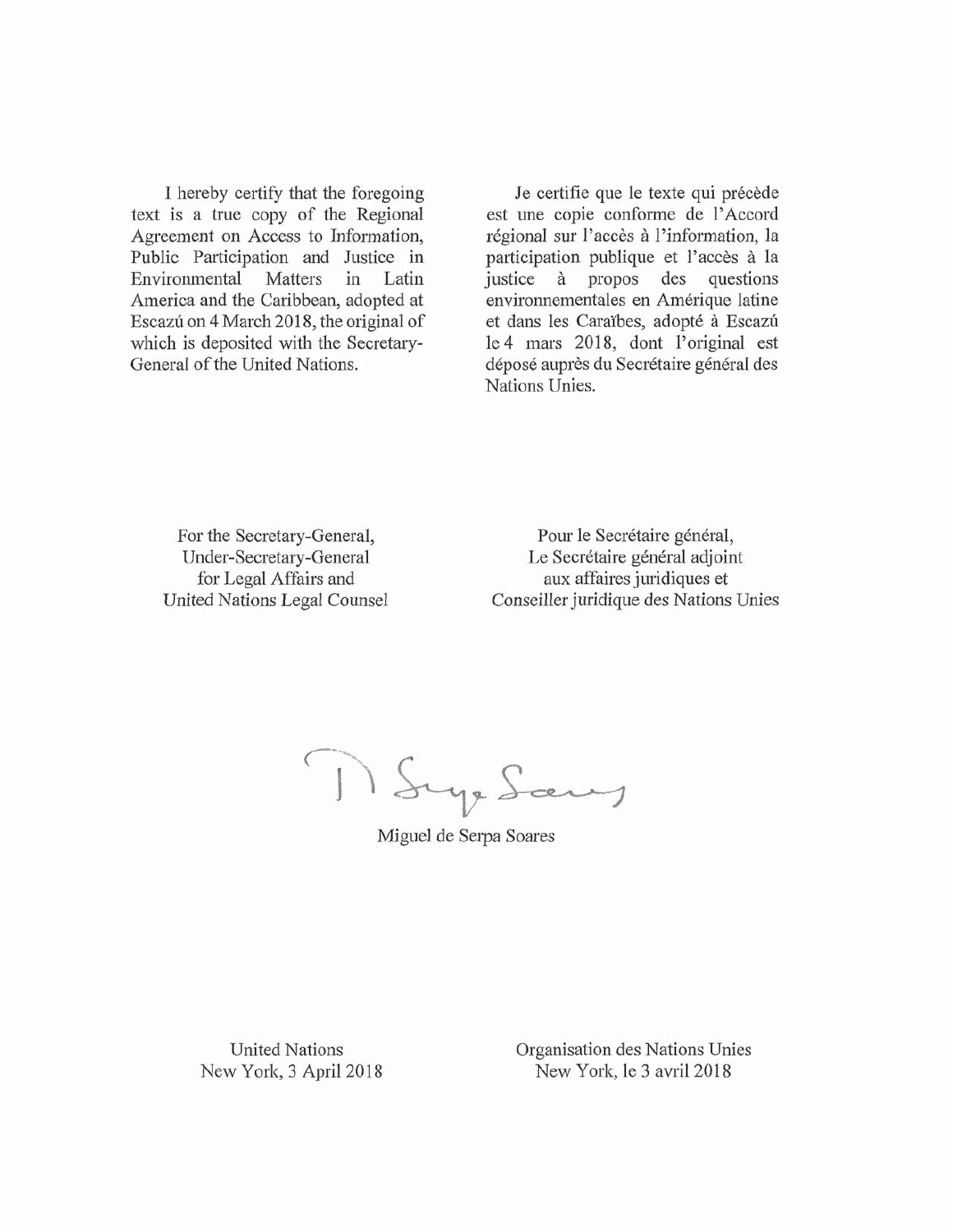I hereby certify that the foregoing text is a true copy of the Regional Agreement on Access to Information, Public Participation and Justice in in Latin Environmental Matters America and the Caribbean, adopted at Escazú on 4 March 2018, the original of which is deposited with the Secretary-General of the United Nations.

Je certifie que le texte qui précède est une copie conforme de l'Accord régional sur l'accès à l'information, la participation publique et l'accès à la justice à propos des questions environnementales en Amérique latine et dans les Caraïbes, adopté à Escazú le 4 mars 2018, dont l'original est déposé auprès du Secrétaire général des Nations Unies.

For the Secretary-General, Under-Secretary-General for Legal Affairs and **United Nations Legal Counsel** 

Pour le Secrétaire général, Le Secrétaire général adjoint aux affaires juridiques et Conseiller juridique des Nations Unies

D. Suy Saw

Miguel de Serpa Soares

**United Nations** New York, 3 April 2018 Organisation des Nations Unies New York, le 3 avril 2018